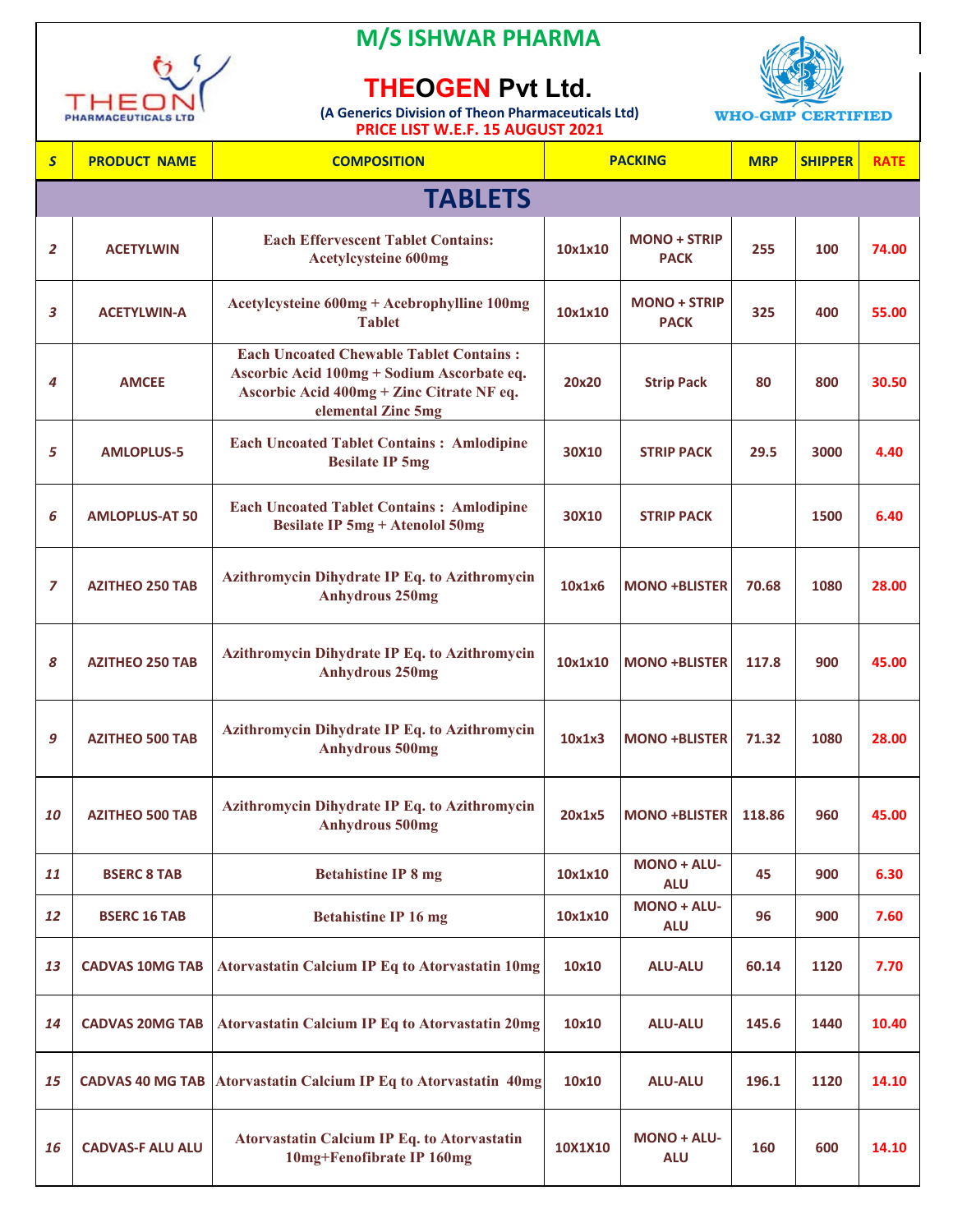

**M/S ISHWAR PHARMA**

## **THEOGEN Pvt Ltd.**

 **PRICE LIST W.E.F. 15 AUGUST 2021 (A Generics Division of Theon Pharmaceuticals Ltd)**



| S              | <b>PRODUCT NAME</b>     | FINICE EIST WILLET 15 AUGUST 2021<br><b>COMPOSITION</b>                                                                                                         |         | <b>PACKING</b>                     | <b>MRP</b> | <b>SHIPPER</b> | <b>RATE</b> |
|----------------|-------------------------|-----------------------------------------------------------------------------------------------------------------------------------------------------------------|---------|------------------------------------|------------|----------------|-------------|
|                |                         | <b>TABLETS</b>                                                                                                                                                  |         |                                    |            |                |             |
| $\overline{2}$ | <b>ACETYLWIN</b>        | <b>Each Effervescent Tablet Contains:</b><br><b>Acetylcysteine 600mg</b>                                                                                        | 10x1x10 | <b>MONO + STRIP</b><br><b>PACK</b> | 255        | 100            | 74.00       |
| 3              | <b>ACETYLWIN-A</b>      | Acetylcysteine 600mg + Acebrophylline 100mg<br><b>Tablet</b>                                                                                                    | 10x1x10 | <b>MONO + STRIP</b><br><b>PACK</b> | 325        | 400            | 55.00       |
| 4              | <b>AMCEE</b>            | <b>Each Uncoated Chewable Tablet Contains:</b><br>Ascorbic Acid 100mg + Sodium Ascorbate eq.<br>Ascorbic Acid 400mg + Zinc Citrate NF eq.<br>elemental Zinc 5mg | 20x20   | <b>Strip Pack</b>                  | 80         | 800            | 30.50       |
| 5              | <b>AMLOPLUS-5</b>       | <b>Each Uncoated Tablet Contains: Amlodipine</b><br><b>Besilate IP 5mg</b>                                                                                      | 30X10   | <b>STRIP PACK</b>                  | 29.5       | 3000           | 4.40        |
| 6              | <b>AMLOPLUS-AT 50</b>   | <b>Each Uncoated Tablet Contains: Amlodipine</b><br><b>Besilate IP 5mg + Atenolol 50mg</b>                                                                      | 30X10   | <b>STRIP PACK</b>                  |            | 1500           | 6.40        |
| $\overline{z}$ | <b>AZITHEO 250 TAB</b>  | Azithromycin Dihydrate IP Eq. to Azithromycin<br><b>Anhydrous 250mg</b>                                                                                         | 10x1x6  | <b>MONO +BLISTER</b>               | 70.68      | 1080           | 28.00       |
| 8              | <b>AZITHEO 250 TAB</b>  | Azithromycin Dihydrate IP Eq. to Azithromycin<br><b>Anhydrous 250mg</b>                                                                                         | 10x1x10 | <b>MONO +BLISTER</b>               | 117.8      | 900            | 45.00       |
| 9              | <b>AZITHEO 500 TAB</b>  | Azithromycin Dihydrate IP Eq. to Azithromycin<br><b>Anhydrous 500mg</b>                                                                                         | 10x1x3  | <b>MONO +BLISTER</b>               | 71.32      | 1080           | 28.00       |
| 10             | <b>AZITHEO 500 TAB</b>  | Azithromycin Dihydrate IP Eq. to Azithromycin<br><b>Anhydrous 500mg</b>                                                                                         | 20x1x5  | <b>MONO +BLISTER</b>               | 118.86     | 960            | 45.00       |
| 11             | <b>BSERC 8 TAB</b>      | <b>Betahistine IP 8 mg</b>                                                                                                                                      | 10x1x10 | MONO + ALU-<br><b>ALU</b>          | 45         | 900            | 6.30        |
| 12             | <b>BSERC 16 TAB</b>     | <b>Betahistine IP 16 mg</b>                                                                                                                                     | 10x1x10 | <b>MONO + ALU-</b><br><b>ALU</b>   | 96         | 900            | 7.60        |
| 13             | <b>CADVAS 10MG TAB</b>  | <b>Atorvastatin Calcium IP Eq to Atorvastatin 10mg</b>                                                                                                          | 10x10   | <b>ALU-ALU</b>                     | 60.14      | 1120           | 7.70        |
| 14             | <b>CADVAS 20MG TAB</b>  | <b>Atorvastatin Calcium IP Eq to Atorvastatin 20mg</b>                                                                                                          | 10x10   | <b>ALU-ALU</b>                     | 145.6      | 1440           | 10.40       |
| 15             | <b>CADVAS 40 MG TAB</b> | <b>Atorvastatin Calcium IP Eq to Atorvastatin 40mg</b>                                                                                                          | 10x10   | <b>ALU-ALU</b>                     | 196.1      | 1120           | 14.10       |
| 16             | <b>CADVAS-F ALU ALU</b> | <b>Atorvastatin Calcium IP Eq. to Atorvastatin</b><br>10mg+Fenofibrate IP 160mg                                                                                 | 10X1X10 | <b>MONO + ALU-</b><br><b>ALU</b>   | 160        | 600            | 14.10       |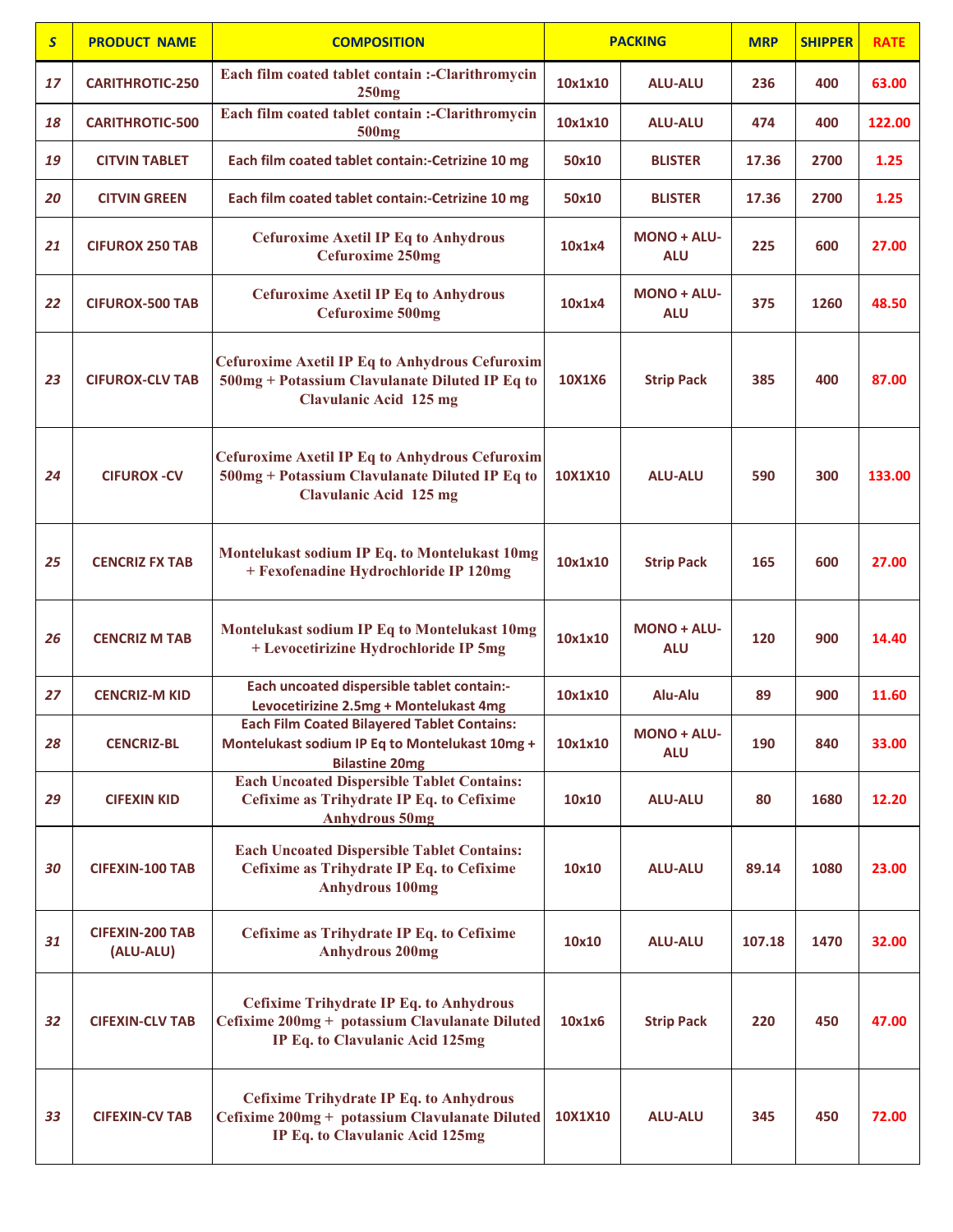| $\mathsf{S}$ | <b>PRODUCT NAME</b>                 | <b>COMPOSITION</b>                                                                                                                       | <b>PACKING</b> |                                  | <b>MRP</b> | <b>SHIPPER</b> | <b>RATE</b> |
|--------------|-------------------------------------|------------------------------------------------------------------------------------------------------------------------------------------|----------------|----------------------------------|------------|----------------|-------------|
| 17           | <b>CARITHROTIC-250</b>              | Each film coated tablet contain :-Clarithromycin<br>250mg                                                                                | 10x1x10        | <b>ALU-ALU</b>                   | 236        | 400            | 63.00       |
| 18           | <b>CARITHROTIC-500</b>              | Each film coated tablet contain :- Clarithromycin<br>500 <sub>mg</sub>                                                                   | 10x1x10        | <b>ALU-ALU</b>                   | 474        | 400            | 122.00      |
| 19           | <b>CITVIN TABLET</b>                | Each film coated tablet contain:-Cetrizine 10 mg                                                                                         | 50x10          | <b>BLISTER</b>                   | 17.36      | 2700           | 1.25        |
| 20           | <b>CITVIN GREEN</b>                 | Each film coated tablet contain:-Cetrizine 10 mg                                                                                         | 50x10          | <b>BLISTER</b>                   | 17.36      | 2700           | 1.25        |
| 21           | <b>CIFUROX 250 TAB</b>              | <b>Cefuroxime Axetil IP Eq to Anhydrous</b><br><b>Cefuroxime 250mg</b>                                                                   | 10x1x4         | <b>MONO + ALU-</b><br><b>ALU</b> | 225        | 600            | 27.00       |
| 22           | <b>CIFUROX-500 TAB</b>              | <b>Cefuroxime Axetil IP Eq to Anhydrous</b><br><b>Cefuroxime 500mg</b>                                                                   | 10x1x4         | <b>MONO + ALU-</b><br><b>ALU</b> | 375        | 1260           | 48.50       |
| 23           | <b>CIFUROX-CLV TAB</b>              | <b>Cefuroxime Axetil IP Eq to Anhydrous Cefuroxim</b><br>500mg + Potassium Clavulanate Diluted IP Eq to<br><b>Clavulanic Acid 125 mg</b> | 10X1X6         | <b>Strip Pack</b>                | 385        | 400            | 87.00       |
| 24           | <b>CIFUROX - CV</b>                 | <b>Cefuroxime Axetil IP Eq to Anhydrous Cefuroxim</b><br>500mg + Potassium Clavulanate Diluted IP Eq to<br><b>Clavulanic Acid 125 mg</b> | 10X1X10        | <b>ALU-ALU</b>                   | 590        | 300            | 133.00      |
| 25           | <b>CENCRIZ FX TAB</b>               | Montelukast sodium IP Eq. to Montelukast 10mg<br>+ Fexofenadine Hydrochloride IP 120mg                                                   | 10x1x10        | <b>Strip Pack</b>                | 165        | 600            | 27.00       |
| 26           | <b>CENCRIZ M TAB</b>                | Montelukast sodium IP Eq to Montelukast 10mg<br>+ Levocetirizine Hydrochloride IP 5mg                                                    | 10x1x10        | <b>MONO + ALU-</b><br><b>ALU</b> | 120        | 900            | 14.40       |
| 27           | <b>CENCRIZ-M KID</b>                | Each uncoated dispersible tablet contain:-<br>Levocetirizine 2.5mg + Montelukast 4mg                                                     | 10x1x10        | Alu-Alu                          | 89         | 900            | 11.60       |
| 28           | <b>CENCRIZ-BL</b>                   | <b>Each Film Coated Bilayered Tablet Contains:</b><br>Montelukast sodium IP Eq to Montelukast 10mg +<br><b>Bilastine 20mg</b>            | 10x1x10        | MONO + ALU-<br><b>ALU</b>        | 190        | 840            | 33.00       |
| 29           | <b>CIFEXIN KID</b>                  | <b>Each Uncoated Dispersible Tablet Contains:</b><br>Cefixime as Trihydrate IP Eq. to Cefixime<br><b>Anhydrous 50mg</b>                  | 10x10          | <b>ALU-ALU</b>                   | 80         | 1680           | 12.20       |
| 30           | <b>CIFEXIN-100 TAB</b>              | <b>Each Uncoated Dispersible Tablet Contains:</b><br>Cefixime as Trihydrate IP Eq. to Cefixime<br><b>Anhydrous 100mg</b>                 | 10x10          | <b>ALU-ALU</b>                   | 89.14      | 1080           | 23.00       |
| 31           | <b>CIFEXIN-200 TAB</b><br>(ALU-ALU) | Cefixime as Trihydrate IP Eq. to Cefixime<br><b>Anhydrous 200mg</b>                                                                      | 10x10          | <b>ALU-ALU</b>                   | 107.18     | 1470           | 32.00       |
| 32           | <b>CIFEXIN-CLV TAB</b>              | <b>Cefixime Trihydrate IP Eq. to Anhydrous</b><br>Cefixime 200mg + potassium Clavulanate Diluted<br>IP Eq. to Clavulanic Acid 125mg      | 10x1x6         | <b>Strip Pack</b>                | 220        | 450            | 47.00       |
| 33           | <b>CIFEXIN-CV TAB</b>               | <b>Cefixime Trihydrate IP Eq. to Anhydrous</b><br>Cefixime 200mg + potassium Clavulanate Diluted<br>IP Eq. to Clavulanic Acid 125mg      | 10X1X10        | <b>ALU-ALU</b>                   | 345        | 450            | 72.00       |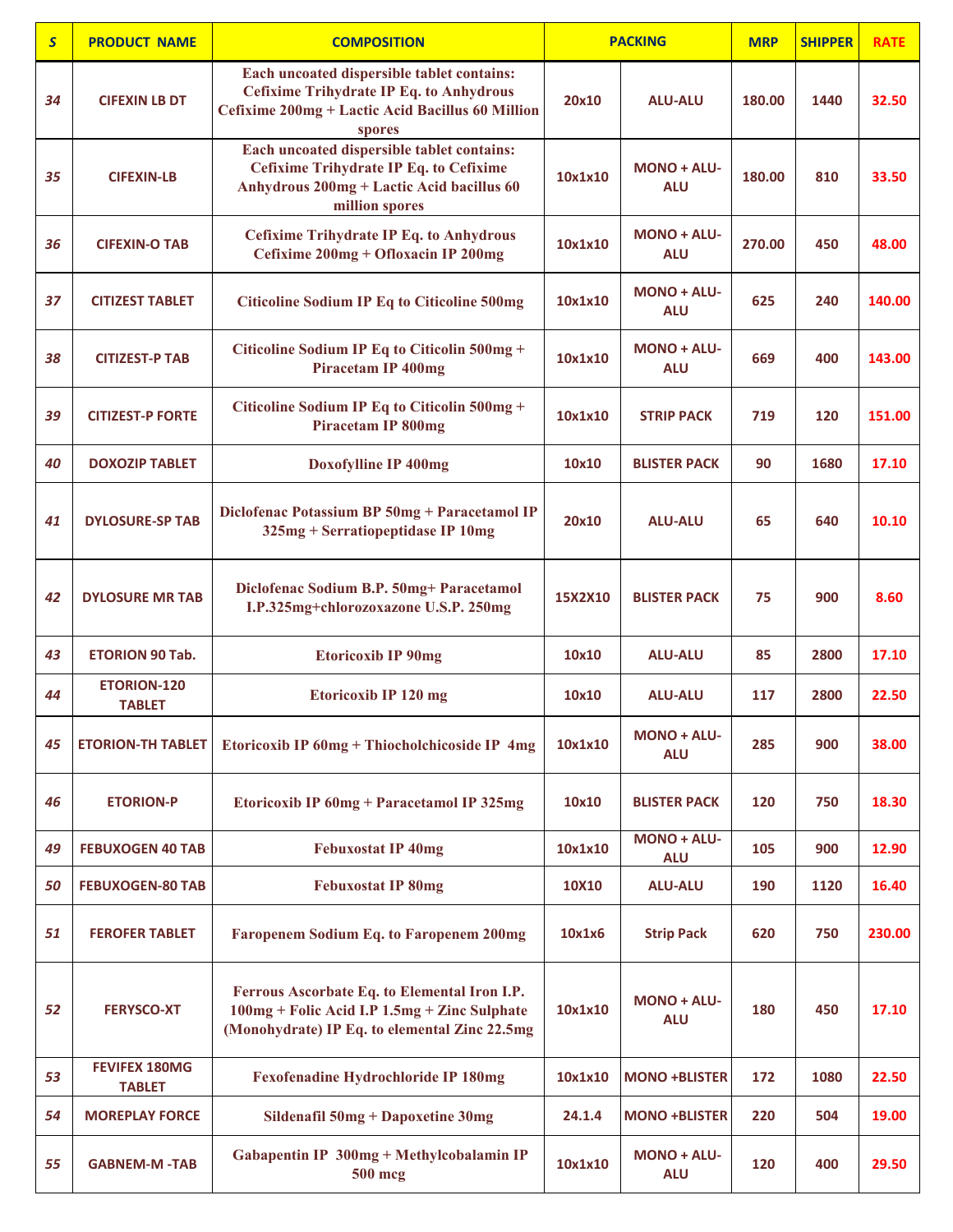| $\mathsf{S}$ | <b>PRODUCT NAME</b>                   | <b>COMPOSITION</b>                                                                                                                                         |         | <b>PACKING</b>                   | <b>MRP</b> | <b>SHIPPER</b> | <b>RATE</b> |
|--------------|---------------------------------------|------------------------------------------------------------------------------------------------------------------------------------------------------------|---------|----------------------------------|------------|----------------|-------------|
| 34           | <b>CIFEXIN LB DT</b>                  | Each uncoated dispersible tablet contains:<br><b>Cefixime Trihydrate IP Eq. to Anhydrous</b><br>Cefixime 200mg + Lactic Acid Bacillus 60 Million<br>spores | 20x10   | <b>ALU-ALU</b>                   | 180.00     | 1440           | 32.50       |
| 35           | <b>CIFEXIN-LB</b>                     | Each uncoated dispersible tablet contains:<br><b>Cefixime Trihydrate IP Eq. to Cefixime</b><br>Anhydrous 200mg + Lactic Acid bacillus 60<br>million spores | 10x1x10 | <b>MONO + ALU-</b><br><b>ALU</b> | 180.00     | 810            | 33.50       |
| 36           | <b>CIFEXIN-O TAB</b>                  | <b>Cefixime Trihydrate IP Eq. to Anhydrous</b><br>Cefixime 200mg + Ofloxacin IP 200mg                                                                      | 10x1x10 | <b>MONO + ALU-</b><br><b>ALU</b> | 270.00     | 450            | 48.00       |
| 37           | <b>CITIZEST TABLET</b>                | <b>Citicoline Sodium IP Eq to Citicoline 500mg</b>                                                                                                         | 10x1x10 | <b>MONO + ALU-</b><br><b>ALU</b> | 625        | 240            | 140.00      |
| 38           | <b>CITIZEST-P TAB</b>                 | Citicoline Sodium IP Eq to Citicolin 500mg +<br><b>Piracetam IP 400mg</b>                                                                                  | 10x1x10 | <b>MONO + ALU-</b><br><b>ALU</b> | 669        | 400            | 143.00      |
| 39           | <b>CITIZEST-P FORTE</b>               | Citicoline Sodium IP Eq to Citicolin 500mg +<br><b>Piracetam IP 800mg</b>                                                                                  | 10x1x10 | <b>STRIP PACK</b>                | 719        | 120            | 151.00      |
| 40           | <b>DOXOZIP TABLET</b>                 | Doxofylline IP 400mg                                                                                                                                       | 10x10   | <b>BLISTER PACK</b>              | 90         | 1680           | 17.10       |
| 41           | <b>DYLOSURE-SP TAB</b>                | Diclofenac Potassium BP 50mg + Paracetamol IP<br>325mg + Serratiopeptidase IP 10mg                                                                         | 20x10   | <b>ALU-ALU</b>                   | 65         | 640            | 10.10       |
| 42           | <b>DYLOSURE MR TAB</b>                | Diclofenac Sodium B.P. 50mg+ Paracetamol<br>I.P.325mg+chlorozoxazone U.S.P. 250mg                                                                          | 15X2X10 | <b>BLISTER PACK</b>              | 75         | 900            | 8.60        |
| 43           | <b>ETORION 90 Tab.</b>                | <b>Etoricoxib IP 90mg</b>                                                                                                                                  | 10x10   | <b>ALU-ALU</b>                   | 85         | 2800           | 17.10       |
| 44           | <b>ETORION-120</b><br><b>TABLET</b>   | <b>Etoricoxib IP 120 mg</b>                                                                                                                                | 10x10   | <b>ALU-ALU</b>                   | 117        | 2800           | 22.50       |
| 45           | <b>ETORION-TH TABLET</b>              | Etoricoxib IP 60mg + Thiocholchicoside IP 4mg                                                                                                              | 10x1x10 | MONO + ALU-<br><b>ALU</b>        | 285        | 900            | 38.00       |
| 46           | <b>ETORION-P</b>                      | Etoricoxib IP 60mg + Paracetamol IP 325mg                                                                                                                  | 10x10   | <b>BLISTER PACK</b>              | 120        | 750            | 18.30       |
| 49           | <b>FEBUXOGEN 40 TAB</b>               | <b>Febuxostat IP 40mg</b>                                                                                                                                  | 10x1x10 | MONO + ALU-<br><b>ALU</b>        | 105        | 900            | 12.90       |
| 50           | <b>FEBUXOGEN-80 TAB</b>               | <b>Febuxostat IP 80mg</b>                                                                                                                                  | 10X10   | <b>ALU-ALU</b>                   | 190        | 1120           | 16.40       |
| 51           | <b>FEROFER TABLET</b>                 | Faropenem Sodium Eq. to Faropenem 200mg                                                                                                                    | 10x1x6  | <b>Strip Pack</b>                | 620        | 750            | 230.00      |
| 52           | <b>FERYSCO-XT</b>                     | Ferrous Ascorbate Eq. to Elemental Iron I.P.<br>100mg + Folic Acid I.P 1.5mg + Zinc Sulphate<br>(Monohydrate) IP Eq. to elemental Zinc 22.5mg              | 10x1x10 | <b>MONO + ALU-</b><br><b>ALU</b> | 180        | 450            | 17.10       |
| 53           | <b>FEVIFEX 180MG</b><br><b>TABLET</b> | <b>Fexofenadine Hydrochloride IP 180mg</b>                                                                                                                 | 10x1x10 | <b>MONO +BLISTER</b>             | 172        | 1080           | 22.50       |
| 54           | <b>MOREPLAY FORCE</b>                 | Sildenafil 50mg + Dapoxetine 30mg                                                                                                                          | 24.1.4  | <b>MONO +BLISTER</b>             | 220        | 504            | 19.00       |
| 55           | <b>GABNEM-M-TAB</b>                   | Gabapentin IP 300mg + Methylcobalamin IP<br>500 mcg                                                                                                        | 10x1x10 | <b>MONO + ALU-</b><br><b>ALU</b> | 120        | 400            | 29.50       |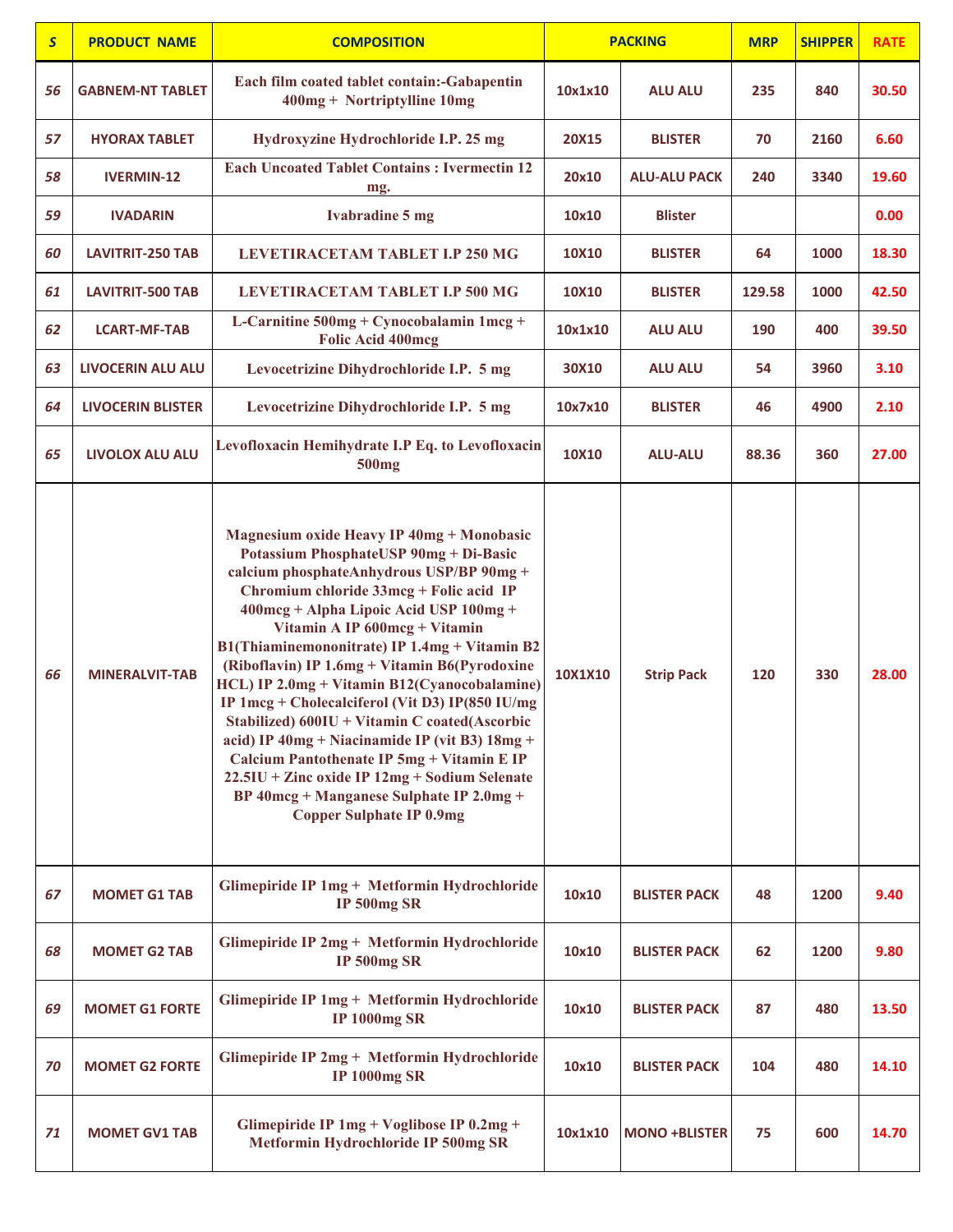| $\mathsf{S}$ | <b>PRODUCT NAME</b>      | <b>COMPOSITION</b>                                                                                                                                                                                                                                                                                                                                                                                                                                                                                                                                                                                                                                                                                                                                        |         | <b>PACKING</b>       | <b>MRP</b> | <b>SHIPPER</b> | <b>RATE</b> |
|--------------|--------------------------|-----------------------------------------------------------------------------------------------------------------------------------------------------------------------------------------------------------------------------------------------------------------------------------------------------------------------------------------------------------------------------------------------------------------------------------------------------------------------------------------------------------------------------------------------------------------------------------------------------------------------------------------------------------------------------------------------------------------------------------------------------------|---------|----------------------|------------|----------------|-------------|
| 56           | <b>GABNEM-NT TABLET</b>  | Each film coated tablet contain:-Gabapentin<br>400mg + Nortriptylline 10mg                                                                                                                                                                                                                                                                                                                                                                                                                                                                                                                                                                                                                                                                                | 10x1x10 | <b>ALU ALU</b>       | 235        | 840            | 30.50       |
| 57           | <b>HYORAX TABLET</b>     | Hydroxyzine Hydrochloride I.P. 25 mg                                                                                                                                                                                                                                                                                                                                                                                                                                                                                                                                                                                                                                                                                                                      | 20X15   | <b>BLISTER</b>       | 70         | 2160           | 6.60        |
| 58           | <b>IVERMIN-12</b>        | <b>Each Uncoated Tablet Contains: Ivermectin 12</b><br>mg.                                                                                                                                                                                                                                                                                                                                                                                                                                                                                                                                                                                                                                                                                                | 20x10   | <b>ALU-ALU PACK</b>  | 240        | 3340           | 19.60       |
| 59           | <b>IVADARIN</b>          | <b>Ivabradine 5 mg</b>                                                                                                                                                                                                                                                                                                                                                                                                                                                                                                                                                                                                                                                                                                                                    | 10x10   | <b>Blister</b>       |            |                | 0.00        |
| 60           | <b>LAVITRIT-250 TAB</b>  | LEVETIRACETAM TABLET I.P 250 MG                                                                                                                                                                                                                                                                                                                                                                                                                                                                                                                                                                                                                                                                                                                           | 10X10   | <b>BLISTER</b>       | 64         | 1000           | 18.30       |
| 61           | <b>LAVITRIT-500 TAB</b>  | LEVETIRACETAM TABLET I.P 500 MG                                                                                                                                                                                                                                                                                                                                                                                                                                                                                                                                                                                                                                                                                                                           | 10X10   | <b>BLISTER</b>       | 129.58     | 1000           | 42.50       |
| 62           | <b>LCART-MF-TAB</b>      | L-Carnitine 500mg + Cynocobalamin 1mcg +<br><b>Folic Acid 400mcg</b>                                                                                                                                                                                                                                                                                                                                                                                                                                                                                                                                                                                                                                                                                      | 10x1x10 | <b>ALU ALU</b>       | 190        | 400            | 39.50       |
| 63           | <b>LIVOCERIN ALU ALU</b> | Levocetrizine Dihydrochloride I.P. 5 mg                                                                                                                                                                                                                                                                                                                                                                                                                                                                                                                                                                                                                                                                                                                   | 30X10   | ALU ALU              | 54         | 3960           | 3.10        |
| 64           | <b>LIVOCERIN BLISTER</b> | Levocetrizine Dihydrochloride I.P. 5 mg                                                                                                                                                                                                                                                                                                                                                                                                                                                                                                                                                                                                                                                                                                                   | 10x7x10 | <b>BLISTER</b>       | 46         | 4900           | 2.10        |
| 65           | <b>LIVOLOX ALU ALU</b>   | Levofloxacin Hemihydrate I.P Eq. to Levofloxacin<br>500 <sub>mg</sub>                                                                                                                                                                                                                                                                                                                                                                                                                                                                                                                                                                                                                                                                                     | 10X10   | <b>ALU-ALU</b>       | 88.36      | 360            | 27.00       |
| 66           | <b>MINERALVIT-TAB</b>    | <b>Magnesium oxide Heavy IP 40mg + Monobasic</b><br><b>Potassium PhosphateUSP 90mg + Di-Basic</b><br>calcium phosphateAnhydrous USP/BP 90mg +<br>Chromium chloride 33mcg + Folic acid IP<br>400mcg + Alpha Lipoic Acid USP 100mg +<br>Vitamin A IP 600mcg + Vitamin<br>B1(Thiaminemononitrate) IP 1.4mg + Vitamin B2<br>(Riboflavin) IP 1.6mg + Vitamin B6(Pyrodoxine<br>HCL) IP 2.0mg + Vitamin B12(Cyanocobalamine)<br>IP 1mcg + Cholecalciferol (Vit D3) IP(850 IU/mg<br>Stabilized) 600IU + Vitamin C coated(Ascorbic<br>acid) IP 40mg + Niacinamide IP (vit B3) 18mg +<br>Calcium Pantothenate IP 5mg + Vitamin E IP<br>22.5IU + Zinc oxide IP 12mg + Sodium Selenate<br>BP 40mcg + Manganese Sulphate IP 2.0mg +<br><b>Copper Sulphate IP 0.9mg</b> | 10X1X10 | <b>Strip Pack</b>    | 120        | 330            | 28.00       |
| 67           | <b>MOMET G1 TAB</b>      | Glimepiride IP 1mg + Metformin Hydrochloride<br><b>IP 500mg SR</b>                                                                                                                                                                                                                                                                                                                                                                                                                                                                                                                                                                                                                                                                                        | 10x10   | <b>BLISTER PACK</b>  | 48         | 1200           | 9.40        |
| 68           | <b>MOMET G2 TAB</b>      | Glimepiride IP 2mg + Metformin Hydrochloride<br><b>IP 500mg SR</b>                                                                                                                                                                                                                                                                                                                                                                                                                                                                                                                                                                                                                                                                                        | 10x10   | <b>BLISTER PACK</b>  | 62         | 1200           | 9.80        |
| 69           | <b>MOMET G1 FORTE</b>    | Glimepiride IP 1mg + Metformin Hydrochloride<br><b>IP 1000mg SR</b>                                                                                                                                                                                                                                                                                                                                                                                                                                                                                                                                                                                                                                                                                       | 10x10   | <b>BLISTER PACK</b>  | 87         | 480            | 13.50       |
| 70           | <b>MOMET G2 FORTE</b>    | Glimepiride IP 2mg + Metformin Hydrochloride<br><b>IP 1000mg SR</b>                                                                                                                                                                                                                                                                                                                                                                                                                                                                                                                                                                                                                                                                                       | 10x10   | <b>BLISTER PACK</b>  | 104        | 480            | 14.10       |
| 71           | <b>MOMET GV1 TAB</b>     | Glimepiride IP 1mg + Voglibose IP 0.2mg +<br>Metformin Hydrochloride IP 500mg SR                                                                                                                                                                                                                                                                                                                                                                                                                                                                                                                                                                                                                                                                          | 10x1x10 | <b>MONO +BLISTER</b> | 75         | 600            | 14.70       |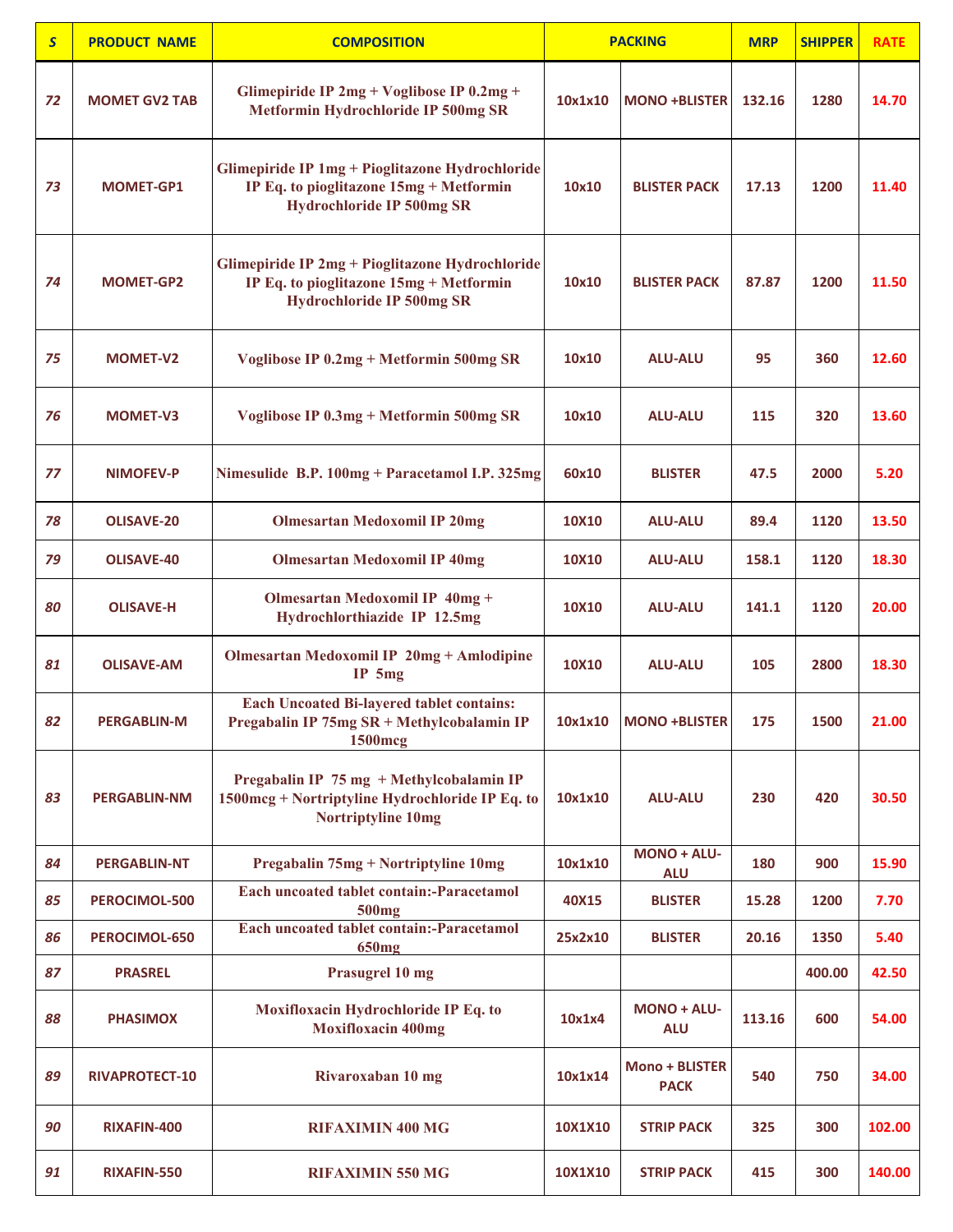| $\mathsf{S}$ | <b>PRODUCT NAME</b>   | <b>COMPOSITION</b>                                                                                                             |         | <b>PACKING</b>                       | <b>MRP</b> | <b>SHIPPER</b> | <b>RATE</b> |
|--------------|-----------------------|--------------------------------------------------------------------------------------------------------------------------------|---------|--------------------------------------|------------|----------------|-------------|
| 72           | <b>MOMET GV2 TAB</b>  | Glimepiride IP $2mg + Voglibose$ IP $0.2mg +$<br>Metformin Hydrochloride IP 500mg SR                                           | 10x1x10 | <b>MONO +BLISTER</b>                 | 132.16     | 1280           | 14.70       |
| 73           | MOMET-GP1             | Glimepiride IP 1mg + Pioglitazone Hydrochloride<br>IP Eq. to pioglitazone 15mg + Metformin<br><b>Hydrochloride IP 500mg SR</b> | 10x10   | <b>BLISTER PACK</b>                  | 17.13      | 1200           | 11.40       |
| 74           | <b>MOMET-GP2</b>      | Glimepiride IP 2mg + Pioglitazone Hydrochloride<br>IP Eq. to pioglitazone 15mg + Metformin<br><b>Hydrochloride IP 500mg SR</b> | 10x10   | <b>BLISTER PACK</b>                  | 87.87      | 1200           | 11.50       |
| 75           | <b>MOMET-V2</b>       | Voglibose IP 0.2mg + Metformin 500mg SR                                                                                        | 10x10   | <b>ALU-ALU</b>                       | 95         | 360            | 12.60       |
| 76           | <b>MOMET-V3</b>       | Voglibose IP 0.3mg + Metformin 500mg SR                                                                                        | 10x10   | <b>ALU-ALU</b>                       | 115        | 320            | 13.60       |
| 77           | <b>NIMOFEV-P</b>      | Nimesulide B.P. 100mg + Paracetamol I.P. 325mg                                                                                 | 60x10   | <b>BLISTER</b>                       | 47.5       | 2000           | 5.20        |
| 78           | <b>OLISAVE-20</b>     | <b>Olmesartan Medoxomil IP 20mg</b>                                                                                            | 10X10   | <b>ALU-ALU</b>                       | 89.4       | 1120           | 13.50       |
| 79           | <b>OLISAVE-40</b>     | <b>Olmesartan Medoxomil IP 40mg</b>                                                                                            | 10X10   | <b>ALU-ALU</b>                       | 158.1      | 1120           | 18.30       |
| 80           | <b>OLISAVE-H</b>      | Olmesartan Medoxomil IP 40mg +<br>Hydrochlorthiazide IP 12.5mg                                                                 | 10X10   | <b>ALU-ALU</b>                       | 141.1      | 1120           | 20.00       |
| 81           | <b>OLISAVE-AM</b>     | <b>Olmesartan Medoxomil IP 20mg + Amlodipine</b><br>$IP$ 5mg                                                                   | 10X10   | <b>ALU-ALU</b>                       | 105        | 2800           | 18.30       |
| 82           | <b>PERGABLIN-M</b>    | <b>Each Uncoated Bi-layered tablet contains:</b><br>Pregabalin IP 75mg SR + Methylcobalamin IP<br><b>1500mcg</b>               |         | 10x1x10 MONO +BLISTER                | 175        | 1500           | 21.00       |
| 83           | <b>PERGABLIN-NM</b>   | Pregabalin IP 75 mg + Methylcobalamin IP<br>1500mcg + Nortriptyline Hydrochloride IP Eq. to<br><b>Nortriptyline 10mg</b>       | 10x1x10 | <b>ALU-ALU</b>                       | 230        | 420            | 30.50       |
| 84           | <b>PERGABLIN-NT</b>   | Pregabalin 75mg + Nortriptyline 10mg                                                                                           | 10x1x10 | MONO + ALU-<br><b>ALU</b>            | 180        | 900            | 15.90       |
| 85           | PEROCIMOL-500         | <b>Each uncoated tablet contain:-Paracetamol</b><br><b>500mg</b>                                                               | 40X15   | <b>BLISTER</b>                       | 15.28      | 1200           | 7.70        |
| 86           | PEROCIMOL-650         | Each uncoated tablet contain:-Paracetamol<br><b>650mg</b>                                                                      | 25x2x10 | <b>BLISTER</b>                       | 20.16      | 1350           | 5.40        |
| 87           | <b>PRASREL</b>        | Prasugrel 10 mg                                                                                                                |         |                                      |            | 400.00         | 42.50       |
| 88           | <b>PHASIMOX</b>       | Moxifloxacin Hydrochloride IP Eq. to<br><b>Moxifloxacin 400mg</b>                                                              | 10x1x4  | <b>MONO + ALU-</b><br><b>ALU</b>     | 113.16     | 600            | 54.00       |
| 89           | <b>RIVAPROTECT-10</b> | Rivaroxaban 10 mg                                                                                                              | 10x1x14 | <b>Mono + BLISTER</b><br><b>PACK</b> | 540        | 750            | 34.00       |
| 90           | RIXAFIN-400           | <b>RIFAXIMIN 400 MG</b>                                                                                                        | 10X1X10 | <b>STRIP PACK</b>                    | 325        | 300            | 102.00      |
| 91           | RIXAFIN-550           | <b>RIFAXIMIN 550 MG</b>                                                                                                        | 10X1X10 | <b>STRIP PACK</b>                    | 415        | 300            | 140.00      |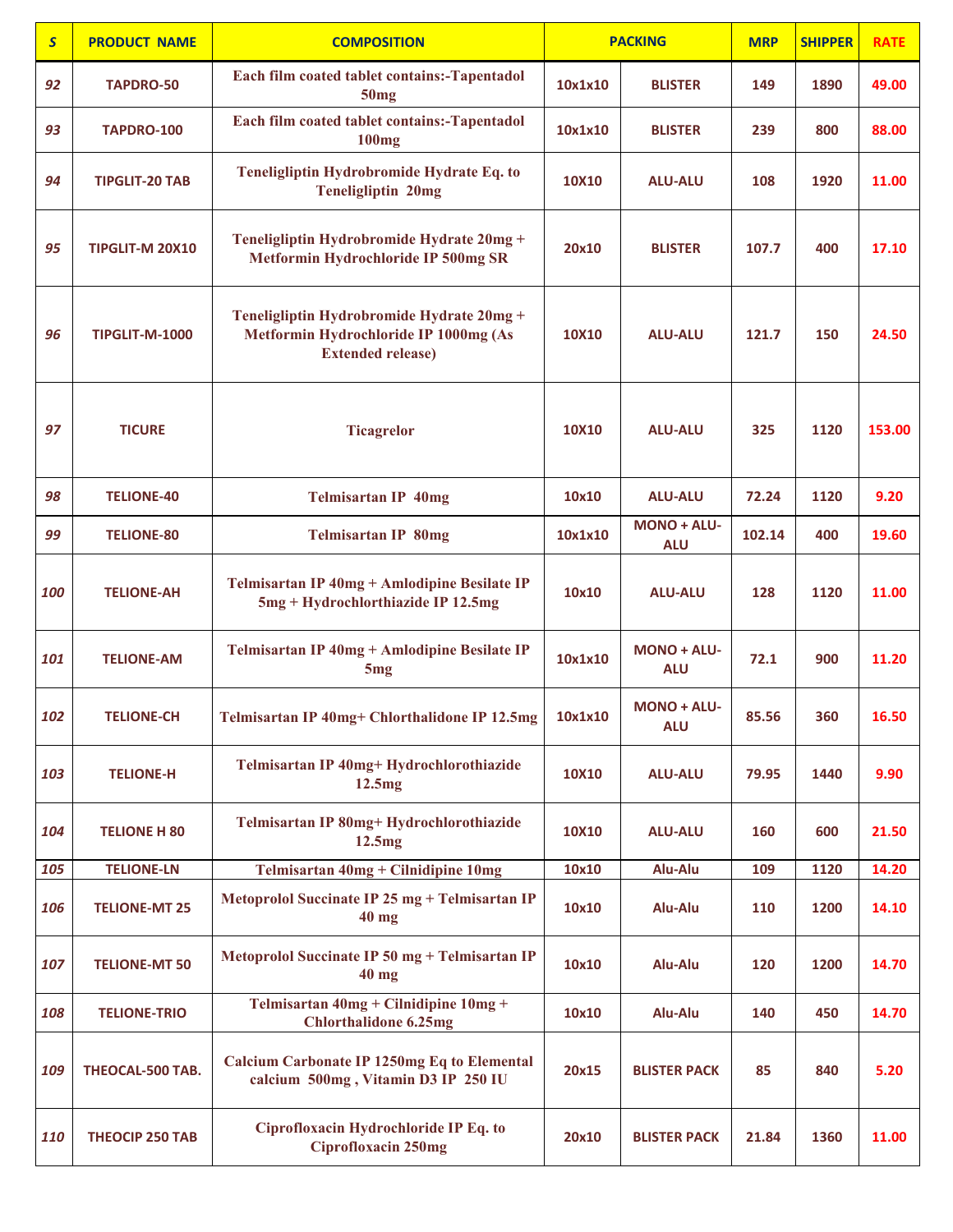| $\overline{\mathbf{S}}$ | <b>PRODUCT NAME</b>    | <b>COMPOSITION</b>                                                                                             |         | <b>PACKING</b>                   | <b>MRP</b> | <b>SHIPPER</b> | <b>RATE</b> |
|-------------------------|------------------------|----------------------------------------------------------------------------------------------------------------|---------|----------------------------------|------------|----------------|-------------|
| 92                      | TAPDRO-50              | Each film coated tablet contains:-Tapentadol<br>50mg                                                           | 10x1x10 | <b>BLISTER</b>                   | 149        | 1890           | 49.00       |
| 93                      | <b>TAPDRO-100</b>      | Each film coated tablet contains:-Tapentadol<br><b>100mg</b>                                                   | 10x1x10 | <b>BLISTER</b>                   | 239        | 800            | 88.00       |
| 94                      | <b>TIPGLIT-20 TAB</b>  | Teneligliptin Hydrobromide Hydrate Eq. to<br><b>Teneligliptin 20mg</b>                                         | 10X10   | <b>ALU-ALU</b>                   | 108        | 1920           | 11.00       |
| 95                      | TIPGLIT-M 20X10        | Teneligliptin Hydrobromide Hydrate 20mg +<br>Metformin Hydrochloride IP 500mg SR                               | 20x10   | <b>BLISTER</b>                   | 107.7      | 400            | 17.10       |
| 96                      | <b>TIPGLIT-M-1000</b>  | Teneligliptin Hydrobromide Hydrate 20mg +<br>Metformin Hydrochloride IP 1000mg (As<br><b>Extended release)</b> | 10X10   | <b>ALU-ALU</b>                   | 121.7      | 150            | 24.50       |
| 97                      | <b>TICURE</b>          | <b>Ticagrelor</b>                                                                                              | 10X10   | <b>ALU-ALU</b>                   | 325        | 1120           | 153.00      |
| 98                      | <b>TELIONE-40</b>      | <b>Telmisartan IP 40mg</b>                                                                                     | 10x10   | <b>ALU-ALU</b>                   | 72.24      | 1120           | 9.20        |
| 99                      | <b>TELIONE-80</b>      | <b>Telmisartan IP 80mg</b>                                                                                     | 10x1x10 | <b>MONO + ALU-</b><br><b>ALU</b> | 102.14     | 400            | 19.60       |
| 100                     | <b>TELIONE-AH</b>      | Telmisartan IP 40mg + Amlodipine Besilate IP<br>5mg + Hydrochlorthiazide IP 12.5mg                             | 10x10   | <b>ALU-ALU</b>                   | 128        | 1120           | 11.00       |
| 101                     | <b>TELIONE-AM</b>      | Telmisartan IP 40mg + Amlodipine Besilate IP<br>5 <sub>mg</sub>                                                | 10x1x10 | <b>MONO + ALU-</b><br><b>ALU</b> | 72.1       | 900            | 11.20       |
| 102                     | <b>TELIONE-CH</b>      | Telmisartan IP 40mg+ Chlorthalidone IP 12.5mg                                                                  | 10x1x10 | MONO + ALU-<br><b>ALU</b>        | 85.56      | 360            | 16.50       |
| 103                     | <b>TELIONE-H</b>       | Telmisartan IP 40mg+ Hydrochlorothiazide<br>12.5mg                                                             | 10X10   | <b>ALU-ALU</b>                   | 79.95      | 1440           | 9.90        |
| 104                     | <b>TELIONE H 80</b>    | Telmisartan IP 80mg+ Hydrochlorothiazide<br>12.5mg                                                             | 10X10   | <b>ALU-ALU</b>                   | 160        | 600            | 21.50       |
| 105                     | <b>TELIONE-LN</b>      | Telmisartan 40mg + Cilnidipine 10mg                                                                            | 10x10   | Alu-Alu                          | 109        | 1120           | 14.20       |
| 106                     | <b>TELIONE-MT 25</b>   | Metoprolol Succinate IP 25 mg + Telmisartan IP<br>$40$ mg                                                      | 10x10   | Alu-Alu                          | 110        | 1200           | 14.10       |
| 107                     | <b>TELIONE-MT 50</b>   | Metoprolol Succinate IP 50 mg + Telmisartan IP<br>$40$ mg                                                      | 10x10   | Alu-Alu                          | 120        | 1200           | 14.70       |
| 108                     | <b>TELIONE-TRIO</b>    | Telmisartan 40mg + Cilnidipine 10mg +<br><b>Chlorthalidone 6.25mg</b>                                          | 10x10   | Alu-Alu                          | 140        | 450            | 14.70       |
| 109                     | THEOCAL-500 TAB.       | <b>Calcium Carbonate IP 1250mg Eq to Elemental</b><br>calcium 500mg, Vitamin D3 IP 250 IU                      | 20x15   | <b>BLISTER PACK</b>              | 85         | 840            | 5.20        |
| 110                     | <b>THEOCIP 250 TAB</b> | Ciprofloxacin Hydrochloride IP Eq. to<br>Ciprofloxacin 250mg                                                   | 20x10   | <b>BLISTER PACK</b>              | 21.84      | 1360           | 11.00       |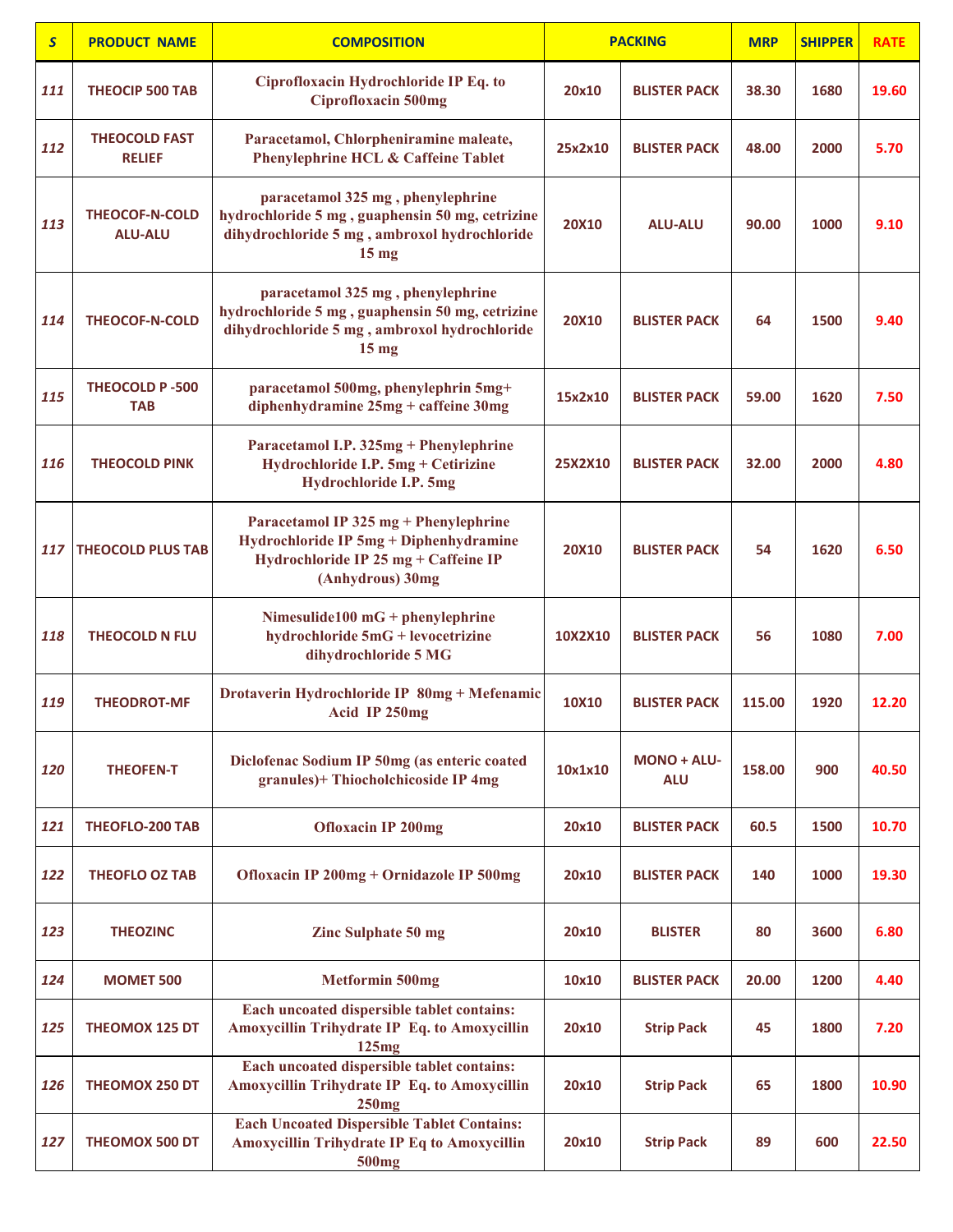| $\mathsf{S}$ | <b>PRODUCT NAME</b>                     | <b>COMPOSITION</b>                                                                                                                                      |              | <b>PACKING</b>            | <b>MRP</b> | <b>SHIPPER</b> | <b>RATE</b> |
|--------------|-----------------------------------------|---------------------------------------------------------------------------------------------------------------------------------------------------------|--------------|---------------------------|------------|----------------|-------------|
| 111          | <b>THEOCIP 500 TAB</b>                  | Ciprofloxacin Hydrochloride IP Eq. to<br><b>Ciprofloxacin 500mg</b>                                                                                     | 20x10        | <b>BLISTER PACK</b>       | 38.30      | 1680           | 19.60       |
| 112          | <b>THEOCOLD FAST</b><br><b>RELIEF</b>   | Paracetamol, Chlorpheniramine maleate,<br><b>Phenylephrine HCL &amp; Caffeine Tablet</b>                                                                | 25x2x10      | <b>BLISTER PACK</b>       | 48.00      | 2000           | 5.70        |
| 113          | <b>THEOCOF-N-COLD</b><br><b>ALU-ALU</b> | paracetamol 325 mg, phenylephrine<br>hydrochloride 5 mg, guaphensin 50 mg, cetrizine<br>dihydrochloride 5 mg, ambroxol hydrochloride<br>$15 \text{ mg}$ | <b>20X10</b> | <b>ALU-ALU</b>            | 90.00      | 1000           | 9.10        |
| 114          | THEOCOF-N-COLD                          | paracetamol 325 mg, phenylephrine<br>hydrochloride 5 mg, guaphensin 50 mg, cetrizine<br>dihydrochloride 5 mg, ambroxol hydrochloride<br>$15 \text{ mg}$ | <b>20X10</b> | <b>BLISTER PACK</b>       | 64         | 1500           | 9.40        |
| 115          | THEOCOLD P-500<br><b>TAB</b>            | paracetamol 500mg, phenylephrin 5mg+<br>diphenhydramine 25mg + caffeine 30mg                                                                            | 15x2x10      | <b>BLISTER PACK</b>       | 59.00      | 1620           | 7.50        |
| 116          | <b>THEOCOLD PINK</b>                    | Paracetamol I.P. 325mg + Phenylephrine<br>Hydrochloride I.P. 5mg + Cetirizine<br><b>Hydrochloride I.P. 5mg</b>                                          | 25X2X10      | <b>BLISTER PACK</b>       | 32.00      | 2000           | 4.80        |
| 117          | <b>THEOCOLD PLUS TAB</b>                | Paracetamol IP 325 mg + Phenylephrine<br>Hydrochloride IP 5mg + Diphenhydramine<br>Hydrochloride IP 25 mg + Caffeine IP<br>(Anhydrous) 30mg             | <b>20X10</b> | <b>BLISTER PACK</b>       | 54         | 1620           | 6.50        |
| 118          | <b>THEOCOLD N FLU</b>                   | Nimesulide100 $mG +$ phenylephrine<br>hydrochloride 5mG + levocetrizine<br>dihydrochloride 5 MG                                                         | 10X2X10      | <b>BLISTER PACK</b>       | 56         | 1080           | 7.00        |
| 119          | <b>THEODROT-MF</b>                      | Drotaverin Hydrochloride IP 80mg + Mefenamic<br>Acid IP 250mg                                                                                           | 10X10        | <b>BLISTER PACK</b>       | 115.00     | 1920           | 12.20       |
| 120          | <b>THEOFEN-T</b>                        | Diclofenac Sodium IP 50mg (as enteric coated<br>granules)+ Thiocholchicoside IP 4mg                                                                     | 10x1x10      | MONO + ALU-<br><b>ALU</b> | 158.00     | 900            | 40.50       |
| 121          | <b>THEOFLO-200 TAB</b>                  | <b>Ofloxacin IP 200mg</b>                                                                                                                               | 20x10        | <b>BLISTER PACK</b>       | 60.5       | 1500           | 10.70       |
| 122          | <b>THEOFLO OZ TAB</b>                   | Ofloxacin IP 200mg + Ornidazole IP 500mg                                                                                                                | 20x10        | <b>BLISTER PACK</b>       | 140        | 1000           | 19.30       |
| 123          | <b>THEOZINC</b>                         | <b>Zinc Sulphate 50 mg</b>                                                                                                                              | 20x10        | <b>BLISTER</b>            | 80         | 3600           | 6.80        |
| 124          | <b>MOMET 500</b>                        | <b>Metformin 500mg</b>                                                                                                                                  | 10x10        | <b>BLISTER PACK</b>       | 20.00      | 1200           | 4.40        |
| 125          | <b>THEOMOX 125 DT</b>                   | Each uncoated dispersible tablet contains:<br>Amoxycillin Trihydrate IP Eq. to Amoxycillin<br>125mg                                                     | 20x10        | <b>Strip Pack</b>         | 45         | 1800           | 7.20        |
| 126          | <b>THEOMOX 250 DT</b>                   | Each uncoated dispersible tablet contains:<br>Amoxycillin Trihydrate IP Eq. to Amoxycillin<br>250mg                                                     | 20x10        | <b>Strip Pack</b>         | 65         | 1800           | 10.90       |
| 127          | THEOMOX 500 DT                          | <b>Each Uncoated Dispersible Tablet Contains:</b><br><b>Amoxycillin Trihydrate IP Eq to Amoxycillin</b><br>500 <sub>mg</sub>                            | 20x10        | <b>Strip Pack</b>         | 89         | 600            | 22.50       |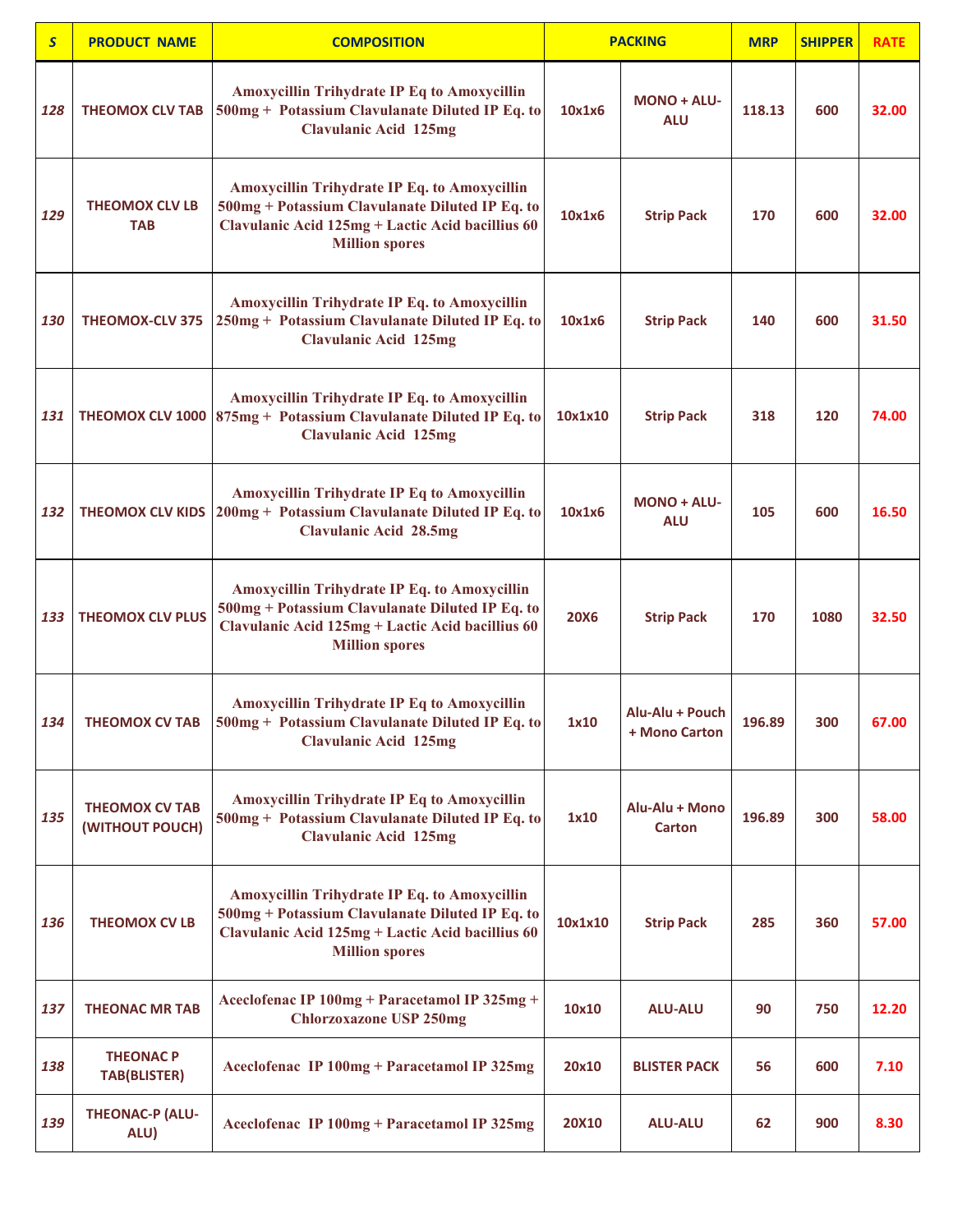| $\mathsf{S}$ | <b>PRODUCT NAME</b>                      | <b>COMPOSITION</b>                                                                                                                                                                  |             | <b>PACKING</b>                   | <b>MRP</b> | <b>SHIPPER</b> | <b>RATE</b> |
|--------------|------------------------------------------|-------------------------------------------------------------------------------------------------------------------------------------------------------------------------------------|-------------|----------------------------------|------------|----------------|-------------|
| 128          | <b>THEOMOX CLV TAB</b>                   | <b>Amoxycillin Trihydrate IP Eq to Amoxycillin</b><br>500mg + Potassium Clavulanate Diluted IP Eq. to<br><b>Clavulanic Acid 125mg</b>                                               | 10x1x6      | <b>MONO + ALU-</b><br><b>ALU</b> | 118.13     | 600            | 32.00       |
| 129          | <b>THEOMOX CLV LB</b><br><b>TAB</b>      | <b>Amoxycillin Trihydrate IP Eq. to Amoxycillin</b><br>500mg + Potassium Clavulanate Diluted IP Eq. to<br>Clavulanic Acid 125mg + Lactic Acid bacillius 60<br><b>Million spores</b> | 10x1x6      | <b>Strip Pack</b>                | 170        | 600            | 32.00       |
| 130          | <b>THEOMOX-CLV 375</b>                   | <b>Amoxycillin Trihydrate IP Eq. to Amoxycillin</b><br>250mg + Potassium Clavulanate Diluted IP Eq. to<br><b>Clavulanic Acid 125mg</b>                                              | 10x1x6      | <b>Strip Pack</b>                | 140        | 600            | 31.50       |
| 131          |                                          | Amoxycillin Trihydrate IP Eq. to Amoxycillin<br><b>THEOMOX CLV 1000</b> $ 875mg + Potassium Clavulanate Diluted IP Eq. to$<br><b>Clavulanic Acid 125mg</b>                          | 10x1x10     | <b>Strip Pack</b>                | 318        | 120            | 74.00       |
| 132          | <b>THEOMOX CLV KIDS</b>                  | <b>Amoxycillin Trihydrate IP Eq to Amoxycillin</b><br>200mg + Potassium Clavulanate Diluted IP Eq. to<br><b>Clavulanic Acid 28.5mg</b>                                              | 10x1x6      | MONO + ALU-<br><b>ALU</b>        | 105        | 600            | 16.50       |
| 133          | <b>THEOMOX CLV PLUS</b>                  | <b>Amoxycillin Trihydrate IP Eq. to Amoxycillin</b><br>500mg + Potassium Clavulanate Diluted IP Eq. to<br>Clavulanic Acid 125mg + Lactic Acid bacillius 60<br><b>Million spores</b> | <b>20X6</b> | <b>Strip Pack</b>                | 170        | 1080           | 32.50       |
| 134          | <b>THEOMOX CV TAB</b>                    | <b>Amoxycillin Trihydrate IP Eq to Amoxycillin</b><br>500mg + Potassium Clavulanate Diluted IP Eq. to<br><b>Clavulanic Acid 125mg</b>                                               | 1x10        | Alu-Alu + Pouch<br>+ Mono Carton | 196.89     | 300            | 67.00       |
| 135          | <b>THEOMOX CV TAB</b><br>(WITHOUT POUCH) | <b>Amoxycillin Trihydrate IP Eq to Amoxycillin</b><br>500mg + Potassium Clavulanate Diluted IP Eq. to<br><b>Clavulanic Acid 125mg</b>                                               | 1x10        | Alu-Alu + Mono<br>Carton         | 196.89     | 300            | 58.00       |
| 136          | <b>THEOMOX CV LB</b>                     | <b>Amoxycillin Trihydrate IP Eq. to Amoxycillin</b><br>500mg + Potassium Clavulanate Diluted IP Eq. to<br>Clavulanic Acid 125mg + Lactic Acid bacillius 60<br><b>Million spores</b> | 10x1x10     | <b>Strip Pack</b>                | 285        | 360            | 57.00       |
| 137          | <b>THEONAC MR TAB</b>                    | Aceclofenac IP 100mg + Paracetamol IP 325mg +<br><b>Chlorzoxazone USP 250mg</b>                                                                                                     | 10x10       | <b>ALU-ALU</b>                   | 90         | 750            | 12.20       |
| 138          | <b>THEONAC P</b><br><b>TAB(BLISTER)</b>  | Aceclofenac IP 100mg + Paracetamol IP 325mg                                                                                                                                         | 20x10       | <b>BLISTER PACK</b>              | 56         | 600            | 7.10        |
| 139          | <b>THEONAC-P (ALU-</b><br>ALU)           | Aceclofenac IP 100mg + Paracetamol IP 325mg                                                                                                                                         | 20X10       | <b>ALU-ALU</b>                   | 62         | 900            | 8.30        |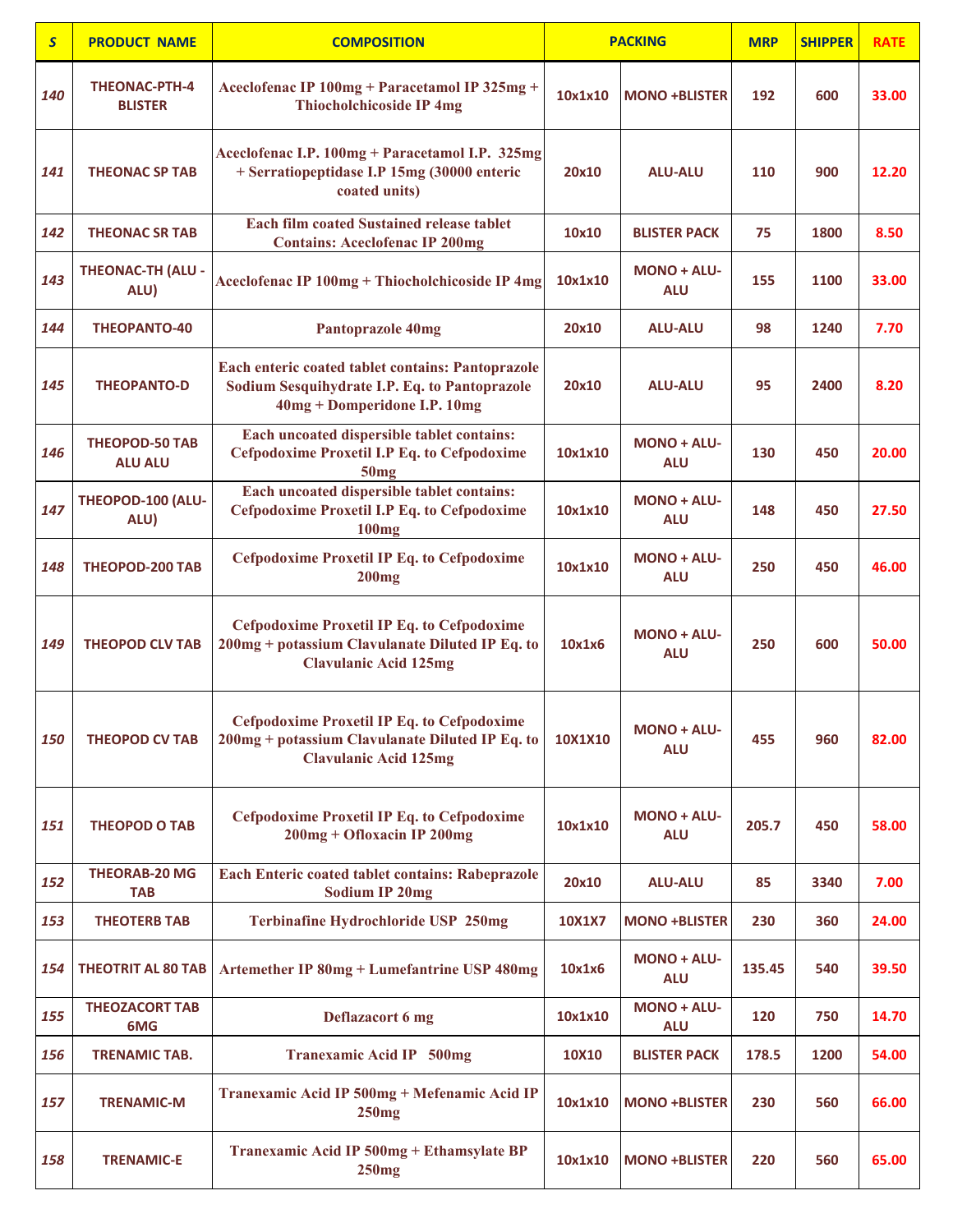| $\mathsf{S}$ | <b>PRODUCT NAME</b>                     | <b>COMPOSITION</b>                                                                                                                   |               | <b>PACKING</b>                   | <b>MRP</b> | <b>SHIPPER</b> | <b>RATE</b> |
|--------------|-----------------------------------------|--------------------------------------------------------------------------------------------------------------------------------------|---------------|----------------------------------|------------|----------------|-------------|
| 140          | <b>THEONAC-PTH-4</b><br><b>BLISTER</b>  | Aceclofenac IP 100mg + Paracetamol IP 325mg +<br><b>Thiocholchicoside IP 4mg</b>                                                     | 10x1x10       | <b>MONO +BLISTER</b>             | 192        | 600            | 33.00       |
| 141          | <b>THEONAC SP TAB</b>                   | Aceclofenac I.P. 100mg + Paracetamol I.P. 325mg<br>+ Serratiopeptidase I.P 15mg (30000 enteric<br>coated units)                      | 20x10         | <b>ALU-ALU</b>                   | 110        | 900            | 12.20       |
| 142          | <b>THEONAC SR TAB</b>                   | <b>Each film coated Sustained release tablet</b><br><b>Contains: Aceclofenac IP 200mg</b>                                            | 10x10         | <b>BLISTER PACK</b>              | 75         | 1800           | 8.50        |
| 143          | <b>THEONAC-TH (ALU -</b><br>ALU)        | Aceclofenac IP 100mg + Thiocholchicoside IP 4mg                                                                                      | 10x1x10       | <b>MONO + ALU-</b><br><b>ALU</b> | 155        | 1100           | 33.00       |
| 144          | <b>THEOPANTO-40</b>                     | <b>Pantoprazole 40mg</b>                                                                                                             | 20x10         | <b>ALU-ALU</b>                   | 98         | 1240           | 7.70        |
| 145          | <b>THEOPANTO-D</b>                      | Each enteric coated tablet contains: Pantoprazole<br>Sodium Sesquihydrate I.P. Eq. to Pantoprazole<br>40mg + Domperidone I.P. 10mg   | 20x10         | <b>ALU-ALU</b>                   | 95         | 2400           | 8.20        |
| 146          | <b>THEOPOD-50 TAB</b><br><b>ALU ALU</b> | Each uncoated dispersible tablet contains:<br><b>Cefpodoxime Proxetil I.P Eq. to Cefpodoxime</b><br>50mg                             | 10x1x10       | <b>MONO + ALU-</b><br><b>ALU</b> | 130        | 450            | 20.00       |
| 147          | THEOPOD-100 (ALU-<br>ALU)               | Each uncoated dispersible tablet contains:<br><b>Cefpodoxime Proxetil I.P Eq. to Cefpodoxime</b><br><b>100mg</b>                     | 10x1x10       | <b>MONO + ALU-</b><br><b>ALU</b> | 148        | 450            | 27.50       |
| 148          | <b>THEOPOD-200 TAB</b>                  | <b>Cefpodoxime Proxetil IP Eq. to Cefpodoxime</b><br><b>200mg</b>                                                                    | 10x1x10       | <b>MONO + ALU-</b><br><b>ALU</b> | 250        | 450            | 46.00       |
| 149          | <b>THEOPOD CLV TAB</b>                  | <b>Cefpodoxime Proxetil IP Eq. to Cefpodoxime</b><br>200mg + potassium Clavulanate Diluted IP Eq. to<br><b>Clavulanic Acid 125mg</b> | 10x1x6        | <b>MONO + ALU-</b><br><b>ALU</b> | 250        | 600            | 50.00       |
| 150          | <b>THEOPOD CV TAB</b>                   | <b>Cefpodoxime Proxetil IP Eq. to Cefpodoxime</b><br>200mg + potassium Clavulanate Diluted IP Eq. to<br><b>Clavulanic Acid 125mg</b> | 10X1X10       | <b>MONO + ALU-</b><br><b>ALU</b> | 455        | 960            | 82.00       |
| 151          | <b>THEOPOD O TAB</b>                    | <b>Cefpodoxime Proxetil IP Eq. to Cefpodoxime</b><br>200mg + Ofloxacin IP 200mg                                                      | 10x1x10       | MONO + ALU-<br><b>ALU</b>        | 205.7      | 450            | 58.00       |
| 152          | <b>THEORAB-20 MG</b><br>TAB             | Each Enteric coated tablet contains: Rabeprazole<br><b>Sodium IP 20mg</b>                                                            | 20x10         | <b>ALU-ALU</b>                   | 85         | 3340           | 7.00        |
| 153          | <b>THEOTERB TAB</b>                     | Terbinafine Hydrochloride USP 250mg                                                                                                  | <b>10X1X7</b> | <b>MONO +BLISTER</b>             | 230        | 360            | 24.00       |
| 154          | <b>THEOTRIT AL 80 TAB</b>               | Artemether IP 80mg + Lumefantrine USP 480mg                                                                                          | 10x1x6        | <b>MONO + ALU-</b><br><b>ALU</b> | 135.45     | 540            | 39.50       |
| 155          | <b>THEOZACORT TAB</b><br>6MG            | Deflazacort 6 mg                                                                                                                     | 10x1x10       | MONO + ALU-<br><b>ALU</b>        | 120        | 750            | 14.70       |
| 156          | <b>TRENAMIC TAB.</b>                    | <b>Tranexamic Acid IP 500mg</b>                                                                                                      | 10X10         | <b>BLISTER PACK</b>              | 178.5      | 1200           | 54.00       |
| 157          | <b>TRENAMIC-M</b>                       | Tranexamic Acid IP 500mg + Mefenamic Acid IP<br>250mg                                                                                | 10x1x10       | <b>MONO +BLISTER</b>             | 230        | 560            | 66.00       |
| 158          | <b>TRENAMIC-E</b>                       | Tranexamic Acid IP 500mg + Ethamsylate BP<br>250mg                                                                                   | 10x1x10       | <b>MONO +BLISTER</b>             | 220        | 560            | 65.00       |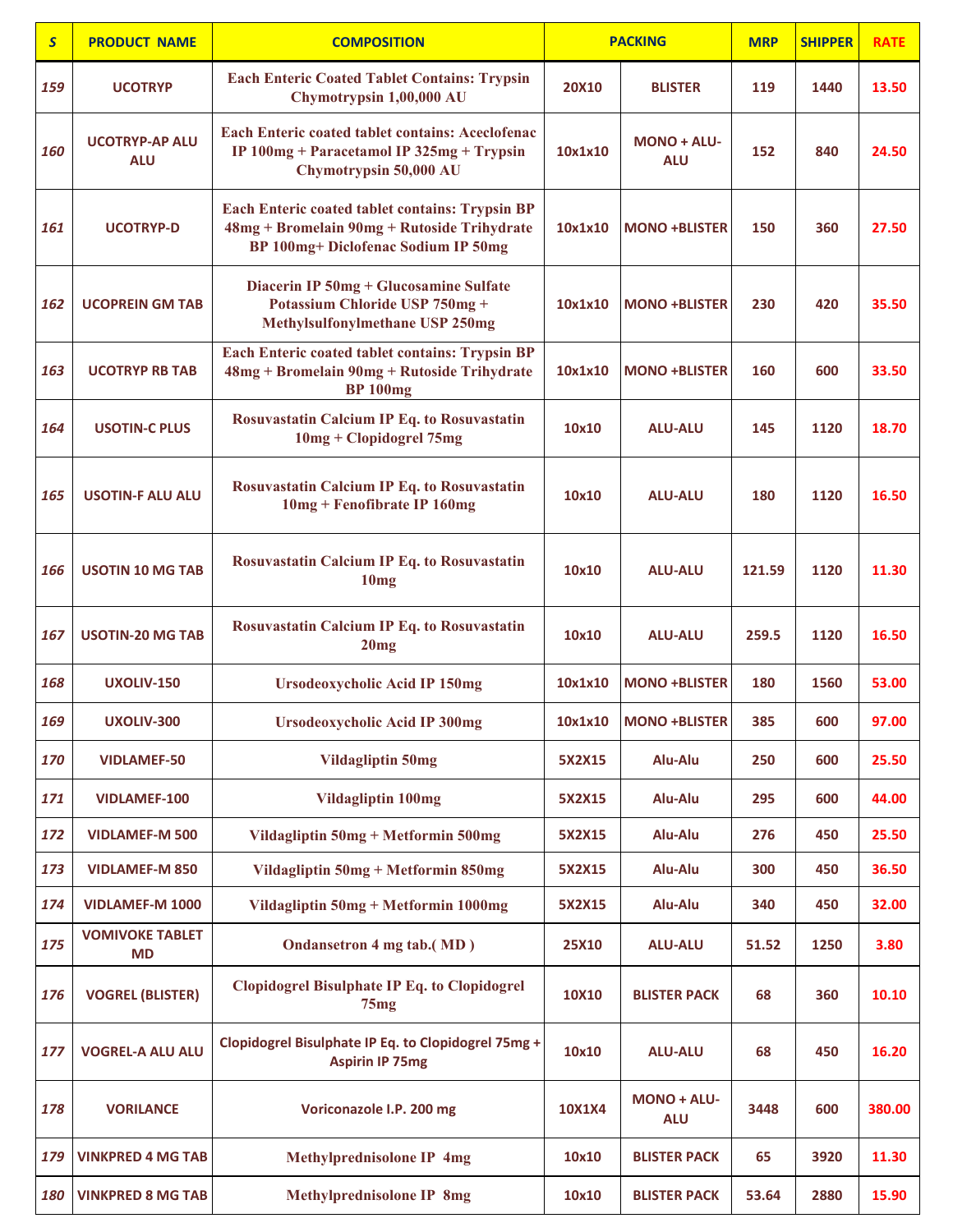| $\overline{\mathsf{S}}$ | <b>PRODUCT NAME</b>                 | <b>COMPOSITION</b>                                                                                                                    |               | <b>PACKING</b>                   | <b>MRP</b> | <b>SHIPPER</b> | <b>RATE</b> |
|-------------------------|-------------------------------------|---------------------------------------------------------------------------------------------------------------------------------------|---------------|----------------------------------|------------|----------------|-------------|
| 159                     | <b>UCOTRYP</b>                      | <b>Each Enteric Coated Tablet Contains: Trypsin</b><br>Chymotrypsin 1,00,000 AU                                                       | <b>20X10</b>  | <b>BLISTER</b>                   | 119        | 1440           | 13.50       |
| 160                     | <b>UCOTRYP-AP ALU</b><br><b>ALU</b> | <b>Each Enteric coated tablet contains: Aceclofenac</b><br>IP 100mg + Paracetamol IP 325mg + Trypsin<br>Chymotrypsin 50,000 AU        | 10x1x10       | <b>MONO + ALU-</b><br><b>ALU</b> | 152        | 840            | 24.50       |
| 161                     | <b>UCOTRYP-D</b>                    | Each Enteric coated tablet contains: Trypsin BP<br>48mg + Bromelain 90mg + Rutoside Trihydrate<br>BP 100mg+ Diclofenac Sodium IP 50mg | 10x1x10       | <b>MONO +BLISTER</b>             | 150        | 360            | 27.50       |
| 162                     | <b>UCOPREIN GM TAB</b>              | Diacerin IP 50mg + Glucosamine Sulfate<br>Potassium Chloride USP 750mg +<br>Methylsulfonylmethane USP 250mg                           | 10x1x10       | <b>MONO +BLISTER</b>             | 230        | 420            | 35.50       |
| 163                     | <b>UCOTRYP RB TAB</b>               | Each Enteric coated tablet contains: Trypsin BP<br>48mg + Bromelain 90mg + Rutoside Trihydrate<br><b>BP</b> 100 <sub>mg</sub>         | 10x1x10       | <b>MONO +BLISTER</b>             | 160        | 600            | 33.50       |
| 164                     | <b>USOTIN-C PLUS</b>                | Rosuvastatin Calcium IP Eq. to Rosuvastatin<br>10mg + Clopidogrel 75mg                                                                | 10x10         | <b>ALU-ALU</b>                   | 145        | 1120           | 18.70       |
| 165                     | <b>USOTIN-F ALU ALU</b>             | Rosuvastatin Calcium IP Eq. to Rosuvastatin<br>10mg + Fenofibrate IP 160mg                                                            | 10x10         | <b>ALU-ALU</b>                   | 180        | 1120           | 16.50       |
| 166                     | <b>USOTIN 10 MG TAB</b>             | Rosuvastatin Calcium IP Eq. to Rosuvastatin<br>10mg                                                                                   | 10x10         | <b>ALU-ALU</b>                   | 121.59     | 1120           | 11.30       |
| 167                     | <b>USOTIN-20 MG TAB</b>             | Rosuvastatin Calcium IP Eq. to Rosuvastatin<br>20mg                                                                                   | 10x10         | <b>ALU-ALU</b>                   | 259.5      | 1120           | 16.50       |
| 168                     | UXOLIV-150                          | <b>Ursodeoxycholic Acid IP 150mg</b>                                                                                                  | 10x1x10       | <b>MONO +BLISTER</b>             | 180        | 1560           | 53.00       |
| 169                     | UXOLIV-300                          | <b>Ursodeoxycholic Acid IP 300mg</b>                                                                                                  | 10x1x10       | <b>MONO +BLISTER</b>             | 385        | 600            | 97.00       |
| 170                     | <b>VIDLAMEF-50</b>                  | <b>Vildagliptin 50mg</b>                                                                                                              | 5X2X15        | Alu-Alu                          | 250        | 600            | 25.50       |
| 171                     | VIDLAMEF-100                        | <b>Vildagliptin 100mg</b>                                                                                                             | 5X2X15        | Alu-Alu                          | 295        | 600            | 44.00       |
| 172                     | <b>VIDLAMEF-M 500</b>               | Vildagliptin 50mg + Metformin 500mg                                                                                                   | 5X2X15        | Alu-Alu                          | 276        | 450            | 25.50       |
| 173                     | <b>VIDLAMEF-M 850</b>               | Vildagliptin 50mg + Metformin 850mg                                                                                                   | 5X2X15        | Alu-Alu                          | 300        | 450            | 36.50       |
| 174                     | <b>VIDLAMEF-M 1000</b>              | Vildagliptin 50mg + Metformin 1000mg                                                                                                  | 5X2X15        | Alu-Alu                          | 340        | 450            | 32.00       |
| 175                     | <b>VOMIVOKE TABLET</b><br>MD        | Ondansetron 4 mg tab.(MD)                                                                                                             | 25X10         | <b>ALU-ALU</b>                   | 51.52      | 1250           | 3.80        |
| 176                     | <b>VOGREL (BLISTER)</b>             | <b>Clopidogrel Bisulphate IP Eq. to Clopidogrel</b><br>75mg                                                                           | 10X10         | <b>BLISTER PACK</b>              | 68         | 360            | 10.10       |
| 177                     | <b>VOGREL-A ALU ALU</b>             | Clopidogrel Bisulphate IP Eq. to Clopidogrel 75mg +<br><b>Aspirin IP 75mg</b>                                                         | 10x10         | <b>ALU-ALU</b>                   | 68         | 450            | 16.20       |
| 178                     | <b>VORILANCE</b>                    | Voriconazole I.P. 200 mg                                                                                                              | <b>10X1X4</b> | <b>MONO + ALU-</b><br><b>ALU</b> | 3448       | 600            | 380.00      |
| 179                     | <b>VINKPRED 4 MG TAB</b>            | Methylprednisolone IP 4mg                                                                                                             | 10x10         | <b>BLISTER PACK</b>              | 65         | 3920           | 11.30       |
| 180                     | <b>VINKPRED 8 MG TAB</b>            | <b>Methylprednisolone IP 8mg</b>                                                                                                      | 10x10         | <b>BLISTER PACK</b>              | 53.64      | 2880           | 15.90       |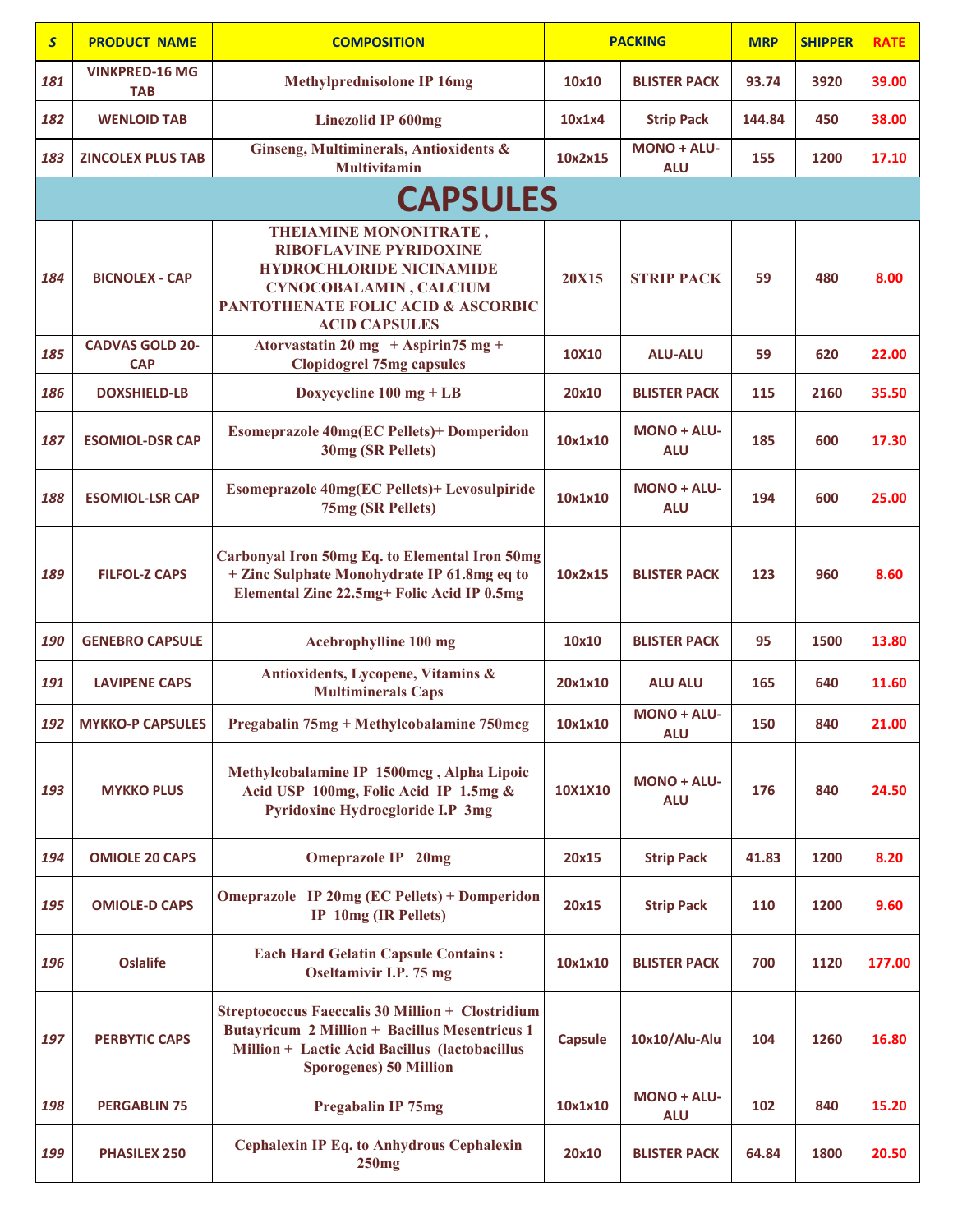| $\overline{\mathbf{S}}$ | <b>PRODUCT NAME</b>                  | <b>COMPOSITION</b>                                                                                                                                                                                   |                | <b>PACKING</b>                   | <b>MRP</b> | <b>SHIPPER</b> | <b>RATE</b> |
|-------------------------|--------------------------------------|------------------------------------------------------------------------------------------------------------------------------------------------------------------------------------------------------|----------------|----------------------------------|------------|----------------|-------------|
| 181                     | <b>VINKPRED-16 MG</b><br><b>TAB</b>  | <b>Methylprednisolone IP 16mg</b>                                                                                                                                                                    | 10x10          | <b>BLISTER PACK</b>              | 93.74      | 3920           | 39.00       |
| 182                     | <b>WENLOID TAB</b>                   | <b>Linezolid IP 600mg</b>                                                                                                                                                                            | 10x1x4         | <b>Strip Pack</b>                | 144.84     | 450            | 38.00       |
| 183                     | <b>ZINCOLEX PLUS TAB</b>             | Ginseng, Multiminerals, Antioxidents &<br><b>Multivitamin</b>                                                                                                                                        | 10x2x15        | <b>MONO + ALU-</b><br><b>ALU</b> | 155        | 1200           | 17.10       |
|                         |                                      | <b>CAPSULES</b>                                                                                                                                                                                      |                |                                  |            |                |             |
| 184                     | <b>BICNOLEX - CAP</b>                | <b>THEIAMINE MONONITRATE,</b><br><b>RIBOFLAVINE PYRIDOXINE</b><br><b>HYDROCHLORIDE NICINAMIDE</b><br>CYNOCOBALAMIN, CALCIUM<br><b>PANTOTHENATE FOLIC ACID &amp; ASCORBIC</b><br><b>ACID CAPSULES</b> | <b>20X15</b>   | <b>STRIP PACK</b>                | 59         | 480            | 8.00        |
| 185                     | <b>CADVAS GOLD 20-</b><br><b>CAP</b> | Atorvastatin 20 mg + Aspirin 75 mg +<br><b>Clopidogrel 75mg capsules</b>                                                                                                                             | 10X10          | <b>ALU-ALU</b>                   | 59         | 620            | 22.00       |
| 186                     | <b>DOXSHIELD-LB</b>                  | Doxycycline $100 \text{ mg} + \text{LB}$                                                                                                                                                             | 20x10          | <b>BLISTER PACK</b>              | 115        | 2160           | 35.50       |
| 187                     | <b>ESOMIOL-DSR CAP</b>               | <b>Esomeprazole 40mg(EC Pellets)+ Domperidon</b><br>30mg (SR Pellets)                                                                                                                                | 10x1x10        | <b>MONO + ALU-</b><br><b>ALU</b> | 185        | 600            | 17.30       |
| 188                     | <b>ESOMIOL-LSR CAP</b>               | Esomeprazole 40mg(EC Pellets)+ Levosulpiride<br>75mg (SR Pellets)                                                                                                                                    | 10x1x10        | <b>MONO + ALU-</b><br><b>ALU</b> | 194        | 600            | 25.00       |
| 189                     | <b>FILFOL-Z CAPS</b>                 | Carbonyal Iron 50mg Eq. to Elemental Iron 50mg<br>+ Zinc Sulphate Monohydrate IP 61.8mg eq to<br>Elemental Zinc 22.5mg+ Folic Acid IP 0.5mg                                                          | 10x2x15        | <b>BLISTER PACK</b>              | 123        | 960            | 8.60        |
| 190                     | <b>GENEBRO CAPSULE</b>               | Acebrophylline 100 mg                                                                                                                                                                                | 10x10          | <b>BLISTER PACK</b>              | 95         | 1500           | 13.80       |
| 191                     | <b>LAVIPENE CAPS</b>                 | Antioxidents, Lycopene, Vitamins &<br><b>Multiminerals Caps</b>                                                                                                                                      | 20x1x10        | <b>ALU ALU</b>                   | 165        | 640            | 11.60       |
| 192                     | <b>MYKKO-P CAPSULES</b>              | Pregabalin 75mg + Methylcobalamine 750mcg                                                                                                                                                            | 10x1x10        | <b>MONO + ALU-</b><br><b>ALU</b> | 150        | 840            | 21.00       |
| 193                     | <b>MYKKO PLUS</b>                    | Methylcobalamine IP 1500mcg, Alpha Lipoic<br>Acid USP 100mg, Folic Acid IP 1.5mg &<br>Pyridoxine Hydrocgloride I.P 3mg                                                                               | 10X1X10        | <b>MONO + ALU-</b><br><b>ALU</b> | 176        | 840            | 24.50       |
| 194                     | <b>OMIOLE 20 CAPS</b>                | <b>Omeprazole IP 20mg</b>                                                                                                                                                                            | 20x15          | <b>Strip Pack</b>                | 41.83      | 1200           | 8.20        |
| 195                     | <b>OMIOLE-D CAPS</b>                 | <b>Omeprazole</b> IP 20mg (EC Pellets) + Domperidon<br><b>IP 10mg (IR Pellets)</b>                                                                                                                   | 20x15          | <b>Strip Pack</b>                | 110        | 1200           | 9.60        |
| 196                     | <b>Oslalife</b>                      | <b>Each Hard Gelatin Capsule Contains:</b><br>Oseltamivir I.P. 75 mg                                                                                                                                 | 10x1x10        | <b>BLISTER PACK</b>              | 700        | 1120           | 177.00      |
| 197                     | <b>PERBYTIC CAPS</b>                 | <b>Streptococcus Faeccalis 30 Million + Clostridium</b><br><b>Butayricum 2 Million + Bacillus Mesentricus 1</b><br>Million + Lactic Acid Bacillus (lactobacillus<br><b>Sporogenes) 50 Million</b>    | <b>Capsule</b> | 10x10/Alu-Alu                    | 104        | 1260           | 16.80       |
| 198                     | <b>PERGABLIN 75</b>                  | <b>Pregabalin IP 75mg</b>                                                                                                                                                                            | 10x1x10        | <b>MONO + ALU-</b><br><b>ALU</b> | 102        | 840            | 15.20       |
| 199                     | <b>PHASILEX 250</b>                  | <b>Cephalexin IP Eq. to Anhydrous Cephalexin</b><br>250mg                                                                                                                                            | 20x10          | <b>BLISTER PACK</b>              | 64.84      | 1800           | 20.50       |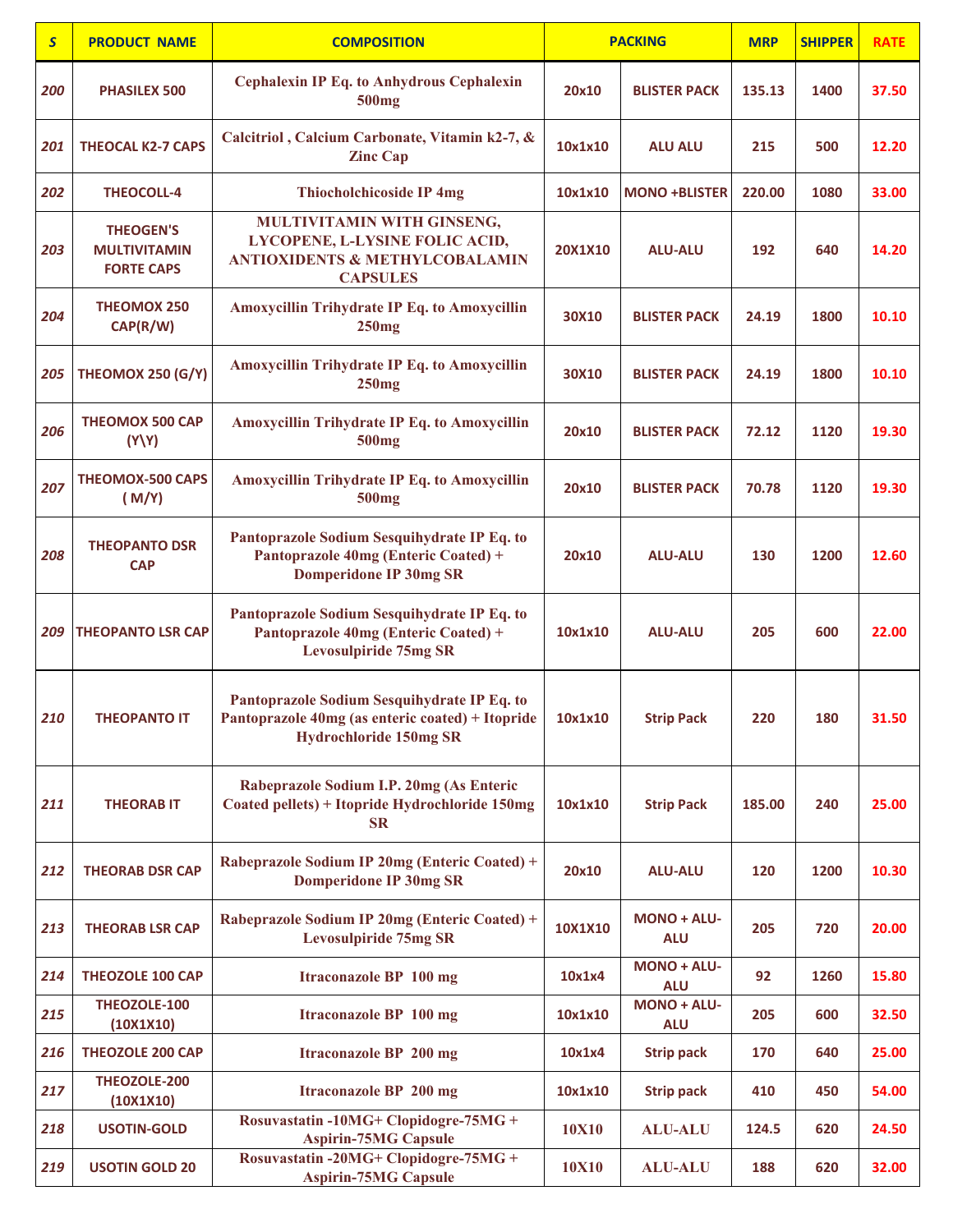| $\mathsf{s}$ | <b>PRODUCT NAME</b>                                          | <b>COMPOSITION</b>                                                                                                               |              | <b>PACKING</b>                   | <b>MRP</b> | <b>SHIPPER</b> | <b>RATE</b> |
|--------------|--------------------------------------------------------------|----------------------------------------------------------------------------------------------------------------------------------|--------------|----------------------------------|------------|----------------|-------------|
| 200          | <b>PHASILEX 500</b>                                          | <b>Cephalexin IP Eq. to Anhydrous Cephalexin</b><br>500 <sub>mg</sub>                                                            | 20x10        | <b>BLISTER PACK</b>              | 135.13     | 1400           | 37.50       |
| 201          | <b>THEOCAL K2-7 CAPS</b>                                     | Calcitriol, Calcium Carbonate, Vitamin k2-7, &<br><b>Zinc Cap</b>                                                                | 10x1x10      | <b>ALU ALU</b>                   | 215        | 500            | 12.20       |
| 202          | <b>THEOCOLL-4</b>                                            | <b>Thiocholchicoside IP 4mg</b>                                                                                                  | 10x1x10      | <b>MONO +BLISTER</b>             | 220.00     | 1080           | 33.00       |
| 203          | <b>THEOGEN'S</b><br><b>MULTIVITAMIN</b><br><b>FORTE CAPS</b> | MULTIVITAMIN WITH GINSENG,<br>LYCOPENE, L-LYSINE FOLIC ACID,<br><b>ANTIOXIDENTS &amp; METHYLCOBALAMIN</b><br><b>CAPSULES</b>     | 20X1X10      | <b>ALU-ALU</b>                   | 192        | 640            | 14.20       |
| 204          | <b>THEOMOX 250</b><br>CAP(R/W)                               | Amoxycillin Trihydrate IP Eq. to Amoxycillin<br>250mg                                                                            | 30X10        | <b>BLISTER PACK</b>              | 24.19      | 1800           | 10.10       |
| 205          | <b>THEOMOX 250 (G/Y)</b>                                     | Amoxycillin Trihydrate IP Eq. to Amoxycillin<br>250mg                                                                            | 30X10        | <b>BLISTER PACK</b>              | 24.19      | 1800           | 10.10       |
| 206          | <b>THEOMOX 500 CAP</b><br>(Y Y)                              | <b>Amoxycillin Trihydrate IP Eq. to Amoxycillin</b><br>500 <sub>mg</sub>                                                         | 20x10        | <b>BLISTER PACK</b>              | 72.12      | 1120           | 19.30       |
| 207          | <b>THEOMOX-500 CAPS</b><br>(M/Y)                             | <b>Amoxycillin Trihydrate IP Eq. to Amoxycillin</b><br>500 <sub>mg</sub>                                                         | 20x10        | <b>BLISTER PACK</b>              | 70.78      | 1120           | 19.30       |
| 208          | <b>THEOPANTO DSR</b><br><b>CAP</b>                           | Pantoprazole Sodium Sesquihydrate IP Eq. to<br>Pantoprazole 40mg (Enteric Coated) +<br><b>Domperidone IP 30mg SR</b>             | 20x10        | <b>ALU-ALU</b>                   | 130        | 1200           | 12.60       |
| 209          | <b>THEOPANTO LSR CAP</b>                                     | Pantoprazole Sodium Sesquihydrate IP Eq. to<br>Pantoprazole 40mg (Enteric Coated) +<br><b>Levosulpiride 75mg SR</b>              | 10x1x10      | <b>ALU-ALU</b>                   | 205        | 600            | 22.00       |
| 210          | <b>THEOPANTO IT</b>                                          | Pantoprazole Sodium Sesquihydrate IP Eq. to<br>Pantoprazole 40mg (as enteric coated) + Itopride<br><b>Hydrochloride 150mg SR</b> | 10x1x10      | <b>Strip Pack</b>                | 220        | 180            | 31.50       |
| 211          | <b>THEORAB IT</b>                                            | Rabeprazole Sodium I.P. 20mg (As Enteric<br>Coated pellets) + Itopride Hydrochloride 150mg<br><b>SR</b>                          | 10x1x10      | <b>Strip Pack</b>                | 185.00     | 240            | 25.00       |
| 212          | <b>THEORAB DSR CAP</b>                                       | Rabeprazole Sodium IP 20mg (Enteric Coated) +<br><b>Domperidone IP 30mg SR</b>                                                   | 20x10        | <b>ALU-ALU</b>                   | 120        | 1200           | 10.30       |
| 213          | <b>THEORAB LSR CAP</b>                                       | Rabeprazole Sodium IP 20mg (Enteric Coated) +<br><b>Levosulpiride 75mg SR</b>                                                    | 10X1X10      | $MONO + ALU -$<br><b>ALU</b>     | 205        | 720            | 20.00       |
| 214          | <b>THEOZOLE 100 CAP</b>                                      | <b>Itraconazole BP 100 mg</b>                                                                                                    | 10x1x4       | MONO + ALU-<br><b>ALU</b>        | 92         | 1260           | 15.80       |
| 215          | THEOZOLE-100<br>(10X1X10)                                    | <b>Itraconazole BP 100 mg</b>                                                                                                    | 10x1x10      | <b>MONO + ALU-</b><br><b>ALU</b> | 205        | 600            | 32.50       |
| 216          | <b>THEOZOLE 200 CAP</b>                                      | <b>Itraconazole BP 200 mg</b>                                                                                                    | 10x1x4       | <b>Strip pack</b>                | 170        | 640            | 25.00       |
| 217          | THEOZOLE-200<br>(10X1X10)                                    | <b>Itraconazole BP 200 mg</b>                                                                                                    | 10x1x10      | <b>Strip pack</b>                | 410        | 450            | 54.00       |
| 218          | <b>USOTIN-GOLD</b>                                           | Rosuvastatin -10MG+ Clopidogre-75MG +<br><b>Aspirin-75MG Capsule</b>                                                             | <b>10X10</b> | <b>ALU-ALU</b>                   | 124.5      | 620            | 24.50       |
| 219          | <b>USOTIN GOLD 20</b>                                        | Rosuvastatin -20MG+ Clopidogre-75MG +<br><b>Aspirin-75MG Capsule</b>                                                             | <b>10X10</b> | <b>ALU-ALU</b>                   | 188        | 620            | 32.00       |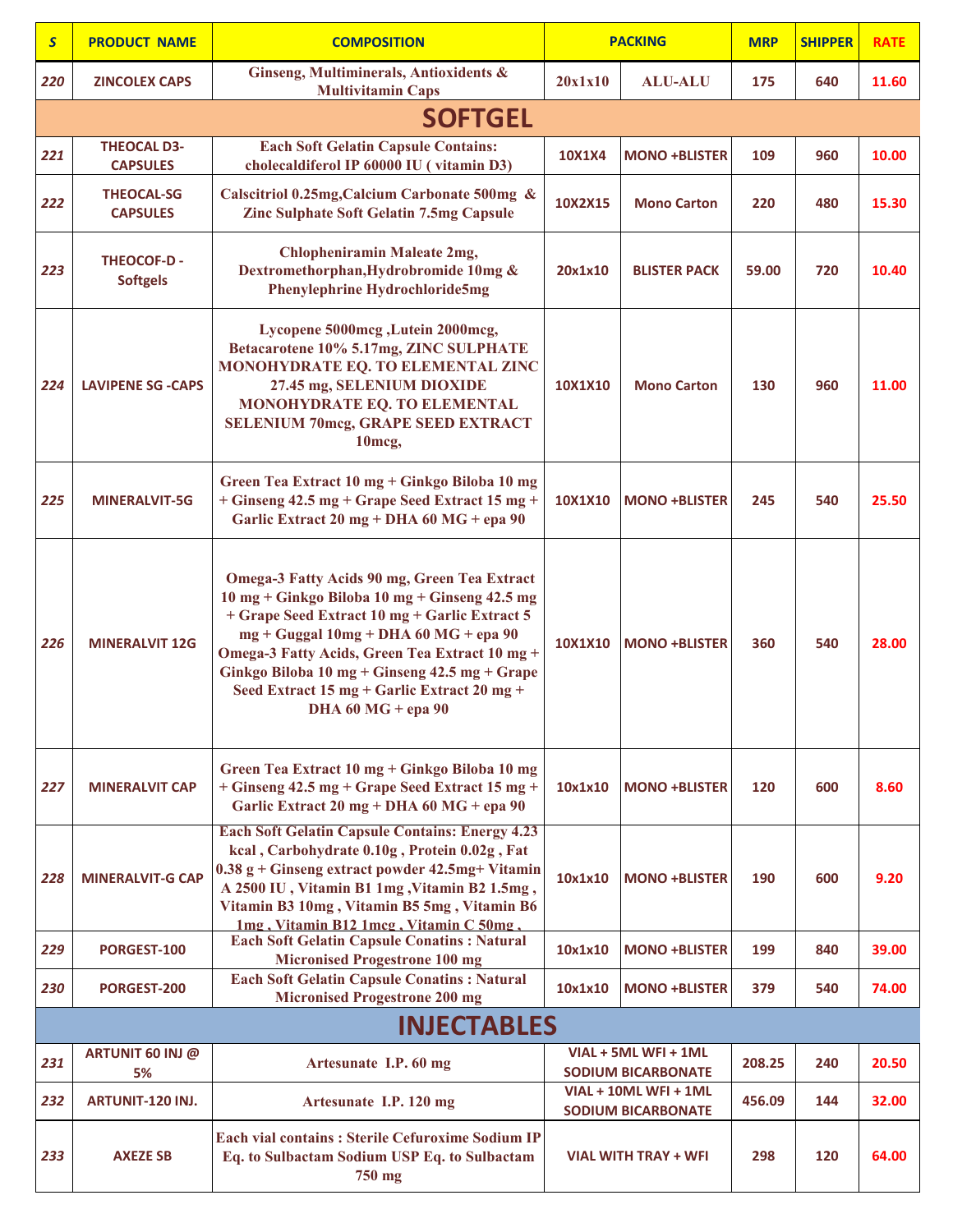| $\mathsf{S}$ | <b>PRODUCT NAME</b>                   | <b>COMPOSITION</b>                                                                                                                                                                                                                                                                                                                                                       | <b>PACKING</b> |                                                    | <b>MRP</b> | <b>SHIPPER</b> | <b>RATE</b> |
|--------------|---------------------------------------|--------------------------------------------------------------------------------------------------------------------------------------------------------------------------------------------------------------------------------------------------------------------------------------------------------------------------------------------------------------------------|----------------|----------------------------------------------------|------------|----------------|-------------|
| 220          | <b>ZINCOLEX CAPS</b>                  | Ginseng, Multiminerals, Antioxidents &<br><b>Multivitamin Caps</b>                                                                                                                                                                                                                                                                                                       | 20x1x10        | <b>ALU-ALU</b>                                     | 175        | 640            | 11.60       |
|              |                                       | <b>SOFTGEL</b>                                                                                                                                                                                                                                                                                                                                                           |                |                                                    |            |                |             |
| 221          | <b>THEOCAL D3-</b><br><b>CAPSULES</b> | <b>Each Soft Gelatin Capsule Contains:</b><br>cholecaldiferol IP 60000 IU (vitamin D3)                                                                                                                                                                                                                                                                                   | 10X1X4         | <b>MONO +BLISTER</b>                               | 109        | 960            | 10.00       |
| 222          | <b>THEOCAL-SG</b><br><b>CAPSULES</b>  | Calscitriol 0.25mg, Calcium Carbonate 500mg &<br><b>Zinc Sulphate Soft Gelatin 7.5mg Capsule</b>                                                                                                                                                                                                                                                                         | 10X2X15        | <b>Mono Carton</b>                                 | 220        | 480            | 15.30       |
| 223          | <b>THEOCOF-D-</b><br><b>Softgels</b>  | <b>Chlopheniramin Maleate 2mg,</b><br>Dextromethorphan, Hydrobromide 10mg &<br>Phenylephrine Hydrochloride5mg                                                                                                                                                                                                                                                            | 20x1x10        | <b>BLISTER PACK</b>                                | 59.00      | 720            | 10.40       |
| 224          | <b>LAVIPENE SG -CAPS</b>              | Lycopene 5000mcg, Lutein 2000mcg,<br>Betacarotene 10% 5.17mg, ZINC SULPHATE<br>MONOHYDRATE EQ. TO ELEMENTAL ZINC<br>27.45 mg, SELENIUM DIOXIDE<br>MONOHYDRATE EQ. TO ELEMENTAL<br><b>SELENIUM 70mcg, GRAPE SEED EXTRACT</b><br>10 <sub>mcg</sub>                                                                                                                         | 10X1X10        | <b>Mono Carton</b>                                 | 130        | 960            | 11.00       |
| 225          | <b>MINERALVIT-5G</b>                  | Green Tea Extract 10 mg + Ginkgo Biloba 10 mg<br>+ Ginseng 42.5 mg + Grape Seed Extract 15 mg +<br>Garlic Extract 20 mg + DHA 60 MG + epa 90                                                                                                                                                                                                                             | 10X1X10        | <b>MONO +BLISTER</b>                               | 245        | 540            | 25.50       |
| 226          | <b>MINERALVIT 12G</b>                 | Omega-3 Fatty Acids 90 mg, Green Tea Extract<br>10 mg + Ginkgo Biloba 10 mg + Ginseng 42.5 mg<br>+ Grape Seed Extract 10 mg + Garlic Extract 5<br>$mg + Guggal 10mg + DHA 60 MG + epa 90$<br>Omega-3 Fatty Acids, Green Tea Extract 10 mg +<br>Ginkgo Biloba 10 mg + Ginseng 42.5 mg + Grape<br>Seed Extract 15 mg + Garlic Extract 20 mg +<br><b>DHA 60 MG + epa 90</b> | 10X1X10        | <b>MONO +BLISTER</b>                               | 360        | 540            | 28.00       |
| 227          | <b>MINERALVIT CAP</b>                 | Green Tea Extract 10 mg + Ginkgo Biloba 10 mg<br>+ Ginseng 42.5 mg + Grape Seed Extract 15 mg +<br>Garlic Extract 20 mg + DHA 60 MG + epa 90                                                                                                                                                                                                                             | 10x1x10        | <b>MONO +BLISTER</b>                               | 120        | 600            | 8.60        |
| 228          | <b>MINERALVIT-G CAP</b>               | <b>Each Soft Gelatin Capsule Contains: Energy 4.23</b><br>kcal, Carbohydrate 0.10g, Protein 0.02g, Fat<br>$0.38$ g + Ginseng extract powder 42.5mg+ Vitamin<br>A 2500 IU, Vitamin B1 1mg, Vitamin B2 1.5mg,<br>Vitamin B3 10mg, Vitamin B5 5mg, Vitamin B6<br>1mg, Vitamin B12 1mcg, Vitamin C 50mg,                                                                     | 10x1x10        | <b>MONO +BLISTER</b>                               | 190        | 600            | 9.20        |
| 229          | PORGEST-100                           | <b>Each Soft Gelatin Capsule Conatins: Natural</b><br><b>Micronised Progestrone 100 mg</b>                                                                                                                                                                                                                                                                               | 10x1x10        | <b>MONO +BLISTER</b>                               | 199        | 840            | 39.00       |
| 230          | PORGEST-200                           | <b>Each Soft Gelatin Capsule Conatins: Natural</b><br><b>Micronised Progestrone 200 mg</b>                                                                                                                                                                                                                                                                               | 10x1x10        | <b>MONO +BLISTER</b>                               | 379        | 540            | 74.00       |
|              |                                       | <b>INJECTABLES</b>                                                                                                                                                                                                                                                                                                                                                       |                |                                                    |            |                |             |
| 231          | ARTUNIT 60 INJ @<br>5%                | Artesunate I.P. 60 mg                                                                                                                                                                                                                                                                                                                                                    |                | VIAL + 5ML WFI + 1ML<br><b>SODIUM BICARBONATE</b>  | 208.25     | 240            | 20.50       |
| 232          | <b>ARTUNIT-120 INJ.</b>               | Artesunate I.P. 120 mg                                                                                                                                                                                                                                                                                                                                                   |                | VIAL + 10ML WFI + 1ML<br><b>SODIUM BICARBONATE</b> | 456.09     | 144            | 32.00       |
| 233          | <b>AXEZE SB</b>                       | <b>Each vial contains: Sterile Cefuroxime Sodium IP</b><br>Eq. to Sulbactam Sodium USP Eq. to Sulbactam<br>750 mg                                                                                                                                                                                                                                                        |                | <b>VIAL WITH TRAY + WFI</b>                        | 298        | 120            | 64.00       |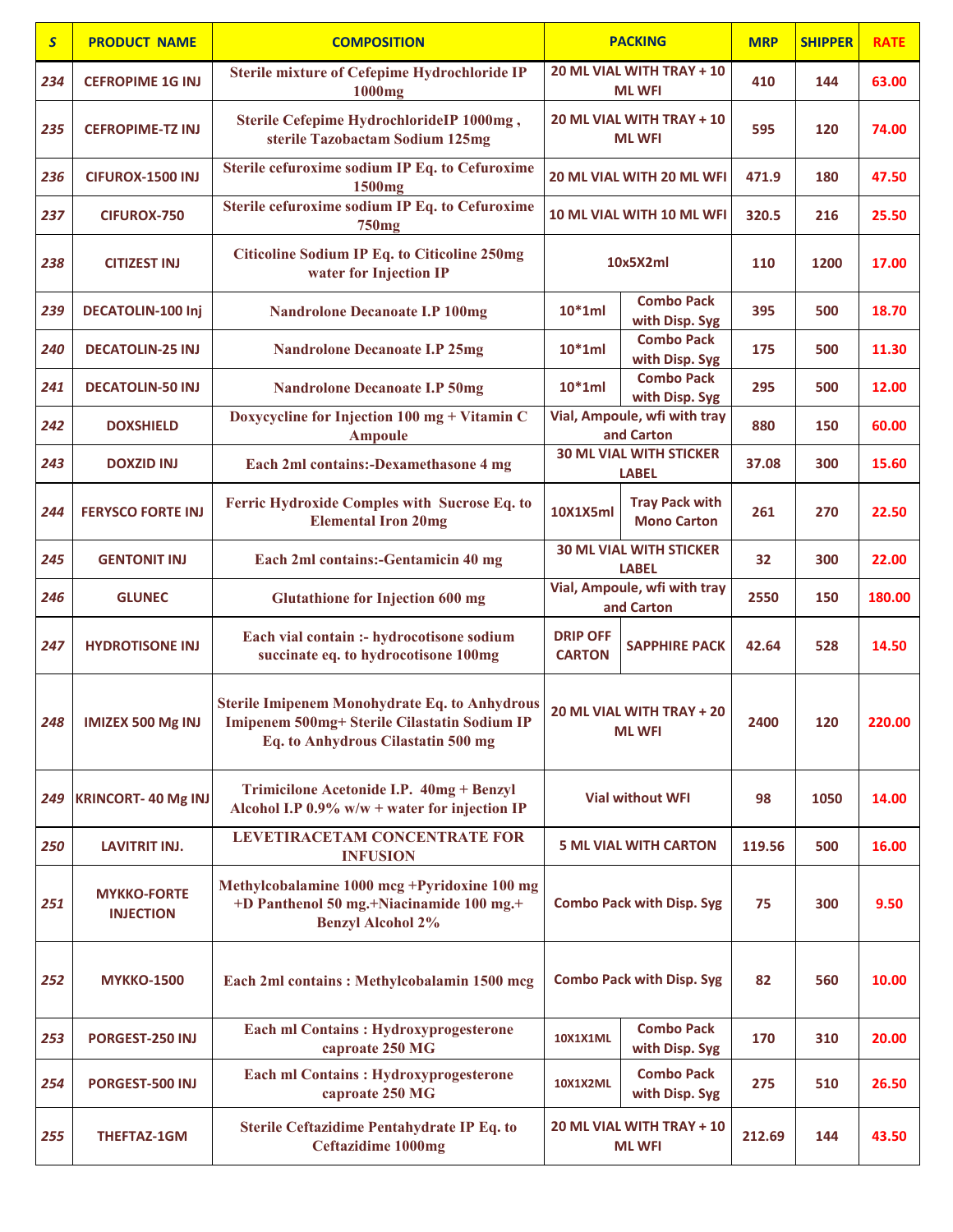| $\overline{\mathbf{S}}$ | <b>PRODUCT NAME</b>                    | <b>COMPOSITION</b>                                                                                                                         |                                                                | <b>PACKING</b>                                 | <b>MRP</b> | <b>SHIPPER</b> | <b>RATE</b> |
|-------------------------|----------------------------------------|--------------------------------------------------------------------------------------------------------------------------------------------|----------------------------------------------------------------|------------------------------------------------|------------|----------------|-------------|
| 234                     | <b>CEFROPIME 1G INJ</b>                | <b>Sterile mixture of Cefepime Hydrochloride IP</b><br>1000mg                                                                              |                                                                | 20 ML VIAL WITH TRAY + 10<br><b>ML WFI</b>     | 410        | 144            | 63.00       |
| 235                     | <b>CEFROPIME-TZ INJ</b>                | Sterile Cefepime HydrochlorideIP 1000mg,<br>sterile Tazobactam Sodium 125mg                                                                |                                                                | 20 ML VIAL WITH TRAY + 10<br><b>ML WFI</b>     | 595        | 120            | 74.00       |
| 236                     | CIFUROX-1500 INJ                       | Sterile cefuroxime sodium IP Eq. to Cefuroxime<br>1500mg                                                                                   |                                                                | 20 ML VIAL WITH 20 ML WFI                      | 471.9      | 180            | 47.50       |
| 237                     | <b>CIFUROX-750</b>                     | Sterile cefuroxime sodium IP Eq. to Cefuroxime<br>750 <sub>mg</sub>                                                                        |                                                                | 10 ML VIAL WITH 10 ML WFI                      | 320.5      | 216            | 25.50       |
| 238                     | <b>CITIZEST INJ</b>                    | <b>Citicoline Sodium IP Eq. to Citicoline 250mg</b><br>water for Injection IP                                                              |                                                                | 10x5X2ml                                       | 110        | 1200           | 17.00       |
| 239                     | DECATOLIN-100 Inj                      | <b>Nandrolone Decanoate I.P 100mg</b>                                                                                                      | $10*1ml$                                                       | <b>Combo Pack</b><br>with Disp. Syg            | 395        | 500            | 18.70       |
| 240                     | <b>DECATOLIN-25 INJ</b>                | <b>Nandrolone Decanoate I.P 25mg</b>                                                                                                       | $10*1ml$                                                       | <b>Combo Pack</b><br>with Disp. Syg            | 175        | 500            | 11.30       |
| 241                     | <b>DECATOLIN-50 INJ</b>                | <b>Nandrolone Decanoate I.P 50mg</b>                                                                                                       | $10*1ml$                                                       | <b>Combo Pack</b><br>with Disp. Syg            | 295        | 500            | 12.00       |
| 242                     | <b>DOXSHIELD</b>                       | Doxycycline for Injection 100 mg + Vitamin C<br><b>Ampoule</b>                                                                             |                                                                | Vial, Ampoule, wfi with tray<br>and Carton     | 880        | 150            | 60.00       |
| 243                     | <b>DOXZID INJ</b>                      | Each 2ml contains:-Dexamethasone 4 mg                                                                                                      |                                                                | <b>30 ML VIAL WITH STICKER</b><br><b>LABEL</b> | 37.08      | 300            | 15.60       |
| 244                     | <b>FERYSCO FORTE INJ</b>               | Ferric Hydroxide Comples with Sucrose Eq. to<br><b>Elemental Iron 20mg</b>                                                                 | <b>Tray Pack with</b><br><b>10X1X5ml</b><br><b>Mono Carton</b> |                                                | 261        | 270            | 22.50       |
| 245                     | <b>GENTONIT INJ</b>                    | Each 2ml contains:-Gentamicin 40 mg                                                                                                        | <b>30 ML VIAL WITH STICKER</b><br><b>LABEL</b>                 |                                                | 32         | 300            | 22.00       |
| 246                     | <b>GLUNEC</b>                          | <b>Glutathione for Injection 600 mg</b>                                                                                                    | Vial, Ampoule, wfi with tray<br>and Carton                     |                                                | 2550       | 150            | 180.00      |
| 247                     | <b>HYDROTISONE INJ</b>                 | Each vial contain :- hydrocotisone sodium<br>succinate eq. to hydrocotisone 100mg                                                          | <b>DRIP OFF</b><br><b>CARTON</b>                               | <b>SAPPHIRE PACK</b>                           | 42.64      | 528            | 14.50       |
| 248                     | <b>IMIZEX 500 Mg INJ</b>               | <b>Sterile Imipenem Monohydrate Eq. to Anhydrous</b><br>Imipenem 500mg+ Sterile Cilastatin Sodium IP<br>Eq. to Anhydrous Cilastatin 500 mg |                                                                | 20 ML VIAL WITH TRAY + 20<br><b>ML WFI</b>     | 2400       | 120            | 220.00      |
| 249                     | <b>KRINCORT-40 Mg INJ</b>              | Trimicilone Acetonide I.P. 40mg + Benzyl<br>Alcohol I.P $0.9\%$ w/w + water for injection IP                                               |                                                                | <b>Vial without WFI</b>                        | 98         | 1050           | 14.00       |
| 250                     | <b>LAVITRIT INJ.</b>                   | <b>LEVETIRACETAM CONCENTRATE FOR</b><br><b>INFUSION</b>                                                                                    |                                                                | <b>5 ML VIAL WITH CARTON</b>                   | 119.56     | 500            | 16.00       |
| 251                     | <b>MYKKO-FORTE</b><br><b>INJECTION</b> | Methylcobalamine 1000 mcg +Pyridoxine 100 mg<br>+D Panthenol 50 mg.+Niacinamide 100 mg.+<br><b>Benzyl Alcohol 2%</b>                       |                                                                | <b>Combo Pack with Disp. Syg</b>               | 75         | 300            | 9.50        |
| 252                     | <b>MYKKO-1500</b>                      | Each 2ml contains: Methylcobalamin 1500 mcg                                                                                                | <b>Combo Pack with Disp. Syg</b>                               |                                                | 82         | 560            | 10.00       |
| 253                     | PORGEST-250 INJ                        | <b>Each ml Contains: Hydroxyprogesterone</b><br>caproate 250 MG                                                                            | <b>10X1X1ML</b>                                                | <b>Combo Pack</b><br>with Disp. Syg            | 170        | 310            | 20.00       |
| 254                     | PORGEST-500 INJ                        | <b>Each ml Contains: Hydroxyprogesterone</b><br>caproate 250 MG                                                                            | <b>Combo Pack</b><br><b>10X1X2ML</b><br>with Disp. Syg         |                                                | 275        | 510            | 26.50       |
| 255                     | <b>THEFTAZ-1GM</b>                     | Sterile Ceftazidime Pentahydrate IP Eq. to<br><b>Ceftazidime 1000mg</b>                                                                    |                                                                | 20 ML VIAL WITH TRAY + 10<br><b>ML WFI</b>     | 212.69     | 144            | 43.50       |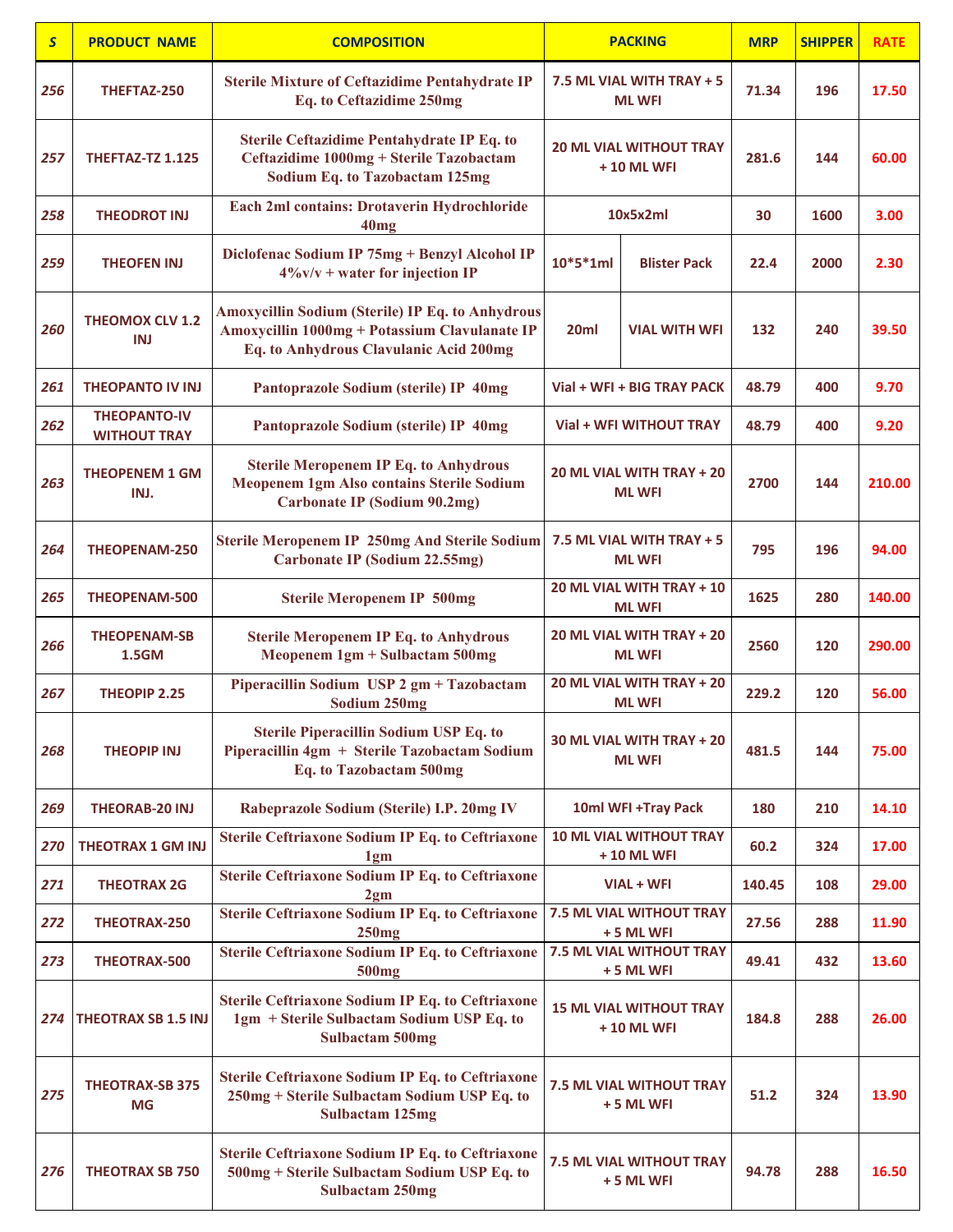| $\mathsf{S}$ | <b>PRODUCT NAME</b>                        | <b>COMPOSITION</b>                                                                                                                          |                                               | <b>PACKING</b>                                | <b>MRP</b> | <b>SHIPPER</b> | <b>RATE</b> |
|--------------|--------------------------------------------|---------------------------------------------------------------------------------------------------------------------------------------------|-----------------------------------------------|-----------------------------------------------|------------|----------------|-------------|
| 256          | THEFTAZ-250                                | <b>Sterile Mixture of Ceftazidime Pentahydrate IP</b><br>Eq. to Ceftazidime 250mg                                                           |                                               | 7.5 ML VIAL WITH TRAY + 5<br><b>ML WFI</b>    | 71.34      | 196            | 17.50       |
| 257          | <b>THEFTAZ-TZ 1.125</b>                    | Sterile Ceftazidime Pentahydrate IP Eq. to<br>Ceftazidime 1000mg + Sterile Tazobactam<br><b>Sodium Eq. to Tazobactam 125mg</b>              | <b>20 ML VIAL WITHOUT TRAY</b><br>+ 10 ML WFI |                                               | 281.6      | 144            | 60.00       |
| 258          | <b>THEODROT INJ</b>                        | Each 2ml contains: Drotaverin Hydrochloride<br>40mg                                                                                         |                                               | 10x5x2ml                                      | 30         | 1600           | 3.00        |
| 259          | <b>THEOFEN INJ</b>                         | Diclofenac Sodium IP 75mg + Benzyl Alcohol IP<br>$4\%$ v/v + water for injection IP                                                         | 10*5*1ml                                      | <b>Blister Pack</b>                           | 22.4       | 2000           | 2.30        |
| 260          | <b>THEOMOX CLV 1.2</b><br>INJ              | Amoxycillin Sodium (Sterile) IP Eq. to Anhydrous<br>Amoxycillin 1000mg + Potassium Clavulanate IP<br>Eq. to Anhydrous Clavulanic Acid 200mg | 20ml                                          | <b>VIAL WITH WFI</b>                          | 132        | 240            | 39.50       |
| 261          | <b>THEOPANTO IV INJ</b>                    | Pantoprazole Sodium (sterile) IP 40mg                                                                                                       |                                               | Vial + WFI + BIG TRAY PACK                    | 48.79      | 400            | 9.70        |
| 262          | <b>THEOPANTO-IV</b><br><b>WITHOUT TRAY</b> | Pantoprazole Sodium (sterile) IP 40mg                                                                                                       |                                               | Vial + WFI WITHOUT TRAY                       | 48.79      | 400            | 9.20        |
| 263          | <b>THEOPENEM 1 GM</b><br>INJ.              | <b>Sterile Meropenem IP Eq. to Anhydrous</b><br>Meopenem 1gm Also contains Sterile Sodium<br><b>Carbonate IP (Sodium 90.2mg)</b>            |                                               | 20 ML VIAL WITH TRAY + 20<br><b>ML WFI</b>    | 2700       | 144            | 210.00      |
| 264          | <b>THEOPENAM-250</b>                       | <b>Sterile Meropenem IP 250mg And Sterile Sodium</b><br><b>Carbonate IP (Sodium 22.55mg)</b>                                                | 7.5 ML VIAL WITH TRAY + 5<br><b>ML WFI</b>    |                                               | 795        | 196            | 94.00       |
| 265          | THEOPENAM-500                              | <b>Sterile Meropenem IP 500mg</b>                                                                                                           | 20 ML VIAL WITH TRAY + 10<br><b>ML WFI</b>    |                                               | 1625       | 280            | 140.00      |
| 266          | <b>THEOPENAM-SB</b><br>1.5GM               | <b>Sterile Meropenem IP Eq. to Anhydrous</b><br>Meopenem 1gm + Sulbactam 500mg                                                              | 20 ML VIAL WITH TRAY + 20<br><b>ML WFI</b>    |                                               | 2560       | 120            | 290.00      |
| 267          | <b>THEOPIP 2.25</b>                        | Piperacillin Sodium USP 2 gm + Tazobactam<br>Sodium 250mg                                                                                   |                                               | 20 ML VIAL WITH TRAY + 20<br><b>ML WFI</b>    | 229.2      | 120            | 56.00       |
| 268          | <b>THEOPIP INJ</b>                         | <b>Sterile Piperacillin Sodium USP Eq. to</b><br>Piperacillin 4gm + Sterile Tazobactam Sodium<br>Eq. to Tazobactam 500mg                    |                                               | 30 ML VIAL WITH TRAY + 20<br><b>ML WFI</b>    | 481.5      | 144            | 75.00       |
| 269          | <b>THEORAB-20 INJ</b>                      | Rabeprazole Sodium (Sterile) I.P. 20mg IV                                                                                                   |                                               | 10ml WFI +Tray Pack                           | 180        | 210            | 14.10       |
| 270          | <b>THEOTRAX 1 GM INJ</b>                   | <b>Sterile Ceftriaxone Sodium IP Eq. to Ceftriaxone</b><br>1gm                                                                              |                                               | <b>10 ML VIAL WITHOUT TRAY</b><br>+ 10 ML WFI | 60.2       | 324            | 17.00       |
| 271          | <b>THEOTRAX 2G</b>                         | <b>Sterile Ceftriaxone Sodium IP Eq. to Ceftriaxone</b><br>2 <sub>gm</sub>                                                                  |                                               | VIAL + WFI                                    | 140.45     | 108            | 29.00       |
| 272          | THEOTRAX-250                               | <b>Sterile Ceftriaxone Sodium IP Eq. to Ceftriaxone</b><br>250mg                                                                            |                                               | <b>7.5 ML VIAL WITHOUT TRAY</b><br>+5 ML WFI  | 27.56      | 288            | 11.90       |
| 273          | THEOTRAX-500                               | Sterile Ceftriaxone Sodium IP Eq. to Ceftriaxone<br>500 <sub>mg</sub>                                                                       |                                               | 7.5 ML VIAL WITHOUT TRAY<br>+5 ML WFI         | 49.41      | 432            | 13.60       |
| 274          | <b>THEOTRAX SB 1.5 INJ</b>                 | <b>Sterile Ceftriaxone Sodium IP Eq. to Ceftriaxone</b><br>1gm + Sterile Sulbactam Sodium USP Eq. to<br><b>Sulbactam 500mg</b>              | <b>15 ML VIAL WITHOUT TRAY</b><br>+ 10 ML WFI |                                               | 184.8      | 288            | 26.00       |
| 275          | <b>THEOTRAX-SB 375</b><br><b>MG</b>        | Sterile Ceftriaxone Sodium IP Eq. to Ceftriaxone<br>250mg + Sterile Sulbactam Sodium USP Eq. to<br><b>Sulbactam 125mg</b>                   |                                               | 7.5 ML VIAL WITHOUT TRAY<br>$+5$ ML WFI       | 51.2       | 324            | 13.90       |
| 276          | <b>THEOTRAX SB 750</b>                     | <b>Sterile Ceftriaxone Sodium IP Eq. to Ceftriaxone</b><br>500mg + Sterile Sulbactam Sodium USP Eq. to<br><b>Sulbactam 250mg</b>            |                                               | <b>7.5 ML VIAL WITHOUT TRAY</b><br>+5 ML WFI  | 94.78      | 288            | 16.50       |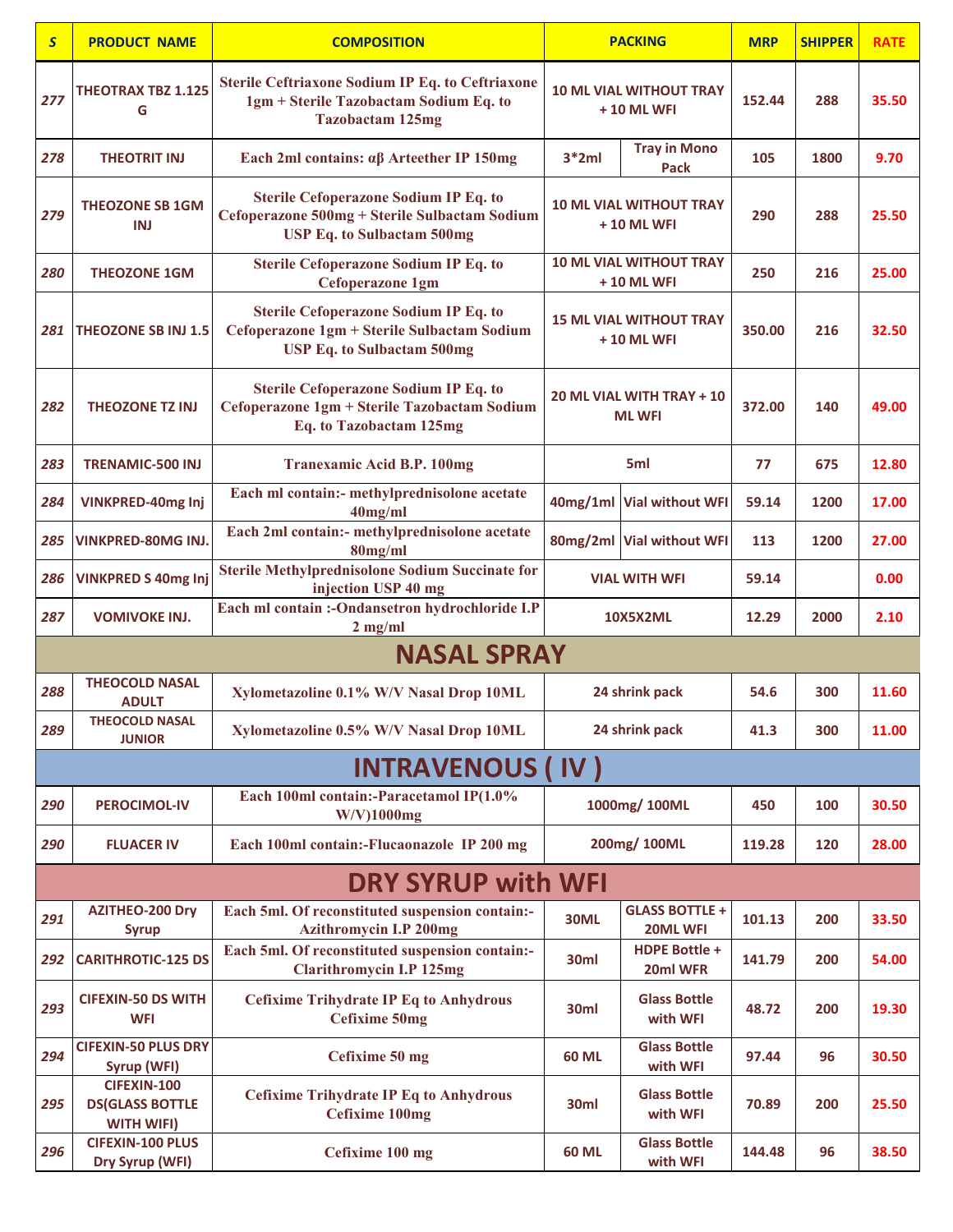| $\mathsf{S}$ | <b>PRODUCT NAME</b>                                               | <b>COMPOSITION</b>                                                                                                                 |                      | <b>PACKING</b>                                    | <b>MRP</b> | <b>SHIPPER</b> | <b>RATE</b> |
|--------------|-------------------------------------------------------------------|------------------------------------------------------------------------------------------------------------------------------------|----------------------|---------------------------------------------------|------------|----------------|-------------|
| 277          | <b>THEOTRAX TBZ 1.125</b><br>G                                    | <b>Sterile Ceftriaxone Sodium IP Eq. to Ceftriaxone</b><br>1gm + Sterile Tazobactam Sodium Eq. to<br><b>Tazobactam 125mg</b>       |                      | <b>10 ML VIAL WITHOUT TRAY</b><br>+ 10 ML WFI     | 152.44     | 288            | 35.50       |
| 278          | <b>THEOTRIT INJ</b>                                               | Each 2ml contains: $\alpha\beta$ Arteether IP 150mg                                                                                | $3*2ml$              | <b>Tray in Mono</b><br>Pack                       | 105        | 1800           | 9.70        |
| 279          | <b>THEOZONE SB 1GM</b><br>INJ                                     | <b>Sterile Cefoperazone Sodium IP Eq. to</b><br>Cefoperazone 500mg + Sterile Sulbactam Sodium<br><b>USP Eq. to Sulbactam 500mg</b> |                      | <b>10 ML VIAL WITHOUT TRAY</b><br>+ 10 ML WFI     | 290        | 288            | 25.50       |
| 280          | <b>THEOZONE 1GM</b>                                               | <b>Sterile Cefoperazone Sodium IP Eq. to</b><br><b>Cefoperazone 1gm</b>                                                            |                      | <b>10 ML VIAL WITHOUT TRAY</b><br>+ 10 ML WFI     | 250        | 216            | 25.00       |
| 281          | <b>THEOZONE SB INJ 1.5</b>                                        | <b>Sterile Cefoperazone Sodium IP Eq. to</b><br>Cefoperazone 1gm + Sterile Sulbactam Sodium<br><b>USP Eq. to Sulbactam 500mg</b>   |                      | <b>15 ML VIAL WITHOUT TRAY</b><br>+ 10 ML WFI     | 350.00     | 216            | 32.50       |
| 282          | <b>THEOZONE TZ INJ</b>                                            | <b>Sterile Cefoperazone Sodium IP Eq. to</b><br>Cefoperazone 1gm + Sterile Tazobactam Sodium<br>Eq. to Tazobactam 125mg            |                      | <b>20 ML VIAL WITH TRAY + 10</b><br><b>ML WFI</b> | 372.00     | 140            | 49.00       |
| 283          | <b>TRENAMIC-500 INJ</b>                                           | <b>Tranexamic Acid B.P. 100mg</b>                                                                                                  |                      | 5ml                                               | 77         | 675            | 12.80       |
| 284          | VINKPRED-40mg Inj                                                 | Each ml contain:- methylprednisolone acetate<br>$40$ mg/ml                                                                         |                      | 40mg/1ml Vial without WFI                         | 59.14      | 1200           | 17.00       |
| 285          | VINKPRED-80MG INJ.                                                | Each 2ml contain:- methylprednisolone acetate<br>$80$ mg/ml                                                                        |                      | 80mg/2ml Vial without WFI                         | 113        | 1200           | 27.00       |
| 286          | <b>VINKPRED S 40mg Inj</b>                                        | <b>Sterile Methylprednisolone Sodium Succinate for</b><br>injection USP 40 mg                                                      | <b>VIAL WITH WFI</b> |                                                   | 59.14      |                | 0.00        |
| 287          | <b>VOMIVOKE INJ.</b>                                              | Each ml contain :- Ondansetron hydrochloride I.P<br>$2$ mg/ml                                                                      | <b>10X5X2ML</b>      |                                                   | 12.29      | 2000           | 2.10        |
|              |                                                                   | <b>NASAL SPRAY</b>                                                                                                                 |                      |                                                   |            |                |             |
| 288          | <b>THEOCOLD NASAL</b><br><b>ADULT</b>                             | Xylometazoline 0.1% W/V Nasal Drop 10ML                                                                                            |                      | 24 shrink pack                                    | 54.6       | 300            | 11.60       |
| 289          | <b>THEOCOLD NASAL</b><br><b>JUNIOR</b>                            | Xylometazoline 0.5% W/V Nasal Drop 10ML                                                                                            |                      | 24 shrink pack                                    | 41.3       | 300            | 11.00       |
|              |                                                                   | <b>INTRAVENOUS (</b>                                                                                                               | $\mathsf{IV}$ )      |                                                   |            |                |             |
| 290          | <b>PEROCIMOL-IV</b>                                               | Each 100ml contain:-Paracetamol IP(1.0%<br>$W/V$ )1000mg                                                                           |                      | 1000mg/100ML                                      | 450        | 100            | 30.50       |
| 290          | <b>FLUACER IV</b>                                                 | Each 100ml contain:-Flucaonazole IP 200 mg                                                                                         |                      | 200mg/100ML                                       | 119.28     | 120            | 28.00       |
|              |                                                                   | <b>DRY SYRUP with WFI</b>                                                                                                          |                      |                                                   |            |                |             |
| 291          | <b>AZITHEO-200 Dry</b><br><b>Syrup</b>                            | Each 5ml. Of reconstituted suspension contain:-<br>Azithromycin I.P 200mg                                                          | <b>30ML</b>          | <b>GLASS BOTTLE +</b><br>20ML WFI                 | 101.13     | 200            | 33.50       |
| 292          | <b>CARITHROTIC-125 DS</b>                                         | Each 5ml. Of reconstituted suspension contain:-<br><b>Clarithromycin I.P 125mg</b>                                                 | 30ml                 | <b>HDPE Bottle +</b><br>20ml WFR                  | 141.79     | 200            | 54.00       |
| 293          | <b>CIFEXIN-50 DS WITH</b><br><b>WFI</b>                           | <b>Cefixime Trihydrate IP Eq to Anhydrous</b><br><b>Cefixime 50mg</b>                                                              | 30ml                 | <b>Glass Bottle</b><br>with WFI                   | 48.72      | 200            | 19.30       |
| 294          | <b>CIFEXIN-50 PLUS DRY</b><br>Syrup (WFI)                         | Cefixime 50 mg                                                                                                                     | <b>60 ML</b>         | <b>Glass Bottle</b><br>with WFI                   | 97.44      | 96             | 30.50       |
| 295          | <b>CIFEXIN-100</b><br><b>DS(GLASS BOTTLE</b><br><b>WITH WIFI)</b> | <b>Cefixime Trihydrate IP Eq to Anhydrous</b><br><b>Cefixime 100mg</b>                                                             | 30ml                 | <b>Glass Bottle</b><br>with WFI                   | 70.89      | 200            | 25.50       |
| 296          | <b>CIFEXIN-100 PLUS</b><br>Dry Syrup (WFI)                        | Cefixime 100 mg                                                                                                                    | <b>60 ML</b>         | <b>Glass Bottle</b><br>with WFI                   | 144.48     | 96             | 38.50       |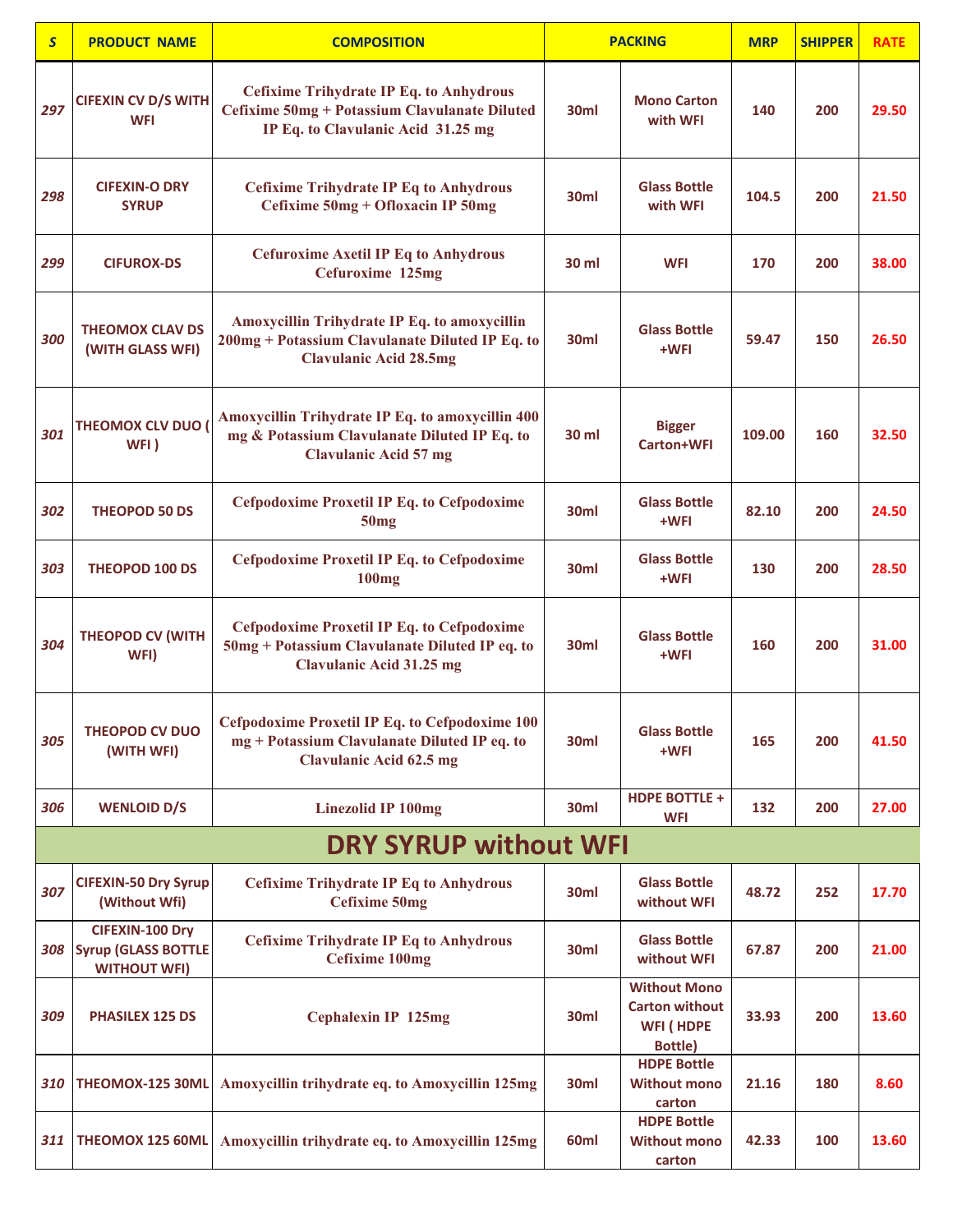| $\overline{\mathbf{S}}$ | <b>PRODUCT NAME</b>                                                  | <b>COMPOSITION</b>                                                                                                                     |                  | <b>PACKING</b>                                                              | <b>MRP</b> | <b>SHIPPER</b> | <b>RATE</b> |
|-------------------------|----------------------------------------------------------------------|----------------------------------------------------------------------------------------------------------------------------------------|------------------|-----------------------------------------------------------------------------|------------|----------------|-------------|
| 297                     | <b>CIFEXIN CV D/S WITH</b><br><b>WFI</b>                             | <b>Cefixime Trihydrate IP Eq. to Anhydrous</b><br>Cefixime 50mg + Potassium Clavulanate Diluted<br>IP Eq. to Clavulanic Acid 31.25 mg  | 30ml             | <b>Mono Carton</b><br>with WFI                                              | 140        | 200            | 29.50       |
| 298                     | <b>CIFEXIN-O DRY</b><br><b>SYRUP</b>                                 | <b>Cefixime Trihydrate IP Eq to Anhydrous</b><br>Cefixime 50mg + Ofloxacin IP 50mg                                                     | 30 <sub>ml</sub> | <b>Glass Bottle</b><br>with WFI                                             | 104.5      | 200            | 21.50       |
| 299                     | <b>CIFUROX-DS</b>                                                    | <b>Cefuroxime Axetil IP Eq to Anhydrous</b><br>Cefuroxime 125mg                                                                        | 30 ml            | <b>WFI</b>                                                                  | 170        | 200            | 38.00       |
| 300                     | <b>THEOMOX CLAV DS</b><br>(WITH GLASS WFI)                           | Amoxycillin Trihydrate IP Eq. to amoxycillin<br>200mg + Potassium Clavulanate Diluted IP Eq. to<br><b>Clavulanic Acid 28.5mg</b>       | 30ml             | <b>Glass Bottle</b><br>+WFI                                                 | 59.47      | 150            | 26.50       |
| 301                     | <b>THEOMOX CLV DUO (</b><br>WFI)                                     | Amoxycillin Trihydrate IP Eq. to amoxycillin 400<br>mg & Potassium Clavulanate Diluted IP Eq. to<br><b>Clavulanic Acid 57 mg</b>       | 30 ml            | <b>Bigger</b><br><b>Carton+WFI</b>                                          | 109.00     | 160            | 32.50       |
| 302                     | <b>THEOPOD 50 DS</b>                                                 | <b>Cefpodoxime Proxetil IP Eq. to Cefpodoxime</b><br>50mg                                                                              | 30 <sub>ml</sub> | <b>Glass Bottle</b><br>+WFI                                                 | 82.10      | 200            | 24.50       |
| 303                     | <b>THEOPOD 100 DS</b>                                                | <b>Cefpodoxime Proxetil IP Eq. to Cefpodoxime</b><br><b>100mg</b>                                                                      | 30 <sub>ml</sub> | <b>Glass Bottle</b><br>+WFI                                                 | 130        | 200            | 28.50       |
| 304                     | <b>THEOPOD CV (WITH</b><br>WFI)                                      | <b>Cefpodoxime Proxetil IP Eq. to Cefpodoxime</b><br>50mg + Potassium Clavulanate Diluted IP eq. to<br><b>Clavulanic Acid 31.25 mg</b> | 30 <sub>ml</sub> | <b>Glass Bottle</b><br>+WFI                                                 | 160        | 200            | 31.00       |
| 305                     | <b>THEOPOD CV DUO</b><br>(WITH WFI)                                  | Cefpodoxime Proxetil IP Eq. to Cefpodoxime 100<br>mg + Potassium Clavulanate Diluted IP eq. to<br><b>Clavulanic Acid 62.5 mg</b>       | 30 <sub>ml</sub> | <b>Glass Bottle</b><br>+WFI                                                 | 165        | 200            | 41.50       |
| 306                     | <b>WENLOID D/S</b>                                                   | <b>Linezolid IP 100mg</b>                                                                                                              | 30ml             | <b>HDPE BOTTLE +</b><br><b>WFI</b>                                          | 132        | 200            | 27.00       |
|                         |                                                                      | <b>DRY SYRUP without WFI</b>                                                                                                           |                  |                                                                             |            |                |             |
| 307                     | <b>CIFEXIN-50 Dry Syrup</b><br>(Without Wfi)                         | <b>Cefixime Trihydrate IP Eq to Anhydrous</b><br><b>Cefixime 50mg</b>                                                                  | 30ml             | <b>Glass Bottle</b><br>without WFI                                          | 48.72      | 252            | 17.70       |
| 308                     | CIFEXIN-100 Dry<br><b>Syrup (GLASS BOTTLE</b><br><b>WITHOUT WFI)</b> | <b>Cefixime Trihydrate IP Eq to Anhydrous</b><br><b>Cefixime 100mg</b>                                                                 | 30ml             | <b>Glass Bottle</b><br>without WFI                                          | 67.87      | 200            | 21.00       |
| 309                     | <b>PHASILEX 125 DS</b>                                               | <b>Cephalexin IP 125mg</b>                                                                                                             | 30 <sub>ml</sub> | <b>Without Mono</b><br><b>Carton without</b><br><b>WFI (HDPE</b><br>Bottle) | 33.93      | 200            | 13.60       |
| 310                     | THEOMOX-125 30ML                                                     | Amoxycillin trihydrate eq. to Amoxycillin 125mg                                                                                        | 30ml             | <b>HDPE Bottle</b><br><b>Without mono</b><br>carton                         | 21.16      | 180            | 8.60        |
| 311                     | THEOMOX 125 60ML                                                     | Amoxycillin trihydrate eq. to Amoxycillin 125mg                                                                                        | 60ml             | <b>HDPE Bottle</b><br><b>Without mono</b><br>carton                         | 42.33      | 100            | 13.60       |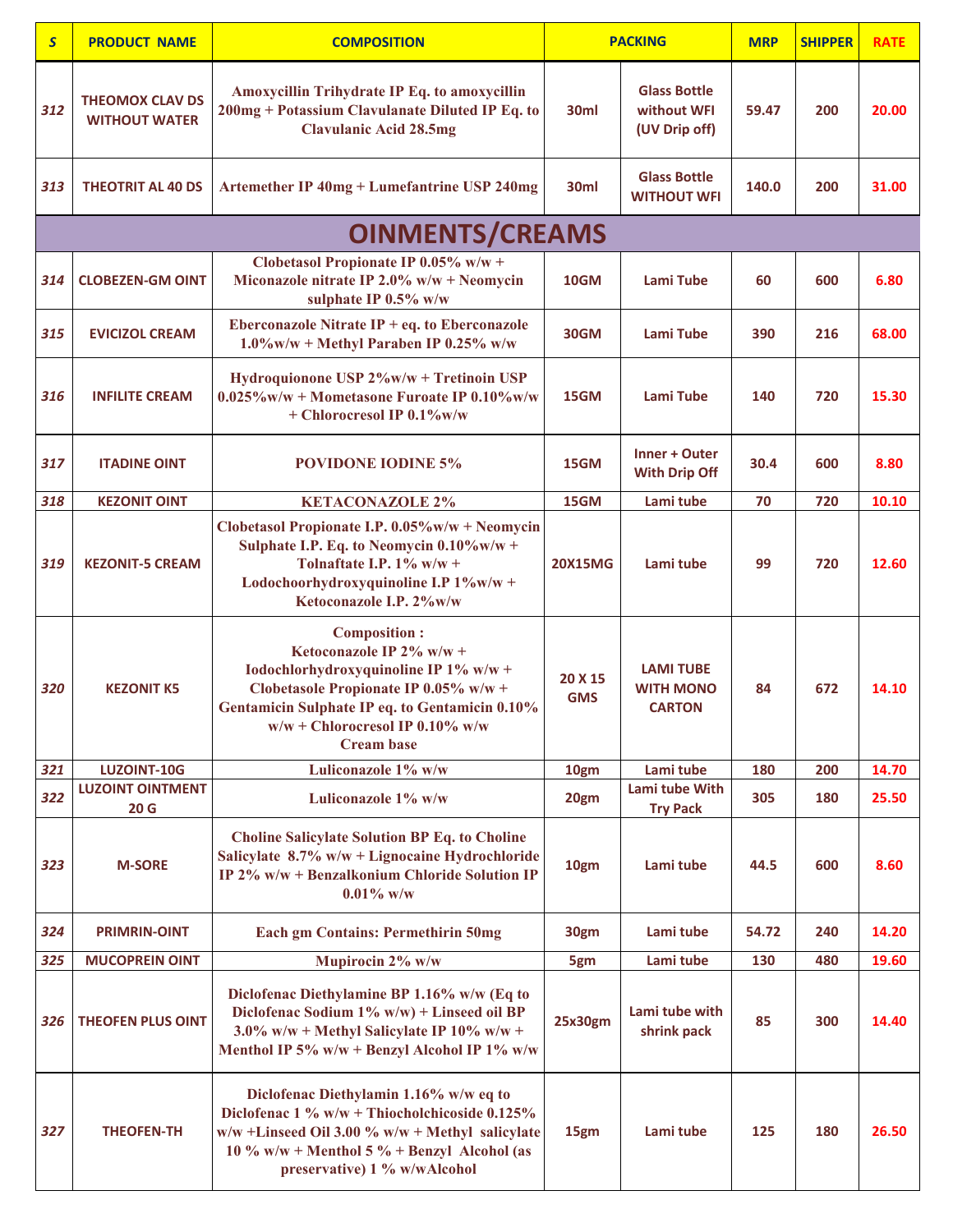| $\overline{\mathbf{S}}$ | <b>PRODUCT NAME</b>                            | <b>COMPOSITION</b>                                                                                                                                                                                                                            | <b>PACKING</b>        |                                                       | <b>MRP</b> | <b>SHIPPER</b> | <b>RATE</b> |
|-------------------------|------------------------------------------------|-----------------------------------------------------------------------------------------------------------------------------------------------------------------------------------------------------------------------------------------------|-----------------------|-------------------------------------------------------|------------|----------------|-------------|
| 312                     | <b>THEOMOX CLAV DS</b><br><b>WITHOUT WATER</b> | Amoxycillin Trihydrate IP Eq. to amoxycillin<br>200mg + Potassium Clavulanate Diluted IP Eq. to<br><b>Clavulanic Acid 28.5mg</b>                                                                                                              | 30ml                  | <b>Glass Bottle</b><br>without WFI<br>(UV Drip off)   | 59.47      | 200            | 20.00       |
| 313                     | <b>THEOTRIT AL 40 DS</b>                       | <b>Artemether IP 40mg + Lumefantrine USP 240mg</b>                                                                                                                                                                                            | 30 <sub>ml</sub>      | <b>Glass Bottle</b><br><b>WITHOUT WFI</b>             | 140.0      | 200            | 31.00       |
|                         |                                                | <b>OINMENTS/CREAMS</b>                                                                                                                                                                                                                        |                       |                                                       |            |                |             |
| 314                     | <b>CLOBEZEN-GM OINT</b>                        | Clobetasol Propionate IP 0.05% w/w +<br>Miconazole nitrate IP 2.0% $w/w + N$ eomycin<br>sulphate IP 0.5% w/w                                                                                                                                  | 10GM                  | Lami Tube                                             | 60         | 600            | 6.80        |
| 315                     | <b>EVICIZOL CREAM</b>                          | Eberconazole Nitrate $IP + eq$ . to Eberconazole<br>$1.0\%$ w/w + Methyl Paraben IP 0.25% w/w                                                                                                                                                 | <b>30GM</b>           | Lami Tube                                             | 390        | 216            | 68.00       |
| 316                     | <b>INFILITE CREAM</b>                          | Hydroquionone USP 2%w/w + Tretinoin USP<br>$0.025\%$ w/w + Mometasone Furoate IP $0.10\%$ w/w<br>+ Chlorocresol IP 0.1%w/w                                                                                                                    | 15GM                  | <b>Lami Tube</b>                                      | 140        | 720            | 15.30       |
| 317                     | <b>ITADINE OINT</b>                            | <b>POVIDONE IODINE 5%</b>                                                                                                                                                                                                                     | 15GM                  | Inner + Outer<br><b>With Drip Off</b>                 | 30.4       | 600            | 8.80        |
| 318                     | <b>KEZONIT OINT</b>                            | <b>KETACONAZOLE 2%</b>                                                                                                                                                                                                                        | 15GM                  | Lami tube                                             | 70         | 720            | 10.10       |
| 319                     | <b>KEZONIT-5 CREAM</b>                         | Clobetasol Propionate I.P. 0.05%w/w + Neomycin<br>Sulphate I.P. Eq. to Neomycin $0.10\%$ w/w +<br>Tolnaftate I.P. $1\%$ w/w +<br>Lodochoorhydroxyquinoline I.P 1%w/w +<br>Ketoconazole I.P. 2%w/w                                             | <b>20X15MG</b>        | Lami tube                                             | 99         | 720            | 12.60       |
| 320                     | <b>KEZONIT K5</b>                              | <b>Composition:</b><br>Ketoconazole IP 2% w/w +<br>Iodochlorhydroxyquinoline IP 1% w/w +<br>Clobetasole Propionate IP 0.05% w/w +<br>Gentamicin Sulphate IP eq. to Gentamicin 0.10%<br>$w/w + Chlorocresol IP$ 0.10% w/w<br><b>Cream base</b> | 20 X 15<br><b>GMS</b> | <b>LAMI TUBE</b><br><b>WITH MONO</b><br><b>CARTON</b> | 84         | 672            | 14.10       |
| 321                     | LUZOINT-10G                                    | Luliconazole 1% w/w                                                                                                                                                                                                                           | 10gm                  | Lami tube                                             | 180        | 200            | 14.70       |
| 322                     | <b>LUZOINT OINTMENT</b><br>20G                 | Luliconazole 1% w/w                                                                                                                                                                                                                           | 20gm                  | Lami tube With<br><b>Try Pack</b>                     | 305        | 180            | 25.50       |
| 323                     | <b>M-SORE</b>                                  | <b>Choline Salicylate Solution BP Eq. to Choline</b><br>Salicylate $8.7\%$ w/w + Lignocaine Hydrochloride<br>IP 2% w/w + Benzalkonium Chloride Solution IP<br>$0.01\%$ w/w                                                                    | 10gm                  | Lami tube                                             | 44.5       | 600            | 8.60        |
| 324                     | <b>PRIMRIN-OINT</b>                            | <b>Each gm Contains: Permethirin 50mg</b>                                                                                                                                                                                                     | 30gm                  | Lami tube                                             | 54.72      | 240            | 14.20       |
| 325                     | <b>MUCOPREIN OINT</b>                          | Mupirocin 2% w/w                                                                                                                                                                                                                              | 5gm                   | Lami tube                                             | 130        | 480            | 19.60       |
| 326                     | <b>THEOFEN PLUS OINT</b>                       | Diclofenac Diethylamine BP 1.16% w/w (Eq to<br>Diclofenac Sodium 1% w/w) + Linseed oil BP<br>3.0% w/w + Methyl Salicylate IP 10% w/w +<br>Menthol IP 5% w/w + Benzyl Alcohol IP 1% w/w                                                        | 25x30gm               | Lami tube with<br>shrink pack                         | 85         | 300            | 14.40       |
| 327                     | <b>THEOFEN-TH</b>                              | Diclofenac Diethylamin 1.16% w/w eq to<br>Diclofenac $1\%$ w/w + Thiocholchicoside 0.125%<br>$w/w$ +Linseed Oil 3.00 % $w/w$ + Methyl salicylate<br>10 % w/w + Menthol 5 % + Benzyl Alcohol (as<br>preservative) 1 % w/wAlcohol               | 15gm                  | Lami tube                                             | 125        | 180            | 26.50       |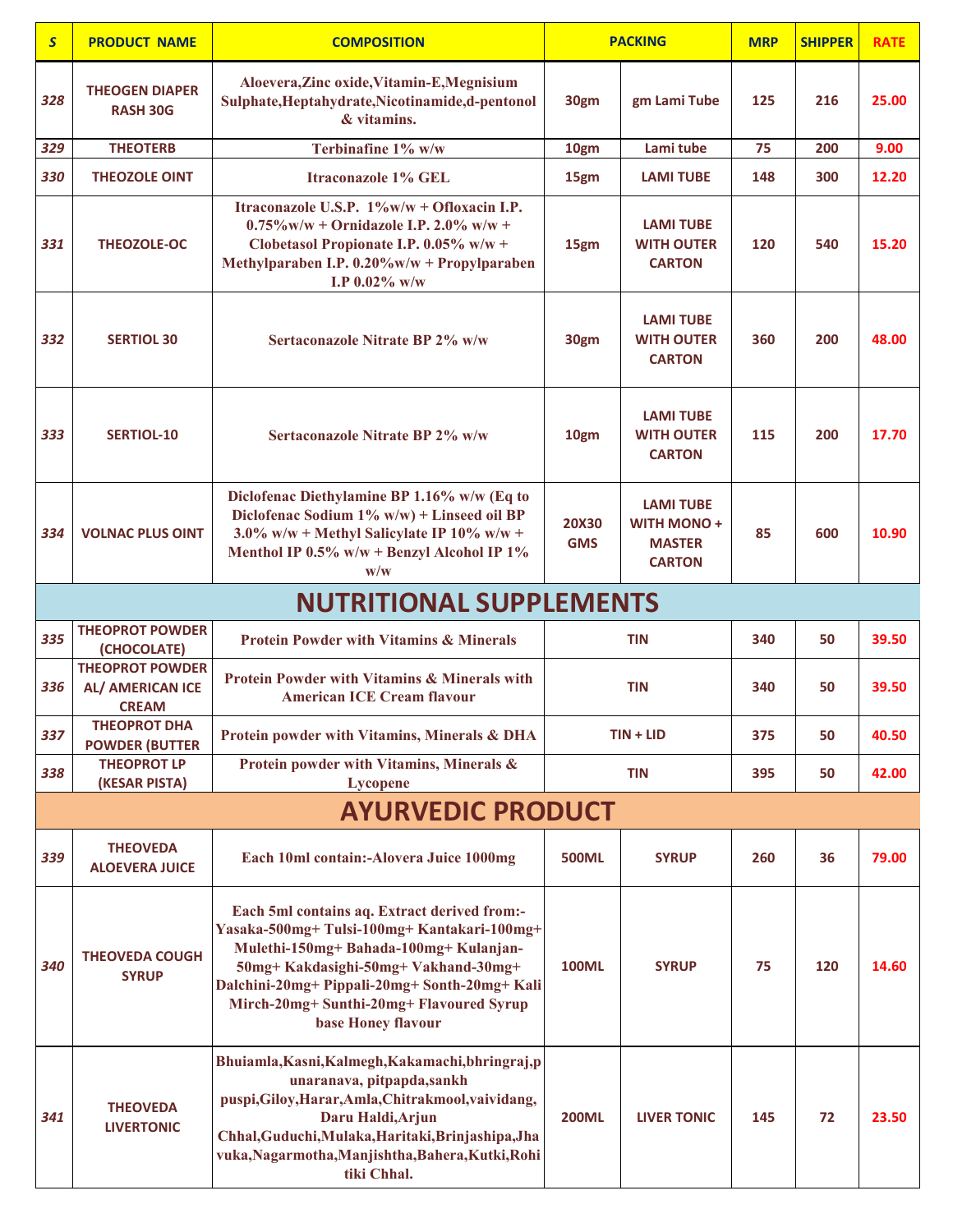| $\overline{\mathbf{S}}$ | <b>PRODUCT NAME</b>                                        | <b>COMPOSITION</b>                                                                                                                                                                                                                                                                           |                            | <b>PACKING</b>                                                          | <b>MRP</b> | <b>SHIPPER</b> | <b>RATE</b> |  |  |  |  |
|-------------------------|------------------------------------------------------------|----------------------------------------------------------------------------------------------------------------------------------------------------------------------------------------------------------------------------------------------------------------------------------------------|----------------------------|-------------------------------------------------------------------------|------------|----------------|-------------|--|--|--|--|
| 328                     | <b>THEOGEN DIAPER</b><br><b>RASH 30G</b>                   | Aloevera, Zinc oxide, Vitamin-E, Megnisium<br>Sulphate, Heptahydrate, Nicotinamide, d-pentonol<br>& vitamins.                                                                                                                                                                                | 30gm                       | gm Lami Tube                                                            | 125        | 216            | 25.00       |  |  |  |  |
| 329                     | <b>THEOTERB</b>                                            | Terbinafine 1% w/w                                                                                                                                                                                                                                                                           | 10gm                       | Lami tube                                                               | 75         | 200            | 9.00        |  |  |  |  |
| 330                     | <b>THEOZOLE OINT</b>                                       | <b>Itraconazole 1% GEL</b>                                                                                                                                                                                                                                                                   | 15gm                       | <b>LAMI TUBE</b>                                                        | 148        | 300            | 12.20       |  |  |  |  |
| 331                     | <b>THEOZOLE-OC</b>                                         | Itraconazole U.S.P. 1%w/w + Ofloxacin I.P.<br>$0.75\%$ w/w + Ornidazole I.P. 2.0% w/w +<br>Clobetasol Propionate I.P. 0.05% w/w +<br>Methylparaben I.P. 0.20%w/w + Propylparaben<br>I.P $0.02\%$ w/w                                                                                         | 15gm                       | <b>LAMI TUBE</b><br><b>WITH OUTER</b><br><b>CARTON</b>                  | 120        | 540            | 15.20       |  |  |  |  |
| 332                     | <b>SERTIOL 30</b>                                          | Sertaconazole Nitrate BP 2% w/w                                                                                                                                                                                                                                                              | 30gm                       | <b>LAMI TUBE</b><br><b>WITH OUTER</b><br><b>CARTON</b>                  | 360        | 200            | 48.00       |  |  |  |  |
| 333                     | <b>SERTIOL-10</b>                                          | Sertaconazole Nitrate BP 2% w/w                                                                                                                                                                                                                                                              | 10gm                       | <b>LAMI TUBE</b><br><b>WITH OUTER</b><br><b>CARTON</b>                  | 115        | 200            | 17.70       |  |  |  |  |
| 334                     | <b>VOLNAC PLUS OINT</b>                                    | Diclofenac Diethylamine BP 1.16% w/w (Eq to<br>Diclofenac Sodium 1% w/w) + Linseed oil BP<br>$3.0\%$ w/w + Methyl Salicylate IP 10% w/w +<br>Menthol IP 0.5% w/w + Benzyl Alcohol IP 1%<br>$\mathbf{w}/\mathbf{w}$                                                                           | <b>20X30</b><br><b>GMS</b> | <b>LAMI TUBE</b><br><b>WITH MONO+</b><br><b>MASTER</b><br><b>CARTON</b> | 85         | 600            | 10.90       |  |  |  |  |
|                         | <b>NUTRITIONAL SUPPLEMENTS</b>                             |                                                                                                                                                                                                                                                                                              |                            |                                                                         |            |                |             |  |  |  |  |
| 335                     | <b>THEOPROT POWDER</b><br>(CHOCOLATE)                      | <b>Protein Powder with Vitamins &amp; Minerals</b>                                                                                                                                                                                                                                           | <b>TIN</b>                 |                                                                         | 340        | 50             | 39.50       |  |  |  |  |
| 336                     | <b>THEOPROT POWDER</b><br>AL/ AMERICAN ICE<br><b>CREAM</b> | <b>Protein Powder with Vitamins &amp; Minerals with</b><br><b>American ICE Cream flavour</b>                                                                                                                                                                                                 |                            | <b>TIN</b>                                                              | 340        | 50             | 39.50       |  |  |  |  |
| 337                     | <b>THEOPROT DHA</b><br><b>POWDER (BUTTER</b>               | Protein powder with Vitamins, Minerals & DHA                                                                                                                                                                                                                                                 |                            | $TIN + LID$                                                             | 375        | 50             | 40.50       |  |  |  |  |
| 338                     | <b>THEOPROT LP</b><br>(KESAR PISTA)                        | Protein powder with Vitamins, Minerals &<br><b>Lycopene</b>                                                                                                                                                                                                                                  |                            | <b>TIN</b>                                                              | 395        | 50             | 42.00       |  |  |  |  |
|                         |                                                            | <b>AYURVEDIC PRODUCT</b>                                                                                                                                                                                                                                                                     |                            |                                                                         |            |                |             |  |  |  |  |
| 339                     | <b>THEOVEDA</b><br><b>ALOEVERA JUICE</b>                   | Each 10ml contain:-Alovera Juice 1000mg                                                                                                                                                                                                                                                      | <b>500ML</b>               | <b>SYRUP</b>                                                            | 260        | 36             | 79.00       |  |  |  |  |
| 340                     | <b>THEOVEDA COUGH</b><br><b>SYRUP</b>                      | Each 5ml contains aq. Extract derived from:-<br>Yasaka-500mg+Tulsi-100mg+Kantakari-100mg+<br>Mulethi-150mg+ Bahada-100mg+ Kulanjan-<br>50mg+Kakdasighi-50mg+Vakhand-30mg+<br>Dalchini-20mg+ Pippali-20mg+ Sonth-20mg+ Kali<br>Mirch-20mg+ Sunthi-20mg+ Flavoured Syrup<br>base Honey flavour | <b>100ML</b>               | <b>SYRUP</b>                                                            | 75         | 120            | 14.60       |  |  |  |  |
| 341                     | <b>THEOVEDA</b><br><b>LIVERTONIC</b>                       | Bhuiamla, Kasni, Kalmegh, Kakamachi, bhringraj, p<br>unaranava, pitpapda,sankh<br>puspi, Giloy, Harar, Amla, Chitrakmool, vaividang,<br>Daru Haldi, Arjun<br>Chhal, Guduchi, Mulaka, Haritaki, Brinjashipa, Jha<br>vuka, Nagarmotha, Manjishtha, Bahera, Kutki, Rohi<br>tiki Chhal.          | <b>200ML</b>               | <b>LIVER TONIC</b>                                                      | 145        | 72             | 23.50       |  |  |  |  |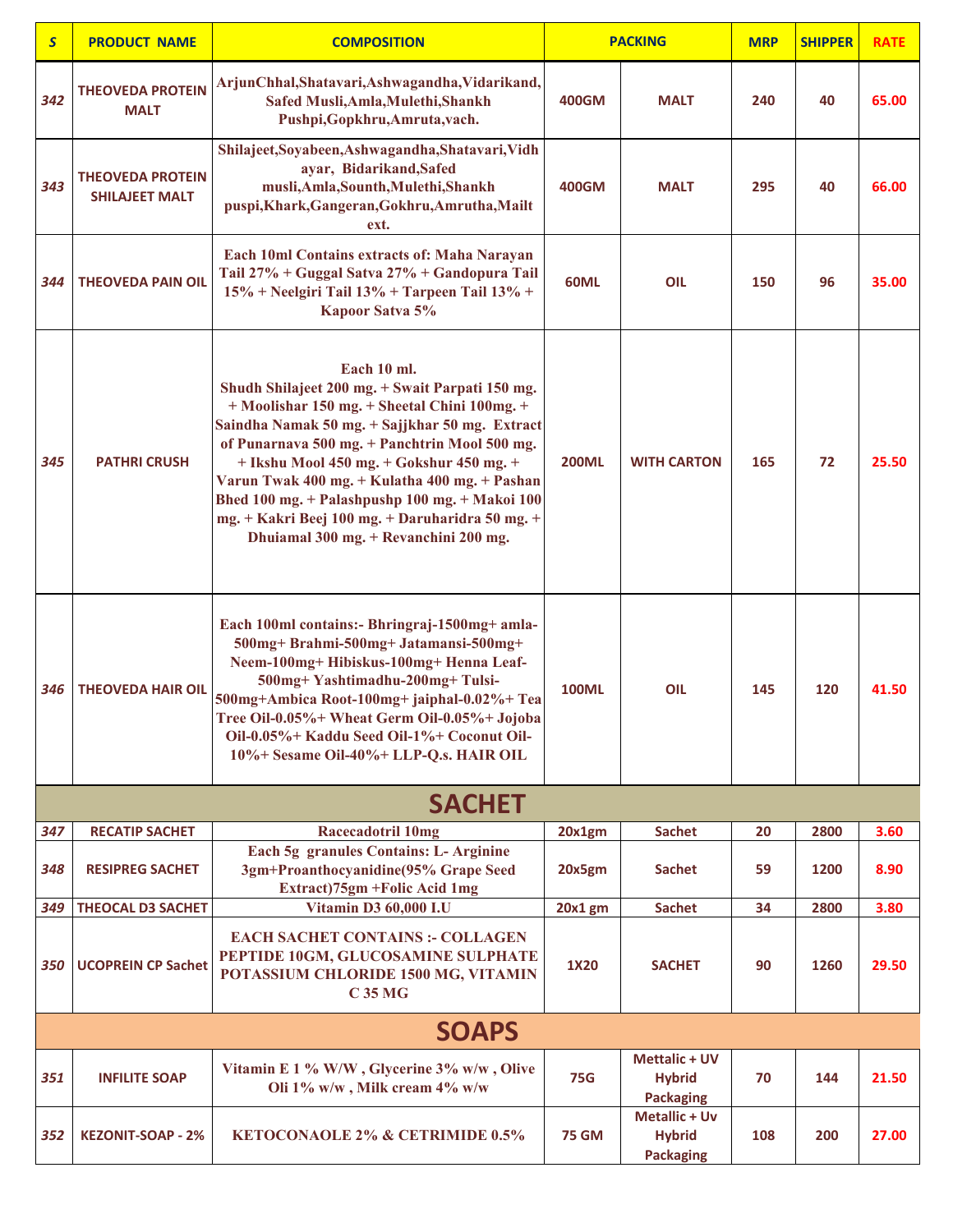| $\overline{\mathsf{S}}$ | <b>PRODUCT NAME</b>                              | <b>COMPOSITION</b>                                                                                                                                                                                                                                                                                                                                                                                                                                           |              | <b>PACKING</b>                                            | <b>MRP</b> | <b>SHIPPER</b> | <b>RATE</b> |
|-------------------------|--------------------------------------------------|--------------------------------------------------------------------------------------------------------------------------------------------------------------------------------------------------------------------------------------------------------------------------------------------------------------------------------------------------------------------------------------------------------------------------------------------------------------|--------------|-----------------------------------------------------------|------------|----------------|-------------|
| 342                     | <b>THEOVEDA PROTEIN</b><br><b>MALT</b>           | ArjunChhal, Shatavari, Ashwagandha, Vidarikand,<br>Safed Musli, Amla, Mulethi, Shankh<br>Pushpi, Gopkhru, Amruta, vach.                                                                                                                                                                                                                                                                                                                                      | 400GM        | <b>MALT</b>                                               | 240        | 40             | 65.00       |
| 343                     | <b>THEOVEDA PROTEIN</b><br><b>SHILAJEET MALT</b> | Shilajeet, Soyabeen, Ashwagandha, Shatavari, Vidh<br>ayar, Bidarikand, Safed<br>musli, Amla, Sounth, Mulethi, Shankh<br>puspi, Khark, Gangeran, Gokhru, Amrutha, Mailt<br>ext.                                                                                                                                                                                                                                                                               | 400GM        | <b>MALT</b>                                               | 295        | 40             | 66.00       |
| 344                     | <b>THEOVEDA PAIN OIL</b>                         | Each 10ml Contains extracts of: Maha Narayan<br>Tail 27% + Guggal Satva 27% + Gandopura Tail<br>15% + Neelgiri Tail 13% + Tarpeen Tail 13% +<br>Kapoor Satva 5%                                                                                                                                                                                                                                                                                              | 60ML         | OIL                                                       | 150        | 96             | 35.00       |
| 345                     | <b>PATHRI CRUSH</b>                              | Each 10 ml.<br>Shudh Shilajeet 200 mg. + Swait Parpati 150 mg.<br>+ Moolishar 150 mg. + Sheetal Chini 100mg. +<br>Saindha Namak 50 mg. + Sajjkhar 50 mg. Extract<br>of Punarnava 500 mg. + Panchtrin Mool 500 mg.<br>+ Ikshu Mool 450 mg. + Gokshur 450 mg. +<br>Varun Twak 400 mg. + Kulatha 400 mg. + Pashan<br>Bhed 100 mg. + Palashpushp 100 mg. + Makoi 100<br>mg. + Kakri Beej 100 mg. + Daruharidra 50 mg. +<br>Dhuiamal 300 mg. + Revanchini 200 mg. | <b>200ML</b> | <b>WITH CARTON</b>                                        | 165        | 72             | 25.50       |
| 346                     | <b>THEOVEDA HAIR OIL</b>                         | Each 100ml contains:- Bhringraj-1500mg+ amla-<br>500mg+ Brahmi-500mg+ Jatamansi-500mg+<br>Neem-100mg+ Hibiskus-100mg+ Henna Leaf-<br>500mg+Yashtimadhu-200mg+Tulsi-<br>500mg+Ambica Root-100mg+ jaiphal-0.02%+ Tea<br>Tree Oil-0.05%+ Wheat Germ Oil-0.05%+ Jojoba<br>Oil-0.05%+ Kaddu Seed Oil-1%+ Coconut Oil-<br>10%+ Sesame Oil-40%+ LLP-Q.s. HAIR OIL                                                                                                   | <b>100ML</b> | OIL                                                       | 145        | 120            | 41.50       |
|                         |                                                  | <b>SACHET</b>                                                                                                                                                                                                                                                                                                                                                                                                                                                |              |                                                           |            |                |             |
| 347                     | <b>RECATIP SACHET</b>                            | <b>Racecadotril 10mg</b>                                                                                                                                                                                                                                                                                                                                                                                                                                     | 20x1gm       | <b>Sachet</b>                                             | 20         | 2800           | 3.60        |
| 348                     | <b>RESIPREG SACHET</b>                           | Each 5g granules Contains: L- Arginine<br>3gm+Proanthocyanidine(95% Grape Seed<br>Extract)75gm +Folic Acid 1mg                                                                                                                                                                                                                                                                                                                                               | 20x5gm       | <b>Sachet</b>                                             | 59         | 1200           | 8.90        |
| 349                     | <b>THEOCAL D3 SACHET</b>                         | Vitamin D3 60,000 I.U                                                                                                                                                                                                                                                                                                                                                                                                                                        | 20x1gm       | <b>Sachet</b>                                             | 34         | 2800           | 3.80        |
| 350                     | <b>UCOPREIN CP Sachet</b>                        | <b>EACH SACHET CONTAINS :- COLLAGEN</b><br>PEPTIDE 10GM, GLUCOSAMINE SULPHATE<br>POTASSIUM CHLORIDE 1500 MG, VITAMIN<br><b>C35 MG</b>                                                                                                                                                                                                                                                                                                                        | 1X20         | <b>SACHET</b>                                             | 90         | 1260           | 29.50       |
|                         |                                                  | <b>SOAPS</b>                                                                                                                                                                                                                                                                                                                                                                                                                                                 |              |                                                           |            |                |             |
| 351                     | <b>INFILITE SOAP</b>                             | Vitamin E 1 % W/W, Glycerine 3% w/w, Olive<br>Oli 1% w/w, Milk cream 4% w/w                                                                                                                                                                                                                                                                                                                                                                                  | <b>75G</b>   | <b>Mettalic + UV</b><br><b>Hybrid</b><br><b>Packaging</b> | 70         | 144            | 21.50       |
| 352                     | <b>KEZONIT-SOAP - 2%</b>                         | <b>KETOCONAOLE 2% &amp; CETRIMIDE 0.5%</b>                                                                                                                                                                                                                                                                                                                                                                                                                   | <b>75 GM</b> | <b>Metallic + Uv</b><br><b>Hybrid</b><br><b>Packaging</b> | 108        | 200            | 27.00       |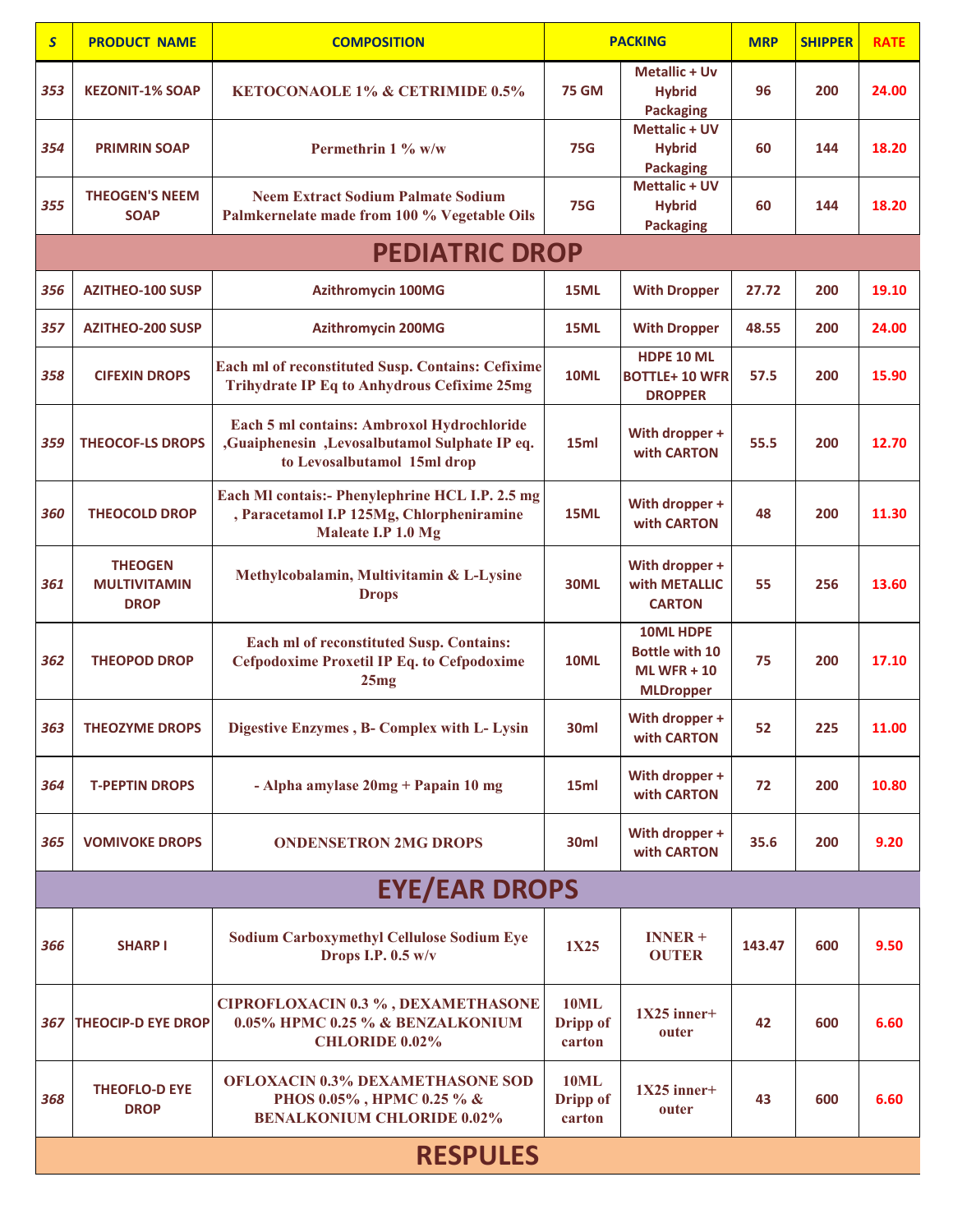| $\mathsf{s}$ | <b>PRODUCT NAME</b>                                  | <b>COMPOSITION</b>                                                                                                         | <b>PACKING</b>                    |                                                                               | <b>MRP</b> | <b>SHIPPER</b> | <b>RATE</b> |
|--------------|------------------------------------------------------|----------------------------------------------------------------------------------------------------------------------------|-----------------------------------|-------------------------------------------------------------------------------|------------|----------------|-------------|
| 353          | <b>KEZONIT-1% SOAP</b>                               | <b>KETOCONAOLE 1% &amp; CETRIMIDE 0.5%</b>                                                                                 | <b>75 GM</b>                      | <b>Metallic + Uv</b><br><b>Hybrid</b><br><b>Packaging</b>                     | 96         | 200            | 24.00       |
| 354          | <b>PRIMRIN SOAP</b>                                  | Permethrin 1 % w/w                                                                                                         | <b>75G</b>                        | <b>Mettalic + UV</b><br><b>Hybrid</b><br><b>Packaging</b>                     | 60         | 144            | 18.20       |
| 355          | <b>THEOGEN'S NEEM</b><br><b>SOAP</b>                 | <b>Neem Extract Sodium Palmate Sodium</b><br>Palmkernelate made from 100 % Vegetable Oils                                  | <b>75G</b>                        | <b>Mettalic + UV</b><br><b>Hybrid</b><br><b>Packaging</b>                     | 60         | 144            | 18.20       |
|              |                                                      | <b>PEDIATRIC DROP</b>                                                                                                      |                                   |                                                                               |            |                |             |
| 356          | <b>AZITHEO-100 SUSP</b>                              | <b>Azithromycin 100MG</b>                                                                                                  | 15ML                              | <b>With Dropper</b>                                                           | 27.72      | 200            | 19.10       |
| 357          | <b>AZITHEO-200 SUSP</b>                              | <b>Azithromycin 200MG</b>                                                                                                  | 15ML                              | <b>With Dropper</b>                                                           | 48.55      | 200            | 24.00       |
| 358          | <b>CIFEXIN DROPS</b>                                 | Each ml of reconstituted Susp. Contains: Cefixime<br><b>Trihydrate IP Eq to Anhydrous Cefixime 25mg</b>                    | <b>10ML</b>                       | HDPE 10 ML<br><b>BOTTLE+10 WFR</b><br><b>DROPPER</b>                          | 57.5       | 200            | 15.90       |
| 359          | <b>THEOCOF-LS DROPS</b>                              | Each 5 ml contains: Ambroxol Hydrochloride<br>,Guaiphenesin ,Levosalbutamol Sulphate IP eq.<br>to Levosalbutamol 15ml drop | 15ml                              | With dropper +<br>with CARTON                                                 | 55.5       | 200            | 12.70       |
| 360          | <b>THEOCOLD DROP</b>                                 | Each MI contais:- Phenylephrine HCL I.P. 2.5 mg<br>, Paracetamol I.P 125Mg, Chlorpheniramine<br>Maleate I.P 1.0 Mg         | 15ML                              | With dropper +<br>with CARTON                                                 | 48         | 200            | 11.30       |
| 361          | <b>THEOGEN</b><br><b>MULTIVITAMIN</b><br><b>DROP</b> | Methylcobalamin, Multivitamin & L-Lysine<br><b>Drops</b>                                                                   | <b>30ML</b>                       | With dropper +<br>with METALLIC<br><b>CARTON</b>                              | 55         | 256            | 13.60       |
| 362          | <b>THEOPOD DROP</b>                                  | Each ml of reconstituted Susp. Contains:<br><b>Cefpodoxime Proxetil IP Eq. to Cefpodoxime</b><br>25mg                      | <b>10ML</b>                       | <b>10ML HDPE</b><br><b>Bottle with 10</b><br>ML WFR $+10$<br><b>MLDropper</b> | 75         | 200            | 17.10       |
| 363          | <b>THEOZYME DROPS</b>                                | Digestive Enzymes, B- Complex with L- Lysin                                                                                | 30ml                              | With dropper +<br>with CARTON                                                 | 52         | 225            | 11.00       |
| 364          | <b>T-PEPTIN DROPS</b>                                | - Alpha amylase $20mg + P$ apain 10 mg                                                                                     | 15ml                              | With dropper +<br>with CARTON                                                 | 72         | 200            | 10.80       |
| 365          | <b>VOMIVOKE DROPS</b>                                | <b>ONDENSETRON 2MG DROPS</b>                                                                                               | 30ml                              | With dropper +<br>with CARTON                                                 | 35.6       | 200            | 9.20        |
|              |                                                      | <b>EYE/EAR DROPS</b>                                                                                                       |                                   |                                                                               |            |                |             |
| 366          | <b>SHARP I</b>                                       | <b>Sodium Carboxymethyl Cellulose Sodium Eye</b><br>Drops I.P. $0.5$ w/v                                                   | 1X25                              | $INNER +$<br><b>OUTER</b>                                                     | 143.47     | 600            | 9.50        |
| 367          | <b>THEOCIP-D EYE DROP</b>                            | <b>CIPROFLOXACIN 0.3 %, DEXAMETHASONE</b><br>0.05% HPMC 0.25 % & BENZALKONIUM<br><b>CHLORIDE 0.02%</b>                     | <b>10ML</b><br>Dripp of<br>carton | $1X25$ inner+<br>outer                                                        | 42         | 600            | 6.60        |
| 368          | <b>THEOFLO-D EYE</b><br><b>DROP</b>                  | <b>OFLOXACIN 0.3% DEXAMETHASONE SOD</b><br>PHOS 0.05%, HPMC 0.25 % &<br><b>BENALKONIUM CHLORIDE 0.02%</b>                  | <b>10ML</b><br>Dripp of<br>carton | $1X25$ inner+<br>outer                                                        | 43         | 600            | 6.60        |
|              |                                                      | <b>RESPULES</b>                                                                                                            |                                   |                                                                               |            |                |             |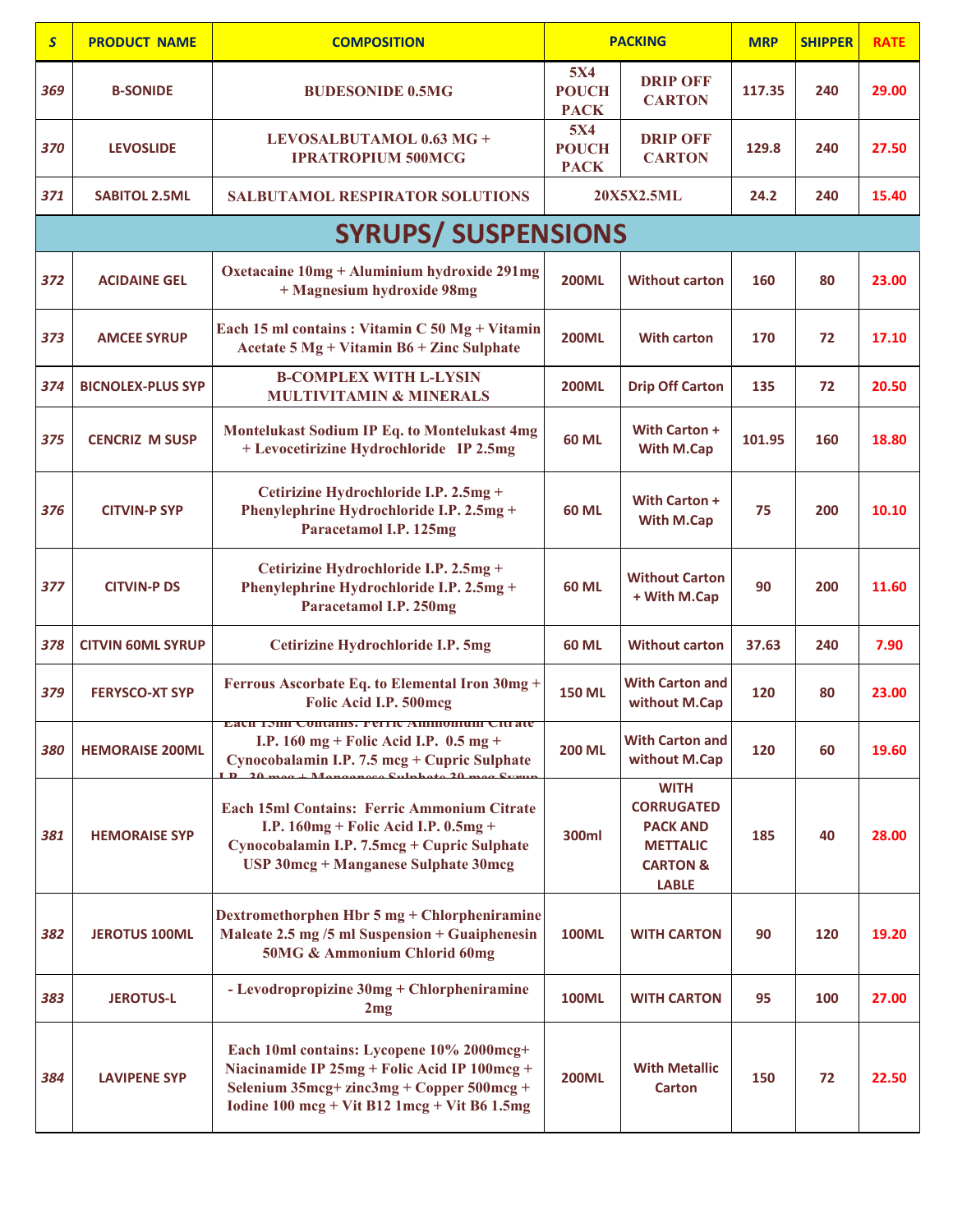| $\overline{\mathbf{S}}$ | <b>PRODUCT NAME</b>      | <b>COMPOSITION</b>                                                                                                                                                                                             |                                           | <b>PACKING</b>                                                                                                | <b>MRP</b> | <b>SHIPPER</b> | <b>RATE</b> |
|-------------------------|--------------------------|----------------------------------------------------------------------------------------------------------------------------------------------------------------------------------------------------------------|-------------------------------------------|---------------------------------------------------------------------------------------------------------------|------------|----------------|-------------|
| 369                     | <b>B-SONIDE</b>          | <b>BUDESONIDE 0.5MG</b>                                                                                                                                                                                        | <b>5X4</b><br><b>POUCH</b><br><b>PACK</b> | <b>DRIP OFF</b><br><b>CARTON</b>                                                                              | 117.35     | 240            | 29.00       |
| 370                     | <b>LEVOSLIDE</b>         | LEVOSALBUTAMOL 0.63 MG +<br><b>IPRATROPIUM 500MCG</b>                                                                                                                                                          | <b>5X4</b><br><b>POUCH</b><br><b>PACK</b> | <b>DRIP OFF</b><br><b>CARTON</b>                                                                              | 129.8      | 240            | 27.50       |
| 371                     | <b>SABITOL 2.5ML</b>     | <b>SALBUTAMOL RESPIRATOR SOLUTIONS</b>                                                                                                                                                                         |                                           | 20X5X2.5ML                                                                                                    | 24.2       | 240            | 15.40       |
|                         |                          | <b>SYRUPS/ SUSPENSIONS</b>                                                                                                                                                                                     |                                           |                                                                                                               |            |                |             |
| 372                     | <b>ACIDAINE GEL</b>      | Oxetacaine 10mg + Aluminium hydroxide 291mg<br>+ Magnesium hydroxide 98mg                                                                                                                                      | <b>200ML</b>                              | <b>Without carton</b>                                                                                         | 160        | 80             | 23.00       |
| 373                     | <b>AMCEE SYRUP</b>       | Each 15 ml contains : Vitamin C 50 Mg + Vitamin<br>Acetate 5 Mg + Vitamin B6 + Zinc Sulphate                                                                                                                   | <b>200ML</b>                              | <b>With carton</b>                                                                                            | 170        | 72             | 17.10       |
| 374                     | <b>BICNOLEX-PLUS SYP</b> | <b>B-COMPLEX WITH L-LYSIN</b><br><b>MULTIVITAMIN &amp; MINERALS</b>                                                                                                                                            | <b>200ML</b>                              | <b>Drip Off Carton</b>                                                                                        | 135        | 72             | 20.50       |
| 375                     | <b>CENCRIZ M SUSP</b>    | Montelukast Sodium IP Eq. to Montelukast 4mg<br>+ Levocetirizine Hydrochloride IP 2.5mg                                                                                                                        | <b>60 ML</b>                              | With Carton +<br>With M.Cap                                                                                   | 101.95     | 160            | 18.80       |
| 376                     | <b>CITVIN-P SYP</b>      | Cetirizine Hydrochloride I.P. 2.5mg +<br>Phenylephrine Hydrochloride I.P. 2.5mg +<br>Paracetamol I.P. 125mg                                                                                                    | 60 ML                                     | With Carton +<br>With M.Cap                                                                                   | 75         | 200            | 10.10       |
| 377                     | <b>CITVIN-P DS</b>       | Cetirizine Hydrochloride I.P. 2.5mg +<br>Phenylephrine Hydrochloride I.P. 2.5mg +<br>Paracetamol I.P. 250mg                                                                                                    | 60 ML                                     | <b>Without Carton</b><br>+ With M.Cap                                                                         | 90         | 200            | 11.60       |
| 378                     | <b>CITVIN 60ML SYRUP</b> | Cetirizine Hydrochloride I.P. 5mg                                                                                                                                                                              | <b>60 ML</b>                              | <b>Without carton</b>                                                                                         | 37.63      | 240            | 7.90        |
| 379                     | <b>FERYSCO-XT SYP</b>    | Ferrous Ascorbate Eq. to Elemental Iron 30mg +<br>Folic Acid I.P. 500mcg                                                                                                                                       | <b>150 ML</b>                             | <b>With Carton and</b><br>without M.Cap                                                                       | 120        | 80             | 23.00       |
| 380                     | <b>HEMORAISE 200ML</b>   | Each IShil Contains: Ferric Aminomum Citrate<br>I.P. $160 \text{ mg} + \text{Folic Acid I.P. } 0.5 \text{ mg} +$<br>Cynocobalamin I.P. 7.5 mcg + Cupric Sulphate                                               | <b>200 ML</b>                             | <b>With Carton and</b><br>without M.Cap                                                                       | 120        | 60             | 19.60       |
| 381                     | <b>HEMORAISE SYP</b>     | Each 15ml Contains: Ferric Ammonium Citrate<br>I.P. $160mg +$ Folic Acid I.P. $0.5mg +$<br>Cynocobalamin I.P. 7.5mcg + Cupric Sulphate<br>USP 30mcg + Manganese Sulphate 30mcg                                 | 300ml                                     | <b>WITH</b><br><b>CORRUGATED</b><br><b>PACK AND</b><br><b>METTALIC</b><br><b>CARTON &amp;</b><br><b>LABLE</b> | 185        | 40             | 28.00       |
| 382                     | <b>JEROTUS 100ML</b>     | Dextromethorphen Hbr 5 mg + Chlorpheniramine<br>Maleate 2.5 mg /5 ml Suspension + Guaiphenesin<br>50MG & Ammonium Chlorid 60mg                                                                                 | <b>100ML</b>                              | <b>WITH CARTON</b>                                                                                            | 90         | 120            | 19.20       |
| 383                     | <b>JEROTUS-L</b>         | - Levodropropizine 30mg + Chlorpheniramine<br>2mg                                                                                                                                                              | <b>100ML</b>                              | <b>WITH CARTON</b>                                                                                            | 95         | 100            | 27.00       |
| 384                     | <b>LAVIPENE SYP</b>      | Each 10ml contains: Lycopene 10% 2000mcg+<br>Niacinamide IP 25mg + Folic Acid IP 100mcg +<br>Selenium 35mcg+ zinc3mg + Copper 500mcg +<br>Iodine $100 \text{ mcg} + \text{Vit B12 1mcg} + \text{Vit B6 1.5mg}$ | <b>200ML</b>                              | <b>With Metallic</b><br><b>Carton</b>                                                                         | 150        | 72             | 22.50       |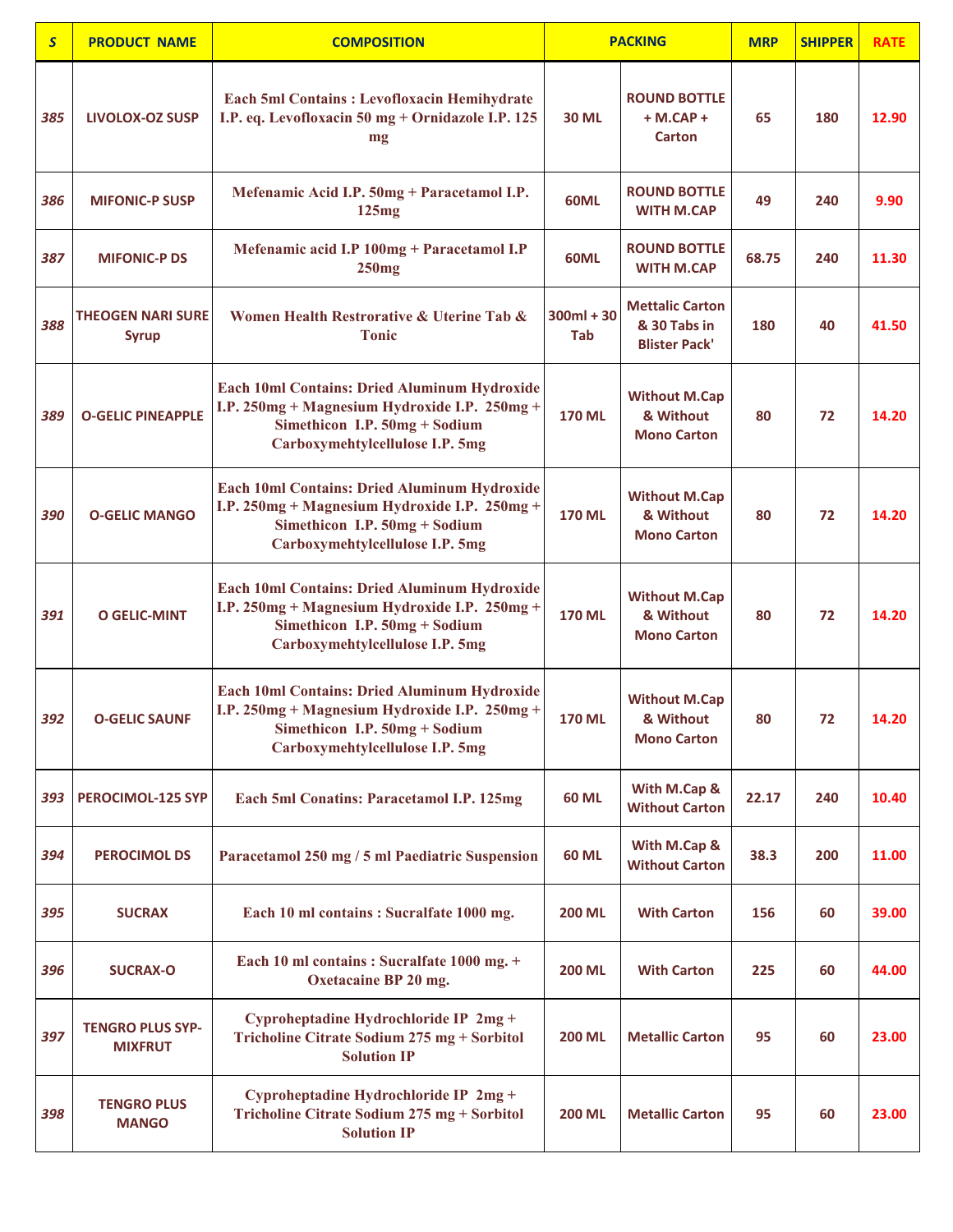| $\overline{\mathsf{S}}$ | <b>PRODUCT NAME</b>                       | <b>COMPOSITION</b>                                                                                                                                                | <b>PACKING</b>      |                                                                | <b>MRP</b> | <b>SHIPPER</b> | <b>RATE</b> |
|-------------------------|-------------------------------------------|-------------------------------------------------------------------------------------------------------------------------------------------------------------------|---------------------|----------------------------------------------------------------|------------|----------------|-------------|
| 385                     | <b>LIVOLOX-OZ SUSP</b>                    | Each 5ml Contains: Levofloxacin Hemihydrate<br>I.P. eq. Levofloxacin 50 mg + Ornidazole I.P. 125<br>mg                                                            | <b>30 ML</b>        | <b>ROUND BOTTLE</b><br>$+ M.CAP +$<br>Carton                   | 65         | 180            | 12.90       |
| 386                     | <b>MIFONIC-P SUSP</b>                     | Mefenamic Acid I.P. 50mg + Paracetamol I.P.<br>125mg                                                                                                              | 60ML                | <b>ROUND BOTTLE</b><br><b>WITH M.CAP</b>                       | 49         | 240            | 9.90        |
| 387                     | <b>MIFONIC-P DS</b>                       | Mefenamic acid I.P 100mg + Paracetamol I.P<br>250mg                                                                                                               | 60ML                | <b>ROUND BOTTLE</b><br><b>WITH M.CAP</b>                       | 68.75      | 240            | 11.30       |
| 388                     | <b>THEOGEN NARI SURE</b><br><b>Syrup</b>  | Women Health Restrorative & Uterine Tab &<br><b>Tonic</b>                                                                                                         | $300ml + 30$<br>Tab | <b>Mettalic Carton</b><br>& 30 Tabs in<br><b>Blister Pack'</b> | 180        | 40             | 41.50       |
| 389                     | <b>O-GELIC PINEAPPLE</b>                  | Each 10ml Contains: Dried Aluminum Hydroxide<br>I.P. 250mg + Magnesium Hydroxide I.P. 250mg +<br>Simethicon I.P. 50mg + Sodium<br>Carboxymehtylcellulose I.P. 5mg | <b>170 ML</b>       | <b>Without M.Cap</b><br>& Without<br><b>Mono Carton</b>        | 80         | 72             | 14.20       |
| 390                     | <b>O-GELIC MANGO</b>                      | Each 10ml Contains: Dried Aluminum Hydroxide<br>I.P. 250mg + Magnesium Hydroxide I.P. 250mg +<br>Simethicon I.P. 50mg + Sodium<br>Carboxymehtylcellulose I.P. 5mg | <b>170 ML</b>       | <b>Without M.Cap</b><br>& Without<br><b>Mono Carton</b>        | 80         | 72             | 14.20       |
| 391                     | <b>O GELIC-MINT</b>                       | Each 10ml Contains: Dried Aluminum Hydroxide<br>I.P. 250mg + Magnesium Hydroxide I.P. 250mg +<br>Simethicon I.P. 50mg + Sodium<br>Carboxymehtylcellulose I.P. 5mg | <b>170 ML</b>       | <b>Without M.Cap</b><br>& Without<br><b>Mono Carton</b>        | 80         | 72             | 14.20       |
| 392                     | <b>O-GELIC SAUNF</b>                      | Each 10ml Contains: Dried Aluminum Hydroxide<br>I.P. 250mg + Magnesium Hydroxide I.P. 250mg +<br>Simethicon I.P. 50mg + Sodium<br>Carboxymehtylcellulose I.P. 5mg | <b>170 ML</b>       | <b>Without M.Cap</b><br>& Without<br><b>Mono Carton</b>        | 80         | 72             | 14.20       |
| 393                     | <b>PEROCIMOL-125 SYP</b>                  | Each 5ml Conatins: Paracetamol I.P. 125mg                                                                                                                         | <b>60 ML</b>        | With M.Cap &<br><b>Without Carton</b>                          | 22.17      | 240            | 10.40       |
| 394                     | <b>PEROCIMOL DS</b>                       | Paracetamol 250 mg / 5 ml Paediatric Suspension                                                                                                                   | <b>60 ML</b>        | With M.Cap &<br><b>Without Carton</b>                          | 38.3       | 200            | 11.00       |
| 395                     | <b>SUCRAX</b>                             | Each 10 ml contains : Sucralfate 1000 mg.                                                                                                                         | <b>200 ML</b>       | <b>With Carton</b>                                             | 156        | 60             | 39.00       |
| 396                     | <b>SUCRAX-O</b>                           | Each 10 ml contains : Sucralfate 1000 mg. +<br>Oxetacaine BP 20 mg.                                                                                               | <b>200 ML</b>       | <b>With Carton</b>                                             | 225        | 60             | 44.00       |
| 397                     | <b>TENGRO PLUS SYP-</b><br><b>MIXFRUT</b> | Cyproheptadine Hydrochloride IP 2mg +<br>Tricholine Citrate Sodium 275 mg + Sorbitol<br><b>Solution IP</b>                                                        | <b>200 ML</b>       | <b>Metallic Carton</b>                                         | 95         | 60             | 23.00       |
| 398                     | <b>TENGRO PLUS</b><br><b>MANGO</b>        | Cyproheptadine Hydrochloride IP 2mg +<br>Tricholine Citrate Sodium 275 mg + Sorbitol<br><b>Solution IP</b>                                                        | <b>200 ML</b>       | <b>Metallic Carton</b>                                         | 95         | 60             | 23.00       |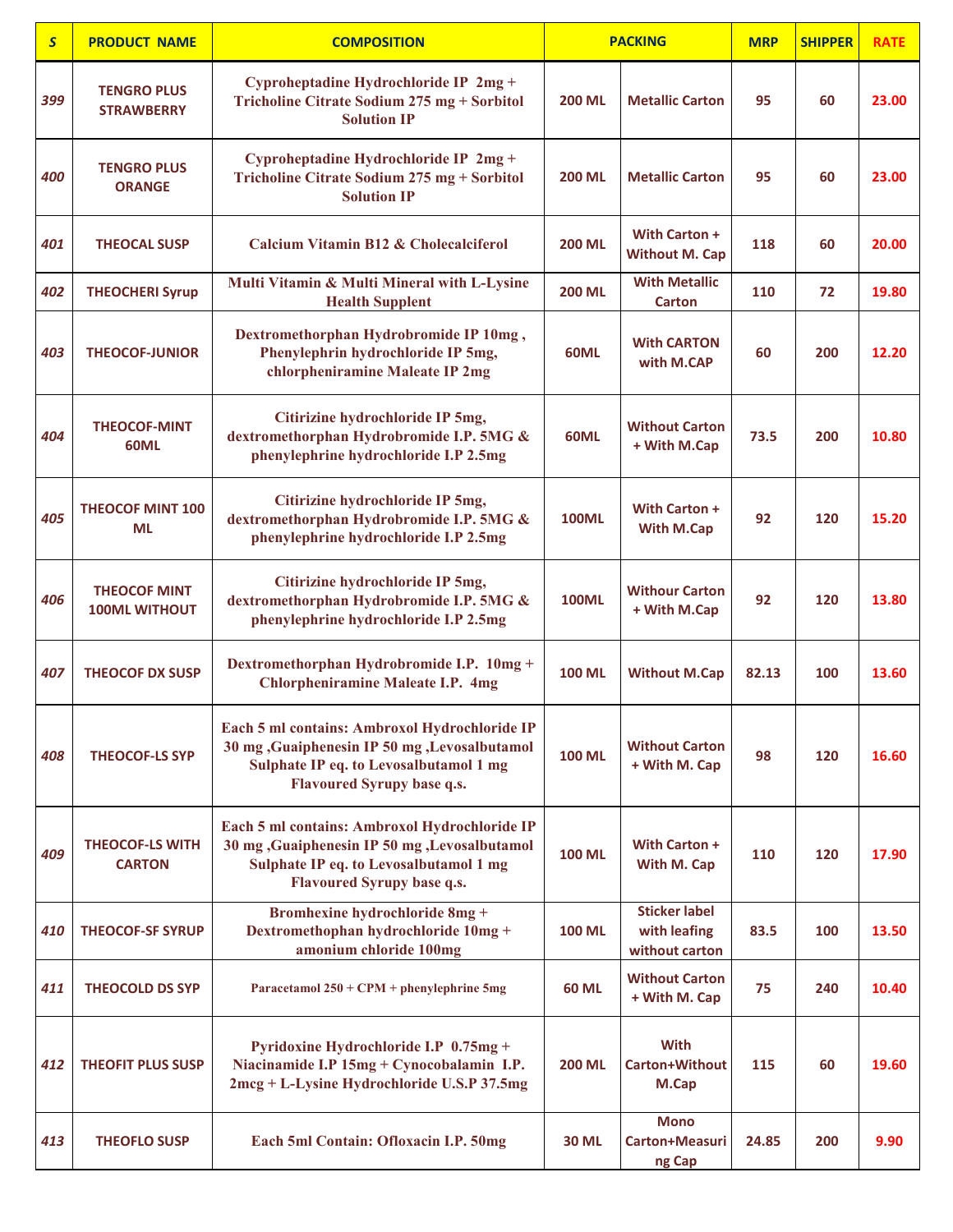| $\overline{\mathsf{S}}$ | <b>PRODUCT NAME</b>                         | <b>COMPOSITION</b>                                                                                                                                                             |               | <b>PACKING</b>                                         | <b>MRP</b> | <b>SHIPPER</b> | <b>RATE</b> |
|-------------------------|---------------------------------------------|--------------------------------------------------------------------------------------------------------------------------------------------------------------------------------|---------------|--------------------------------------------------------|------------|----------------|-------------|
| 399                     | <b>TENGRO PLUS</b><br><b>STRAWBERRY</b>     | Cyproheptadine Hydrochloride IP 2mg +<br>Tricholine Citrate Sodium 275 mg + Sorbitol<br><b>Solution IP</b>                                                                     | <b>200 ML</b> | <b>Metallic Carton</b>                                 | 95         | 60             | 23.00       |
| 400                     | <b>TENGRO PLUS</b><br><b>ORANGE</b>         | Cyproheptadine Hydrochloride IP 2mg +<br>Tricholine Citrate Sodium 275 mg + Sorbitol<br><b>Solution IP</b>                                                                     | <b>200 ML</b> | <b>Metallic Carton</b>                                 | 95         | 60             | 23.00       |
| 401                     | <b>THEOCAL SUSP</b>                         | Calcium Vitamin B12 & Cholecalciferol                                                                                                                                          | <b>200 ML</b> | With Carton +<br><b>Without M. Cap</b>                 | 118        | 60             | 20.00       |
| 402                     | <b>THEOCHERI Syrup</b>                      | Multi Vitamin & Multi Mineral with L-Lysine<br><b>Health Supplent</b>                                                                                                          | <b>200 ML</b> | <b>With Metallic</b><br><b>Carton</b>                  | 110        | 72             | 19.80       |
| 403                     | <b>THEOCOF-JUNIOR</b>                       | Dextromethorphan Hydrobromide IP 10mg,<br>Phenylephrin hydrochloride IP 5mg,<br>chlorpheniramine Maleate IP 2mg                                                                | 60ML          | <b>With CARTON</b><br>with M.CAP                       | 60         | 200            | 12.20       |
| 404                     | <b>THEOCOF-MINT</b><br>60ML                 | Citirizine hydrochloride IP 5mg,<br>dextromethorphan Hydrobromide I.P. 5MG &<br>phenylephrine hydrochloride I.P 2.5mg                                                          | 60ML          | <b>Without Carton</b><br>+ With M.Cap                  | 73.5       | 200            | 10.80       |
| 405                     | <b>THEOCOF MINT 100</b><br>ML               | Citirizine hydrochloride IP 5mg,<br>dextromethorphan Hydrobromide I.P. 5MG &<br>phenylephrine hydrochloride I.P 2.5mg                                                          | <b>100ML</b>  | With Carton +<br>With M.Cap                            | 92         | 120            | 15.20       |
| 406                     | <b>THEOCOF MINT</b><br><b>100ML WITHOUT</b> | Citirizine hydrochloride IP 5mg,<br>dextromethorphan Hydrobromide I.P. 5MG &<br>phenylephrine hydrochloride I.P 2.5mg                                                          | <b>100ML</b>  | <b>Withour Carton</b><br>+ With M.Cap                  | 92         | 120            | 13.80       |
| 407                     | <b>THEOCOF DX SUSP</b>                      | Dextromethorphan Hydrobromide I.P. 10mg +<br><b>Chlorpheniramine Maleate I.P. 4mg</b>                                                                                          | <b>100 ML</b> | <b>Without M.Cap</b>                                   | 82.13      | 100            | 13.60       |
| 408                     | <b>THEOCOF-LS SYP</b>                       | Each 5 ml contains: Ambroxol Hydrochloride IP<br>30 mg , Guaiphenesin IP 50 mg , Levosalbutamol<br>Sulphate IP eq. to Levosalbutamol 1 mg<br><b>Flavoured Syrupy base q.s.</b> | <b>100 ML</b> | <b>Without Carton</b><br>+ With M. Cap                 | 98         | 120            | 16.60       |
| 409                     | <b>THEOCOF-LS WITH</b><br><b>CARTON</b>     | Each 5 ml contains: Ambroxol Hydrochloride IP<br>30 mg , Guaiphenesin IP 50 mg , Levosalbutamol<br>Sulphate IP eq. to Levosalbutamol 1 mg<br><b>Flavoured Syrupy base q.s.</b> | <b>100 ML</b> | With Carton +<br>With M. Cap                           | 110        | 120            | 17.90       |
| 410                     | <b>THEOCOF-SF SYRUP</b>                     | <b>Bromhexine hydrochloride 8mg +</b><br>Dextromethophan hydrochloride 10mg +<br>amonium chloride 100mg                                                                        | <b>100 ML</b> | <b>Sticker label</b><br>with leafing<br>without carton | 83.5       | 100            | 13.50       |
| 411                     | <b>THEOCOLD DS SYP</b>                      | Paracetamol 250 + CPM + phenylephrine 5mg                                                                                                                                      | <b>60 ML</b>  | <b>Without Carton</b><br>+ With M. Cap                 | 75         | 240            | 10.40       |
| 412                     | <b>THEOFIT PLUS SUSP</b>                    | Pyridoxine Hydrochloride I.P 0.75mg +<br>Niacinamide I.P 15mg + Cynocobalamin I.P.<br>2mcg + L-Lysine Hydrochloride U.S.P 37.5mg                                               | <b>200 ML</b> | <b>With</b><br>Carton+Without<br>M.Cap                 | 115        | 60             | 19.60       |
| 413                     | <b>THEOFLO SUSP</b>                         | Each 5ml Contain: Ofloxacin I.P. 50mg                                                                                                                                          | <b>30 ML</b>  | <b>Mono</b><br>Carton+Measuri<br>ng Cap                | 24.85      | 200            | 9.90        |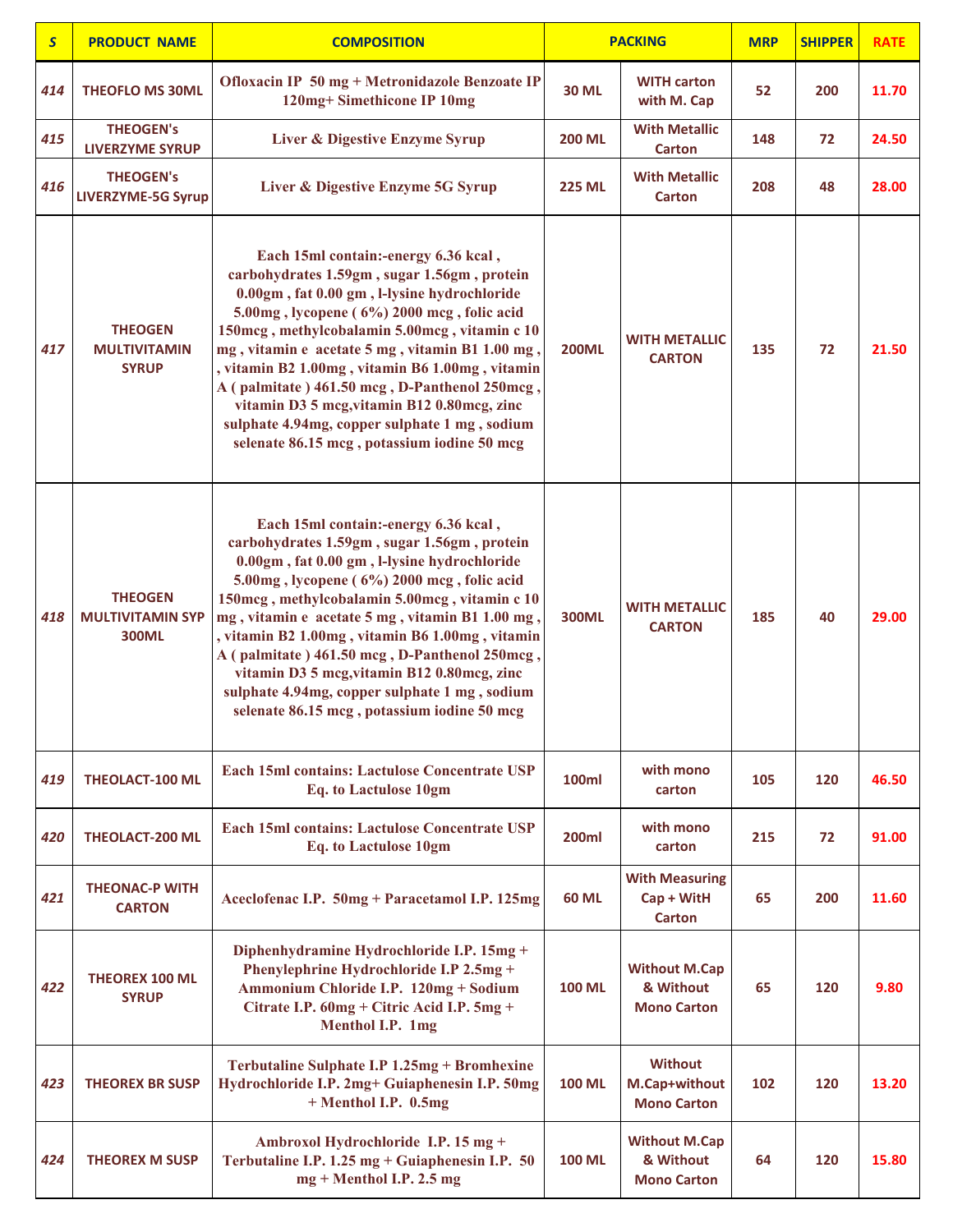| $\mathsf{S}$ | <b>PRODUCT NAME</b>                                       | <b>COMPOSITION</b>                                                                                                                                                                                                                                                                                                                                                                                                                                                                                                                      | <b>PACKING</b> |                                                         | <b>MRP</b> | <b>SHIPPER</b> | <b>RATE</b> |
|--------------|-----------------------------------------------------------|-----------------------------------------------------------------------------------------------------------------------------------------------------------------------------------------------------------------------------------------------------------------------------------------------------------------------------------------------------------------------------------------------------------------------------------------------------------------------------------------------------------------------------------------|----------------|---------------------------------------------------------|------------|----------------|-------------|
| 414          | <b>THEOFLO MS 30ML</b>                                    | Ofloxacin IP 50 mg + Metronidazole Benzoate IP<br>120mg+Simethicone IP 10mg                                                                                                                                                                                                                                                                                                                                                                                                                                                             | <b>30 ML</b>   | <b>WITH carton</b><br>with M. Cap                       | 52         | 200            | 11.70       |
| 415          | <b>THEOGEN's</b><br><b>LIVERZYME SYRUP</b>                | Liver & Digestive Enzyme Syrup                                                                                                                                                                                                                                                                                                                                                                                                                                                                                                          | <b>200 ML</b>  | <b>With Metallic</b><br><b>Carton</b>                   | 148        | 72             | 24.50       |
| 416          | <b>THEOGEN's</b><br><b>LIVERZYME-5G Syrup</b>             | Liver & Digestive Enzyme 5G Syrup                                                                                                                                                                                                                                                                                                                                                                                                                                                                                                       | <b>225 ML</b>  | <b>With Metallic</b><br><b>Carton</b>                   | 208        | 48             | 28.00       |
| 417          | <b>THEOGEN</b><br><b>MULTIVITAMIN</b><br><b>SYRUP</b>     | Each 15ml contain:-energy 6.36 kcal,<br>carbohydrates 1.59gm, sugar 1.56gm, protein<br>0.00gm, fat 0.00 gm, l-lysine hydrochloride<br>5.00mg, lycopene (6%) 2000 mcg, folic acid<br>150mcg, methylcobalamin 5.00mcg, vitamin c 10<br>mg, vitamin e acetate 5 mg, vitamin B1 1.00 mg,<br>vitamin B2 1.00mg, vitamin B6 1.00mg, vitamin<br>A (palmitate) 461.50 mcg, D-Panthenol 250mcg,<br>vitamin D3 5 mcg, vitamin B12 0.80mcg, zinc<br>sulphate 4.94mg, copper sulphate 1 mg, sodium<br>selenate 86.15 mcg, potassium iodine 50 mcg   | <b>200ML</b>   | <b>WITH METALLIC</b><br><b>CARTON</b>                   | 135        | 72             | 21.50       |
| 418          | <b>THEOGEN</b><br><b>MULTIVITAMIN SYP</b><br><b>300ML</b> | Each 15ml contain:-energy 6.36 kcal,<br>carbohydrates 1.59gm, sugar 1.56gm, protein<br>0.00gm, fat 0.00 gm, l-lysine hydrochloride<br>5.00mg, lycopene (6%) 2000 mcg, folic acid<br>150mcg, methylcobalamin 5.00mcg, vitamin c 10<br>mg, vitamin e acetate 5 mg, vitamin B1 1.00 mg,<br>, vitamin B2 1.00mg, vitamin B6 1.00mg, vitamin<br>A (palmitate) 461.50 mcg, D-Panthenol 250mcg,<br>vitamin D3 5 mcg, vitamin B12 0.80mcg, zinc<br>sulphate 4.94mg, copper sulphate 1 mg, sodium<br>selenate 86.15 mcg, potassium iodine 50 mcg | <b>300ML</b>   | <b>WITH METALLIC</b><br><b>CARTON</b>                   | 185        | 40             | 29.00       |
| 419          | <b>THEOLACT-100 ML</b>                                    | Each 15ml contains: Lactulose Concentrate USP<br>Eq. to Lactulose 10gm                                                                                                                                                                                                                                                                                                                                                                                                                                                                  | 100ml          | with mono<br>carton                                     | 105        | 120            | 46.50       |
| 420          | <b>THEOLACT-200 ML</b>                                    | Each 15ml contains: Lactulose Concentrate USP<br><b>Eq.</b> to Lactulose 10gm                                                                                                                                                                                                                                                                                                                                                                                                                                                           | <b>200ml</b>   | with mono<br>carton                                     | 215        | 72             | 91.00       |
| 421          | <b>THEONAC-P WITH</b><br><b>CARTON</b>                    | Aceclofenac I.P. 50mg + Paracetamol I.P. 125mg                                                                                                                                                                                                                                                                                                                                                                                                                                                                                          | <b>60 ML</b>   | <b>With Measuring</b><br>Cap + WitH<br><b>Carton</b>    | 65         | 200            | 11.60       |
| 422          | <b>THEOREX 100 ML</b><br><b>SYRUP</b>                     | Diphenhydramine Hydrochloride I.P. 15mg +<br>Phenylephrine Hydrochloride I.P 2.5mg +<br>Ammonium Chloride I.P. 120mg + Sodium<br>Citrate I.P. 60mg + Citric Acid I.P. 5mg +<br>Menthol I.P. 1mg                                                                                                                                                                                                                                                                                                                                         | <b>100 ML</b>  | <b>Without M.Cap</b><br>& Without<br><b>Mono Carton</b> | 65         | 120            | 9.80        |
| 423          | <b>THEOREX BR SUSP</b>                                    | Terbutaline Sulphate I.P 1.25mg + Bromhexine<br>Hydrochloride I.P. 2mg+ Guiaphenesin I.P. 50mg<br>+ Menthol I.P. 0.5mg                                                                                                                                                                                                                                                                                                                                                                                                                  | <b>100 ML</b>  | <b>Without</b><br>M.Cap+without<br><b>Mono Carton</b>   | 102        | 120            | 13.20       |
| 424          | <b>THEOREX M SUSP</b>                                     | Ambroxol Hydrochloride I.P. 15 mg +<br>Terbutaline I.P. 1.25 mg + Guiaphenesin I.P. 50<br>$mg + Menthol I.P. 2.5 mg$                                                                                                                                                                                                                                                                                                                                                                                                                    | <b>100 ML</b>  | <b>Without M.Cap</b><br>& Without<br><b>Mono Carton</b> | 64         | 120            | 15.80       |